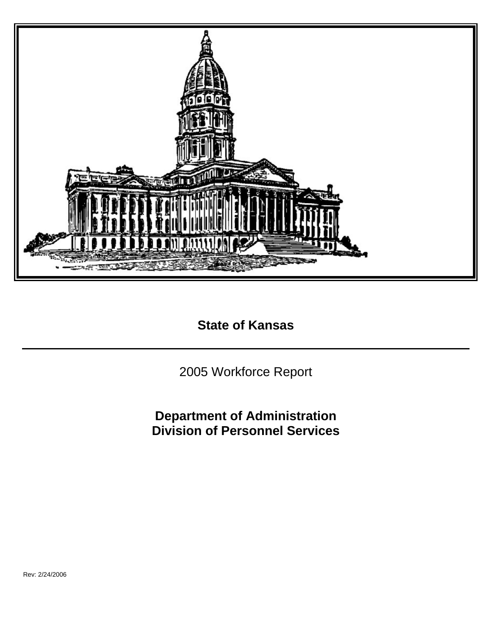

**State of Kansas** 

2005 Workforce Report

**Department of Administration Division of Personnel Services**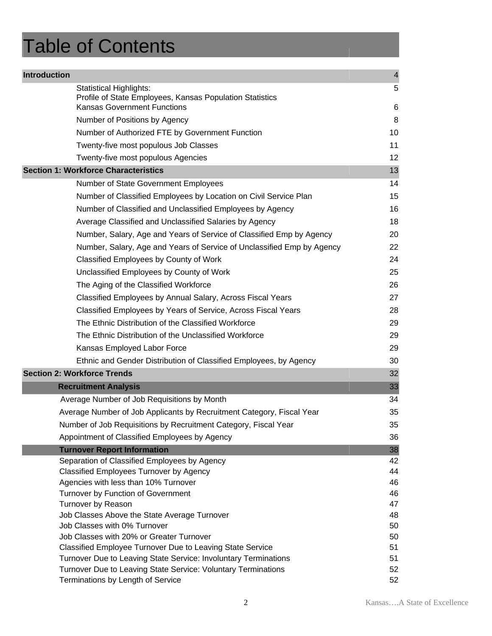# Table of Contents

| <b>Introduction</b> |                                                                                        | $\overline{4}$ |
|---------------------|----------------------------------------------------------------------------------------|----------------|
|                     | <b>Statistical Highlights:</b>                                                         | 5              |
|                     | Profile of State Employees, Kansas Population Statistics                               |                |
|                     | <b>Kansas Government Functions</b>                                                     | 6              |
|                     | Number of Positions by Agency                                                          | 8              |
|                     | Number of Authorized FTE by Government Function                                        | 10             |
|                     | Twenty-five most populous Job Classes                                                  | 11             |
|                     | Twenty-five most populous Agencies                                                     | 12             |
|                     | <b>Section 1: Workforce Characteristics</b>                                            | 13             |
|                     | Number of State Government Employees                                                   | 14             |
|                     | Number of Classified Employees by Location on Civil Service Plan                       | 15             |
|                     | Number of Classified and Unclassified Employees by Agency                              | 16             |
|                     | Average Classified and Unclassified Salaries by Agency                                 | 18             |
|                     | Number, Salary, Age and Years of Service of Classified Emp by Agency                   | 20             |
|                     | Number, Salary, Age and Years of Service of Unclassified Emp by Agency                 | 22             |
|                     | Classified Employees by County of Work                                                 | 24             |
|                     | Unclassified Employees by County of Work                                               | 25             |
|                     | The Aging of the Classified Workforce                                                  | 26             |
|                     | Classified Employees by Annual Salary, Across Fiscal Years                             | 27             |
|                     | Classified Employees by Years of Service, Across Fiscal Years                          | 28             |
|                     | The Ethnic Distribution of the Classified Workforce                                    | 29             |
|                     | The Ethnic Distribution of the Unclassified Workforce                                  | 29             |
|                     |                                                                                        |                |
|                     | Kansas Employed Labor Force                                                            | 29             |
|                     | Ethnic and Gender Distribution of Classified Employees, by Agency                      | 30             |
|                     | <b>Section 2: Workforce Trends</b>                                                     | 32             |
|                     | <b>Recruitment Analysis</b>                                                            | 33             |
|                     | Average Number of Job Requisitions by Month                                            | 34             |
|                     | Average Number of Job Applicants by Recruitment Category, Fiscal Year                  | 35             |
|                     | Number of Job Requisitions by Recruitment Category, Fiscal Year                        | 35             |
|                     | Appointment of Classified Employees by Agency                                          | 36             |
|                     | <b>Turnover Report Information</b>                                                     | 38             |
|                     | Separation of Classified Employees by Agency                                           | 42<br>44       |
|                     | <b>Classified Employees Turnover by Agency</b><br>Agencies with less than 10% Turnover | 46             |
|                     | Turnover by Function of Government                                                     | 46             |
|                     | Turnover by Reason                                                                     | 47             |
|                     | Job Classes Above the State Average Turnover                                           | 48             |
|                     | Job Classes with 0% Turnover                                                           | 50             |
|                     | Job Classes with 20% or Greater Turnover                                               | 50             |
|                     | Classified Employee Turnover Due to Leaving State Service                              | 51             |
|                     | Turnover Due to Leaving State Service: Involuntary Terminations                        | 51             |
|                     | Turnover Due to Leaving State Service: Voluntary Terminations                          | 52             |
|                     | Terminations by Length of Service                                                      | 52             |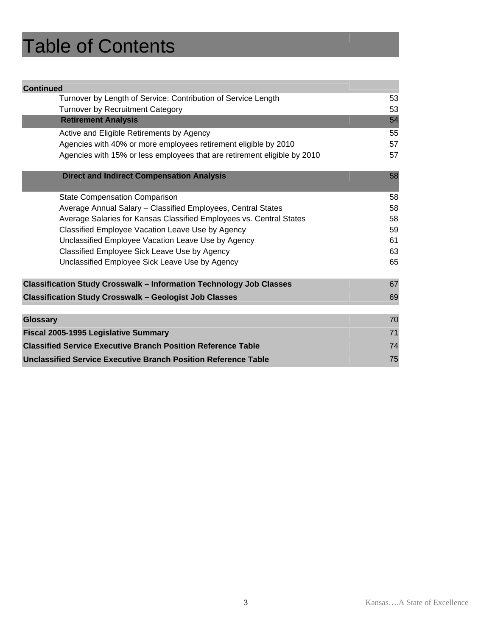# Table of Contents

| <b>Continued</b>                                                           |          |  |  |  |  |
|----------------------------------------------------------------------------|----------|--|--|--|--|
| Turnover by Length of Service: Contribution of Service Length              | 53       |  |  |  |  |
| <b>Turnover by Recruitment Category</b>                                    | 53       |  |  |  |  |
| <b>Retirement Analysis</b>                                                 | 54       |  |  |  |  |
| Active and Eligible Retirements by Agency                                  | 55       |  |  |  |  |
| Agencies with 40% or more employees retirement eligible by 2010            | 57       |  |  |  |  |
| Agencies with 15% or less employees that are retirement eligible by 2010   | 57       |  |  |  |  |
| <b>Direct and Indirect Compensation Analysis</b>                           | 58       |  |  |  |  |
| <b>State Compensation Comparison</b>                                       | 58       |  |  |  |  |
| Average Annual Salary - Classified Employees, Central States               | 58       |  |  |  |  |
| Average Salaries for Kansas Classified Employees vs. Central States        | 58       |  |  |  |  |
| Classified Employee Vacation Leave Use by Agency                           | 59       |  |  |  |  |
| Unclassified Employee Vacation Leave Use by Agency                         | 61       |  |  |  |  |
| Classified Employee Sick Leave Use by Agency                               | 63       |  |  |  |  |
| Unclassified Employee Sick Leave Use by Agency                             | 65       |  |  |  |  |
| <b>Classification Study Crosswalk - Information Technology Job Classes</b> | 67       |  |  |  |  |
| <b>Classification Study Crosswalk - Geologist Job Classes</b>              | 69       |  |  |  |  |
|                                                                            |          |  |  |  |  |
| <b>Glossary</b>                                                            | 70<br>71 |  |  |  |  |
| Fiscal 2005-1995 Legislative Summary                                       |          |  |  |  |  |
| <b>Classified Service Executive Branch Position Reference Table</b>        | 74       |  |  |  |  |
| Unclassified Service Executive Branch Position Reference Table             | 75       |  |  |  |  |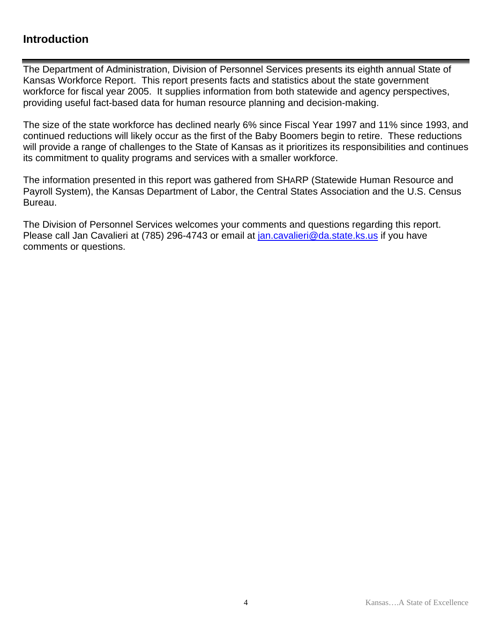## **Introduction**

The Department of Administration, Division of Personnel Services presents its eighth annual State of Kansas Workforce Report. This report presents facts and statistics about the state government workforce for fiscal year 2005. It supplies information from both statewide and agency perspectives, providing useful fact-based data for human resource planning and decision-making.

The size of the state workforce has declined nearly 6% since Fiscal Year 1997 and 11% since 1993, and continued reductions will likely occur as the first of the Baby Boomers begin to retire. These reductions will provide a range of challenges to the State of Kansas as it prioritizes its responsibilities and continues its commitment to quality programs and services with a smaller workforce.

The information presented in this report was gathered from SHARP (Statewide Human Resource and Payroll System), the Kansas Department of Labor, the Central States Association and the U.S. Census Bureau.

The Division of Personnel Services welcomes your comments and questions regarding this report. Please call Jan Cavalieri at (785) 296-4743 or email at jan.cavalieri@da.state.ks.us if you have comments or questions.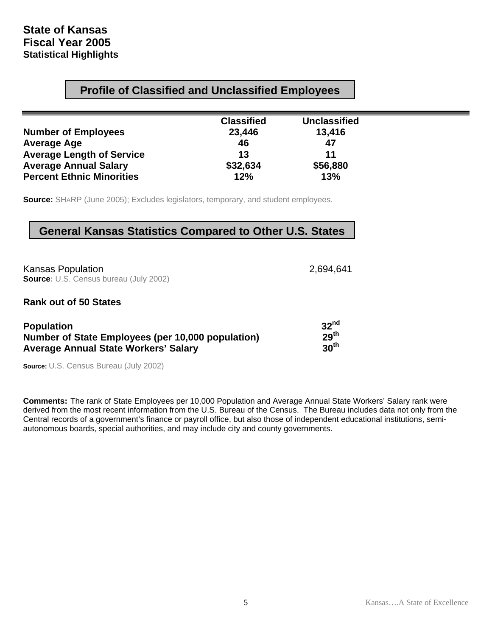## **Profile of Classified and Unclassified Employees**

| <b>Classified</b> | <b>Unclassified</b> |
|-------------------|---------------------|
| 23,446            | 13,416              |
| 46                | 47                  |
| 13                | 11                  |
| \$32,634          | \$56,880            |
| 12%               | 13%                 |
|                   |                     |

**Source:** SHARP (June 2005); Excludes legislators, temporary, and student employees.

### **General Kansas Statistics Compared to Other U.S. States**

Kansas Population 2,694,641 **Source:** U.S. Census bureau (July 2002)

#### **Rank out of 50 States**

| <b>Population</b>                                 | 32 <sup>nd</sup> |
|---------------------------------------------------|------------------|
| Number of State Employees (per 10,000 population) | 29 <sup>th</sup> |
| <b>Average Annual State Workers' Salary</b>       | 30 <sup>th</sup> |

**Source:** U.S. Census Bureau (July 2002)

**Comments:** The rank of State Employees per 10,000 Population and Average Annual State Workers' Salary rank were derived from the most recent information from the U.S. Bureau of the Census. The Bureau includes data not only from the Central records of a government's finance or payroll office, but also those of independent educational institutions, semiautonomous boards, special authorities, and may include city and county governments.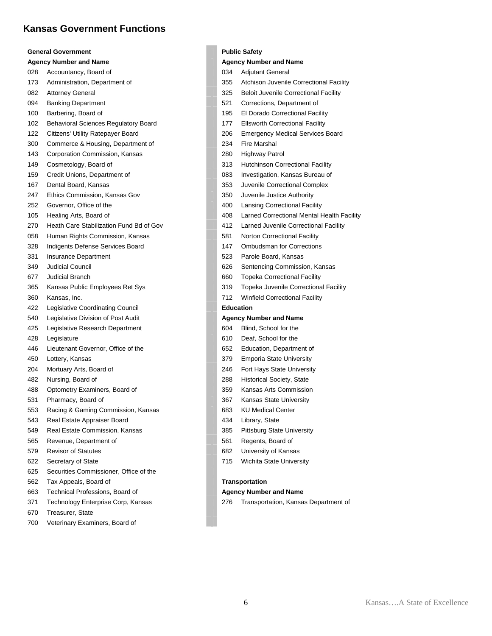### **Kansas Government Functions**

|     | <b>General Government</b>                   |     | <b>Public Safe</b> |
|-----|---------------------------------------------|-----|--------------------|
|     | <b>Agency Number and Name</b>               |     | <b>Agency Nu</b>   |
| 028 | Accountancy, Board of                       | 034 | Adju               |
| 173 | Administration, Department of               | 355 | Atch               |
| 082 | <b>Attorney General</b>                     | 325 | Belo               |
| 094 | <b>Banking Department</b>                   | 521 | Corr               |
| 100 | Barbering, Board of                         | 195 | EI Do              |
| 102 | <b>Behavioral Sciences Regulatory Board</b> | 177 | Ellsv              |
| 122 | Citizens' Utility Ratepayer Board           | 206 | Eme                |
| 300 | Commerce & Housing, Department of           | 234 | Fire               |
| 143 | Corporation Commission, Kansas              | 280 | High               |
| 149 | Cosmetology, Board of                       | 313 | Hutc               |
| 159 | Credit Unions, Department of                | 083 | <b>Inves</b>       |
| 167 | Dental Board, Kansas                        | 353 | Juve               |
| 247 | Ethics Commission, Kansas Gov               | 350 | Juve               |
| 252 | Governor, Office of the                     | 400 | Lans               |
| 105 | Healing Arts, Board of                      | 408 | Larn               |
| 270 | Heath Care Stabilization Fund Bd of Gov     | 412 | Larn               |
| 058 | Human Rights Commission, Kansas             | 581 | Norte              |
| 328 | Indigents Defense Services Board            | 147 | Omb                |
| 331 | Insurance Department                        | 523 | Paro               |
| 349 | <b>Judicial Council</b>                     | 626 | Sent               |
| 677 | <b>Judicial Branch</b>                      | 660 | Торє               |
| 365 | Kansas Public Employees Ret Sys             | 319 | Торє               |
| 360 | Kansas, Inc.                                | 712 | Winf               |
| 422 | Legislative Coordinating Council            |     | <b>Education</b>   |
| 540 | Legislative Division of Post Audit          |     | <b>Agency Nu</b>   |
| 425 | Legislative Research Department             | 604 | Blinc              |
| 428 | Legislature                                 | 610 | Deaf               |
| 446 | Lieutenant Governor, Office of the          | 652 | Educ               |
| 450 | Lottery, Kansas                             | 379 | Emp                |
| 204 | Mortuary Arts, Board of                     | 246 | Fort               |
| 482 | Nursing, Board of                           | 288 | Histo              |
| 488 | Optometry Examiners, Board of               | 359 | Kans               |
| 531 | Pharmacy, Board of                          | 367 | Kans               |
| 553 | Racing & Gaming Commission, Kansas          | 683 | KU N               |
| 543 | Real Estate Appraiser Board                 | 434 | Libra              |
| 549 | Real Estate Commission, Kansas              | 385 | Pitts              |
| 565 | Revenue, Department of                      | 561 | Reg                |
| 579 | <b>Revisor of Statutes</b>                  | 682 | Univ               |
| 622 | Secretary of State                          | 715 | Wich               |
| 625 | Securities Commissioner, Office of the      |     |                    |
| 562 | Tax Appeals, Board of                       |     | Transporta         |
| 663 | Technical Professions, Board of             |     | <b>Agency Nu</b>   |
| 371 | Technology Enterprise Corp, Kansas          | 276 | Tran               |
| 670 | Treasurer, State                            |     |                    |
| 700 | Veterinary Examiners, Board of              |     |                    |

#### **C** Safety

#### **cy Number and Name**

Adjutant General

- Atchison Juvenile Correctional Facility
- Beloit Juvenile Correctional Facility
- Corrections, Department of
- El Dorado Correctional Facility
- **Ellsworth Correctional Facility**
- Emergency Medical Services Board
- Fire Marshal
- Highway Patrol
- Hutchinson Correctional Facility
- Investigation, Kansas Bureau of
- Juvenile Correctional Complex
- Juvenile Justice Authority
- Lansing Correctional Facility
- Larned Correctional Mental Health Facility
- Larned Juvenile Correctional Facility
- Norton Correctional Facility
- **Ombudsman for Corrections**
- Parole Board, Kansas
- Sentencing Commission, Kansas
- Topeka Correctional Facility
- Topeka Juvenile Correctional Facility
- Winfield Correctional Facility

#### 540 Legislative Division of Post Audit **Agency Number and Name**

- Blind, School for the
- Deaf, School for the
- Education, Department of
- Emporia State University
- Fort Hays State University
- Historical Society, State
- Kansas Arts Commission
- Kansas State University
- **KU Medical Center**
- Library, State
- Pittsburg State University
- Regents, Board of
- University of Kansas
- Wichita State University

#### $3$ portation

#### 663 Technical Professions, Board of **Agency Number and Name**

Transportation, Kansas Department of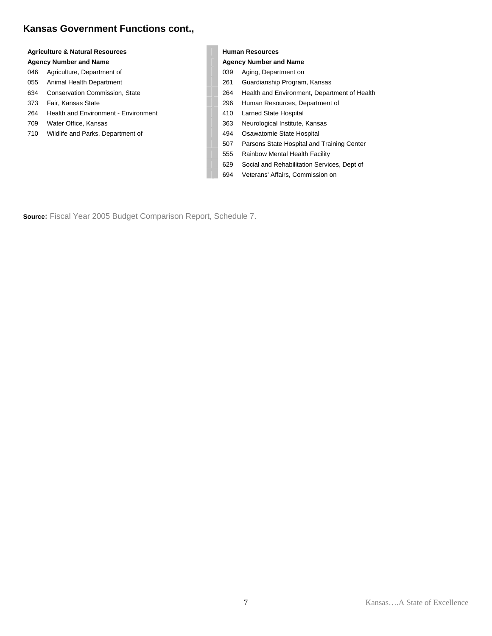### **Kansas Government Functions cont.,**

### Agriculture & Natural Resources **Agriculture & Natural Resources Human Resources**

- 
- 
- 
- 
- 264 Health and Environment Environment 410 Larned State Hospital
- 
- 710 Wildlife and Parks, Department of 494 Osawatomie State Hospital

#### Agency Number and Name **Agency Number and Name** Agency Number and Name

- 046 Agriculture, Department of 039 Aging, Department on
- 055 Animal Health Department 261 Cuardianship Program, Kansas
- 634 Conservation Commission, State 264 Health and Environment, Department of Health
- 373 Fair, Kansas State 296 Human Resources, Department of
	-
- 709 Water Office, Kansas 363 Neurological Institute, Kansas
	-
	- 507 Parsons State Hospital and Training Center
	- 555 Rainbow Mental Health Facility
	- 629 Social and Rehabilitation Services, Dept of
	- 694 Veterans' Affairs, Commission on

**Source:** Fiscal Year 2005 Budget Comparison Report, Schedule 7.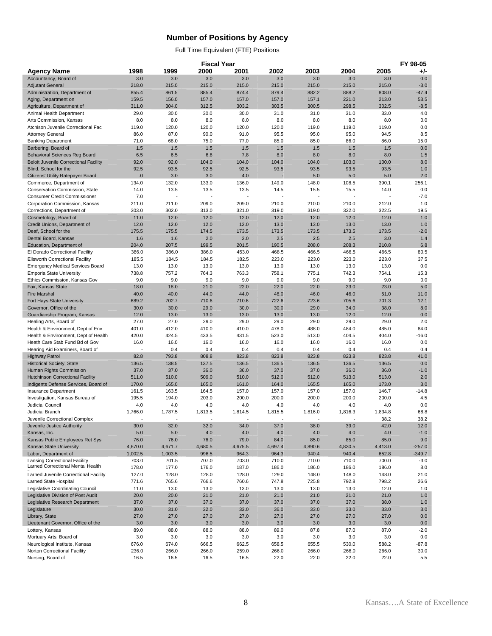### **Number of Positions by Agency**

Full Time Equivalent (FTE) Positions

|                                                                           |                          |                | <b>Fiscal Year</b> |                |                          |                |                |                | FY 98-05      |
|---------------------------------------------------------------------------|--------------------------|----------------|--------------------|----------------|--------------------------|----------------|----------------|----------------|---------------|
| Agency Name                                                               | 1998                     | 1999           | 2000               | 2001           | 2002                     | 2003           | 2004           | 2005           | +/-           |
| Accountancy, Board of                                                     | 3.0                      | 3.0            | 3.0                | 3.0            | 3.0                      | 3.0            | 3.0            | 3.0            | 0.0           |
| <b>Adjutant General</b>                                                   | 218.0                    | 215.0          | 215.0              | 215.0          | 215.0                    | 215.0          | 215.0          | 215.0          | $-3.0$        |
| Administration, Department of                                             | 855.4                    | 861.5          | 885.4              | 874.4          | 879.4                    | 882.2          | 888.2          | 808.0          | $-47.4$       |
| Aging, Department on                                                      | 159.5                    | 156.0          | 157.0              | 157.0          | 157.0                    | 157.1          | 221.0          | 213.0          | 53.5          |
| Agriculture, Department of                                                | 311.0<br>29.0            | 304.0<br>30.0  | 312.5              | 303.2          | 303.5                    | 300.5          | 298.5          | 302.5          | $-8.5$<br>4.0 |
| Animal Health Department<br>Arts Commission, Kansas                       | 8.0                      | 8.0            | 30.0<br>8.0        | 30.0<br>8.0    | 31.0<br>8.0              | 31.0<br>8.0    | 31.0<br>8.0    | 33.0<br>8.0    | 0.0           |
| Atchison Juvenile Correctional Fac                                        | 119.0                    | 120.0          | 120.0              | 120.0          | 120.0                    | 119.0          | 119.0          | 119.0          | 0.0           |
| <b>Attorney General</b>                                                   | 86.0                     | 87.0           | 90.0               | 91.0           | 95.5                     | 95.0           | 95.0           | 94.5           | 8.5           |
| <b>Banking Department</b>                                                 | 71.0                     | 68.0           | 75.0               | 77.0           | 85.0                     | 85.0           | 86.0           | 86.0           | 15.0          |
| Barbering, Board of                                                       | 1.5                      | 1.5            | 1.5                | 1.5            | 1.5                      | 1.5            | 1.5            | 1.5            | 0.0           |
| <b>Behavioral Sciences Reg Board</b>                                      | 6.5                      | 6.5            | 6.8                | 7.8            | 8.0                      | 8.0            | 8.0            | 8.0            | 1.5           |
| <b>Beloit Juvenile Correctional Facility</b>                              | 92.0                     | 92.0           | 104.0              | 104.0          | 104.0                    | 104.0          | 103.0          | 100.0          | 8.0           |
| Blind, School for the                                                     | 92.5                     | 93.5           | 92.5               | 92.5           | 93.5                     | 93.5           | 93.5           | 93.5           | 1.0           |
| Citizens' Utility Ratepayer Board                                         | 0.                       | 3.0            | 3.0                | 4.0            |                          | 5.0            | 5.0            | 5.0            | 2.0           |
| Commerce, Department of                                                   | 134.0                    | 132.0          | 133.0              | 136.0          | 149.0                    | 148.0          | 108.5          | 390.1          | 256.1         |
| Conservation Commission, State                                            | 14.0                     | 13.5           | 13.5               | 13.5           | 14.5                     | 15.5           | 15.5           | 14.0           | 0.0           |
| <b>Consumer Credit Commissioner</b>                                       | 7.0                      |                |                    |                |                          |                |                |                | $-7.0$        |
| Corporation Commission, Kansas                                            | 211.0                    | 211.0          | 209.0              | 209.0          | 210.0                    | 210.0          | 210.0          | 212.0          | 1.0           |
| Corrections, Department of                                                | 303.0                    | 302.0          | 313.0              | 321.0          | 319.0                    | 319.0          | 322.0          | 322.5          | 19.5          |
| Cosmetology, Board of                                                     | 11.0                     | 12.0           | 12.0               | 12.0           | 12.0                     | 12.0           | 12.0           | 12.0           | 1.0           |
| Credit Unions, Department of                                              | 12.0                     | 12.0           | 12.0               | 12.0           | 13.0                     | 13.0           | 13.0           | 13.0           | 1.0           |
| Deaf, School for the<br>Dental Board, Kansas                              | 175.5<br>1.6             | 175.5          | 174.5<br>2.0       | 173.5<br>2.0   | 173.5<br>2.5             | 173.5<br>2.5   | 173.5<br>2.5   | 173.5<br>3.0   | $-2.0$        |
| Education, Department of                                                  | 204.0                    | 1.6<br>207.5   | 199.5              | 201.5          | 190.5                    | 208.0          | 208.3          | 210.8          | 1.4<br>6.8    |
| El Dorado Correctional Facility                                           | 386.0                    | 386.0          | 386.0              | 453.0          | 468.5                    | 466.5          | 466.5          | 466.5          | 80.5          |
| <b>Ellsworth Correctional Facility</b>                                    | 185.5                    | 184.5          | 184.5              | 182.5          | 223.0                    | 223.0          | 223.0          | 223.0          | 37.5          |
| <b>Emergency Medical Services Board</b>                                   | 13.0                     | 13.0           | 13.0               | 13.0           | 13.0                     | 13.0           | 13.0           | 13.0           | 0.0           |
| <b>Emporia State University</b>                                           | 738.8                    | 757.2          | 764.3              | 763.3          | 758.1                    | 775.1          | 742.3          | 754.1          | 15.3          |
| Ethics Commission, Kansas Gov                                             | 9.0                      | 9.0            | 9.0                | 9.0            | 9.0                      | 9.0            | 9.0            | 9.0            | 0.0           |
| Fair, Kansas State                                                        | 18.0                     | 18.0           | 21.0               | 22.0           | 22.0                     | 22.0           | 23.0           | 23.0           | 5.0           |
| <b>Fire Marshal</b>                                                       | 40.0                     | 40.0           | 44.0               | 44.0           | 46.0                     | 46.0           | 46.0           | 51.0           | 11.0          |
| Fort Hays State University                                                | 689.2                    | 702.7          | 710.6              | 710.6          | 722.6                    | 723.6          | 705.6          | 701.3          | 12.1          |
| Governor, Office of the                                                   | 30.0                     | 30.0           | 29.0               | 30.0           | 30.0                     | 29.0           | 34.0           | 38.0           | 8.0           |
| Guardianship Program, Kansas                                              | 12.0                     | 13.0           | 13.0               | 13.0           | 13.0                     | 13.0           | 12.0           | 12.0           | 0.0           |
| Healing Arts, Board of                                                    | 27.0                     | 27.0           | 29.0               | 29.0           | 29.0                     | 29.0           | 29.0           | 29.0           | 2.0           |
| Health & Environment, Dept of Env                                         | 401.0                    | 412.0          | 410.0              | 410.0          | 478.0                    | 488.0          | 484.0          | 485.0          | 84.0          |
| Health & Environment, Dept of Health                                      | 420.0                    | 424.5          | 433.5              | 431.5          | 523.0                    | 513.0          | 404.5          | 404.0          | $-16.0$       |
| Heath Care Stab Fund Bd of Gov                                            | 16.0                     | 16.0           | 16.0               | 16.0           | 16.0                     | 16.0           | 16.0           | 16.0           | 0.0           |
| Hearing Aid Examiners, Board of<br><b>Highway Patrol</b>                  | 82.8                     | 0.4<br>793.8   | 0.4<br>808.8       | 0.4<br>823.8   | 0.4<br>823.8             | 0.4<br>823.8   | 0.4<br>823.8   | 0.4<br>823.8   | 0.4<br>41.0   |
| <b>Historical Society, State</b>                                          | 136.5                    | 138.5          | 137.5              | 136.5          | 136.5                    | 136.5          | 136.5          | 136.5          | 0.0           |
| Human Rights Commission                                                   | 37.0                     | 37.0           | 36.0               | 36.0           | 37.0                     | 37.0           | 36.0           | 36.0           | $-1.0$        |
| <b>Hutchinson Correctional Facility</b>                                   | 511.0                    | 510.0          | 509.0              | 510.0          | 512.0                    | 512.0          | 513.0          | 513.0          | 2.0           |
| Indigents Defense Services, Board of                                      | 170.0                    | 165.0          | 165.0              | 161.0          | 164.0                    | 165.5          | 165.0          | 173.0          | 3.0           |
| Insurance Department                                                      | 161.5                    | 163.5          | 164.5              | 157.0          | 157.0                    | 157.0          | 157.0          | 146.7          | $-14.8$       |
| Investigation, Kansas Bureau of                                           | 195.5                    | 194.0          | 203.0              | 200.0          | 200.0                    | 200.0          | 200.0          | 200.0          | 4.5           |
| Judicial Council                                                          | 4.0                      | 4.0            | 4.0                | 4.0            | 4.0                      | 4.0            | 4.0            | 4.0            | 0.0           |
| Judicial Branch                                                           | 1,766.0                  | 1.787.5        | 1,813.5            | 1,814.5        | 1,815.5                  | 1,816.0        | 1,816.3        | 1,834.8        | 68.8          |
| Juvenile Correctional Complex                                             | $\overline{\phantom{a}}$ |                |                    | $\overline{a}$ | $\overline{\phantom{a}}$ |                | $\overline{a}$ | 38.2           | 38.2          |
| Juvenile Justice Authority                                                | 30.0                     | 32.0           | 32.0               | 34.0           | 37.0                     | 38.0           | 39.0           | 42.0           | 12.0          |
| Kansas, Inc.                                                              | 5.0                      | 5.0            | 4.0                | 4.0            | 4.0                      | 4.0            | 4.0            | 4.0            | $-1.0$        |
| Kansas Public Employees Ret Sys                                           | 76.0                     | 76.0           | 76.0               | 79.0           | 84.0                     | 85.0           | 85.0           | 85.0           | 9.0           |
| Kansas State University                                                   | 4,670.0                  | 4,671.7        | 4,680.5            | 4,675.5        | 4,697.4                  | 4,890.6        | 4,830.5        | 4,413.0        | $-257.0$      |
| Labor, Department of                                                      | 1,002.5                  | 1,003.5        | 996.5              | 964.3          | 964.3                    | 940.4          | 940.4          | 652.8          | $-349.7$      |
| <b>Lansing Correctional Facility</b><br>Larned Correctional Mental Health | 703.0<br>178.0           | 701.5<br>177.0 | 707.0<br>176.0     | 703.0          | 710.0<br>186.0           | 710.0<br>186.0 | 710.0<br>186.0 | 700.0<br>186.0 | $-3.0$<br>8.0 |
| Larned Juvenile Correctional Facility                                     | 127.0                    | 128.0          | 128.0              | 187.0<br>128.0 | 129.0                    | 148.0          | 148.0          | 148.0          | 21.0          |
| Larned State Hospital                                                     | 771.6                    | 765.6          | 766.6              | 760.6          | 747.8                    | 725.8          | 792.8          | 798.2          | 26.6          |
| Legislative Coordinating Council                                          | 11.0                     | 13.0           | 13.0               | 13.0           | 13.0                     | 13.0           | 13.0           | 12.0           | 1.0           |
| Legislative Division of Post Audit                                        | 20.0                     | 20.0           | 21.0               | 21.0           | 21.0                     | 21.0           | 21.0           | 21.0           | 1.0           |
| Legislative Research Department                                           | 37.0                     | 37.0           | 37.0               | 37.0           | 37.0                     | 37.0           | 37.0           | 38.0           | 1.0           |
| Legislature                                                               | 30.0                     | 31.0           | 32.0               | 33.0           | 36.0                     | 33.0           | 33.0           | 33.0           | 3.0           |
| Library, State                                                            | 27.0                     | 27.0           | 27.0               | 27.0           | 27.0                     | 27.0           | 27.0           | 27.0           | 0.0           |
| Lieutenant Governor, Office of the                                        | 3.0                      | 3.0            | 3.0                | 3.0            | 3.0                      | 3.0            | 3.0            | 3.0            | 0.0           |
| Lottery, Kansas                                                           | 89.0                     | 88.0           | 88.0               | 88.0           | 89.0                     | 87.8           | 87.0           | 87.0           | $-2.0$        |
| Mortuary Arts, Board of                                                   | 3.0                      | 3.0            | 3.0                | 3.0            | 3.0                      | 3.0            | 3.0            | 3.0            | 0.0           |
| Neurological Institute, Kansas                                            | 676.0                    | 674.0          | 666.5              | 662.5          | 658.5                    | 655.5          | 530.0          | 588.2          | $-87.8$       |
| Norton Correctional Facility                                              | 236.0                    | 266.0          | 266.0              | 259.0          | 266.0                    | 266.0          | 266.0          | 266.0          | 30.0          |
| Nursing, Board of                                                         | 16.5                     | 16.5           | 16.5               | 16.5           | 22.0                     | 22.0           | 22.0           | 22.0           | 5.5           |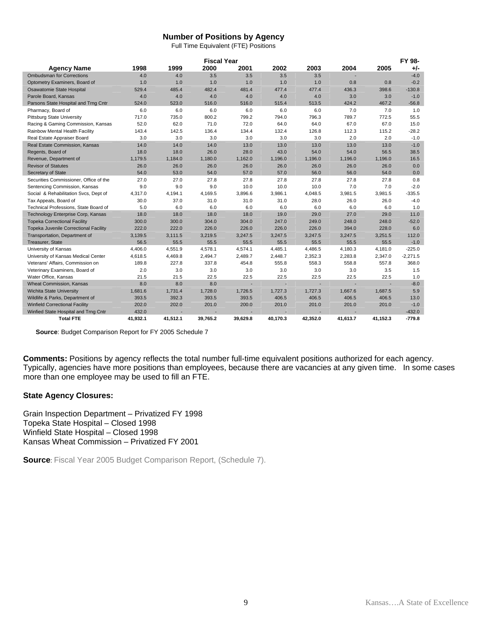#### **Number of Positions by Agency**

Full Time Equivalent (FTE) Positions

|                                        | <b>Fiscal Year</b> |          |          |          |          |                          |          |          | FY 98-     |
|----------------------------------------|--------------------|----------|----------|----------|----------|--------------------------|----------|----------|------------|
| <b>Agency Name</b>                     | 1998               | 1999     | 2000     | 2001     | 2002     | 2003                     | 2004     | 2005     | +/-        |
| <b>Ombudsman for Corrections</b>       | 4.0                | 4.0      | 3.5      | 3.5      | 3.5      | 3.5                      |          |          | $-4.0$     |
| Optometry Examiners, Board of          | 1.0                | 1.0      | 1.0      | 1.0      | 1.0      | 1.0                      | 0.8      | 0.8      | $-0.2$     |
| Osawatomie State Hospital              | 529.4              | 485.4    | 482.4    | 481.4    | 477.4    | 477.4                    | 436.3    | 398.6    | $-130.8$   |
| Parole Board, Kansas                   | 4.0                | 4.0      | 4.0      | 4.0      | 4.0      | 4.0                      | 3.0      | 3.0      | $-1.0$     |
| Parsons State Hospital and Trng Cntr   | 524.0              | 523.0    | 516.0    | 516.0    | 515.4    | 513.5                    | 424.2    | 467.2    | $-56.8$    |
| Pharmacy, Board of                     | 6.0                | 6.0      | 6.0      | 6.0      | 6.0      | 6.0                      | 7.0      | 7.0      | 1.0        |
| <b>Pittsburg State University</b>      | 717.0              | 735.0    | 800.2    | 799.2    | 794.0    | 796.3                    | 789.7    | 772.5    | 55.5       |
| Racing & Gaming Commission, Kansas     | 52.0               | 62.0     | 71.0     | 72.0     | 64.0     | 64.0                     | 67.0     | 67.0     | 15.0       |
| Rainbow Mental Health Facility         | 143.4              | 142.5    | 136.4    | 134.4    | 132.4    | 126.8                    | 112.3    | 115.2    | $-28.2$    |
| Real Estate Appraiser Board            | 3.0                | 3.0      | 3.0      | 3.0      | 3.0      | 3.0                      | 2.0      | 2.0      | $-1.0$     |
| Real Estate Commission, Kansas         | 14.0               | 14.0     | 14.0     | 13.0     | 13.0     | 13.0                     | 13.0     | 13.0     | $-1.0$     |
| Regents, Board of                      | 18.0               | 18.0     | 26.0     | 28.0     | 43.0     | 54.0                     | 54.0     | 56.5     | 38.5       |
| Revenue, Department of                 | 1,179.5            | 1,184.0  | 1.180.0  | 1,162.0  | 1,196.0  | 1,196.0                  | 1,196.0  | 1,196.0  | 16.5       |
| <b>Revisor of Statutes</b>             | 26.0               | 26.0     | 26.0     | 26.0     | 26.0     | 26.0                     | 26.0     | 26.0     | 0.0        |
| Secretary of State                     | 54.0               | 53.0     | 54.0     | 57.0     | 57.0     | 56.0                     | 56.0     | 54.0     | 0.0        |
| Securities Commissioner, Office of the | 27.0               | 27.0     | 27.8     | 27.8     | 27.8     | 27.8                     | 27.8     | 27.8     | 0.8        |
| Sentencing Commission, Kansas          | 9.0                | 9.0      | 9.0      | 10.0     | 10.0     | 10.0                     | 7.0      | 7.0      | $-2.0$     |
| Social & Rehabilitation Svcs, Dept of  | 4.317.0            | 4.194.1  | 4.169.5  | 3.896.6  | 3.986.1  | 4.048.5                  | 3.981.5  | 3.981.5  | $-335.5$   |
| Tax Appeals, Board of                  | 30.0               | 37.0     | 31.0     | 31.0     | 31.0     | 28.0                     | 26.0     | 26.0     | $-4.0$     |
| Technical Professions, State Board of  | 5.0                | 6.0      | 6.0      | 6.0      | 6.0      | 6.0                      | 6.0      | 6.0      | 1.0        |
| Technology Enterprise Corp, Kansas     | 18.0               | 18.0     | 18.0     | 18.0     | 19.0     | 29.0                     | 27.0     | 29.0     | 11.0       |
| <b>Topeka Correctional Facility</b>    | 300.0              | 300.0    | 304.0    | 304.0    | 247.0    | 249.0                    | 248.0    | 248.0    | $-52.0$    |
| Topeka Juvenile Correctional Facility  | 222.0              | 222.0    | 226.0    | 226.0    | 226.0    | 226.0                    | 394.0    | 228.0    | 6.0        |
| Transportation, Department of          | 3,139.5            | 3,111.5  | 3,219.5  | 3,247.5  | 3,247.5  | 3,247.5                  | 3,247.5  | 3,251.5  | 112.0      |
| Treasurer, State                       | 56.5               | 55.5     | 55.5     | 55.5     | 55.5     | 55.5                     | 55.5     | 55.5     | $-1.0$     |
| University of Kansas                   | 4,406.0            | 4,551.9  | 4,578.1  | 4,574.1  | 4,485.1  | 4,486.5                  | 4,180.3  | 4,181.0  | $-225.0$   |
| University of Kansas Medical Center    | 4,618.5            | 4,469.8  | 2,494.7  | 2,489.7  | 2,448.7  | 2,352.3                  | 2,283.8  | 2,347.0  | $-2,271.5$ |
| Veterans' Affairs, Commission on       | 189.8              | 227.8    | 337.8    | 454.8    | 555.8    | 558.3                    | 558.8    | 557.8    | 368.0      |
| Veterinary Examiners, Board of         | 2.0                | 3.0      | 3.0      | 3.0      | 3.0      | 3.0                      | 3.0      | 3.5      | 1.5        |
| Water Office, Kansas                   | 21.5               | 21.5     | 22.5     | 22.5     | 22.5     | 22.5                     | 22.5     | 22.5     | 1.0        |
| <b>Wheat Commission, Kansas</b>        | 8.0                | 8.0      | 8.0      | ٠        | ٠        | $\overline{\phantom{a}}$ |          | ٠        | $-8.0$     |
| Wichita State University               | 1,681.6            | 1.731.4  | 1.728.0  | 1,726.5  | 1,727.3  | 1,727.3                  | 1,667.6  | 1,687.5  | 5.9        |
| Wildlife & Parks, Department of        | 393.5              | 392.3    | 393.5    | 393.5    | 406.5    | 406.5                    | 406.5    | 406.5    | 13.0       |
| <b>Winfield Correctional Facility</b>  | 202.0              | 202.0    | 201.0    | 200.0    | 201.0    | 201.0                    | 201.0    | 201.0    | $-1.0$     |
| Winfied State Hospital and Trng Cntr   | 432.0              |          |          |          |          |                          |          |          | $-432.0$   |
| <b>Total FTE</b>                       | 41,932.1           | 41,512.1 | 39,765.2 | 39,629.8 | 40,170.3 | 42,352.0                 | 41,613.7 | 41,152.3 | $-779.8$   |

**Source**: Budget Comparison Report for FY 2005 Schedule 7

**Comments:** Positions by agency reflects the total number full-time equivalent positions authorized for each agency. Typically, agencies have more positions than employees, because there are vacancies at any given time. In some cases more than one employee may be used to fill an FTE.

#### **State Agency Closures:**

Grain Inspection Department – Privatized FY 1998 Topeka State Hospital – Closed 1998 Winfield State Hospital – Closed 1998 Kansas Wheat Commission – Privatized FY 2001

**Source**: Fiscal Year 2005 Budget Comparison Report, (Schedule 7).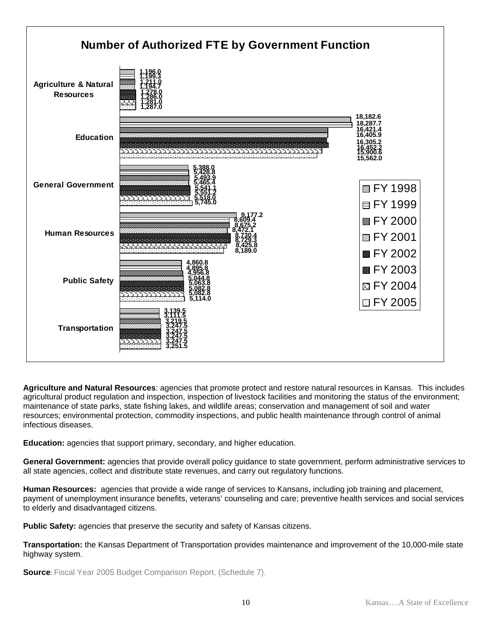

**Agriculture and Natural Resources**: agencies that promote protect and restore natural resources in Kansas. This includes agricultural product regulation and inspection, inspection of livestock facilities and monitoring the status of the environment; maintenance of state parks, state fishing lakes, and wildlife areas; conservation and management of soil and water resources; environmental protection, commodity inspections, and public health maintenance through control of animal infectious diseases.

**Education:** agencies that support primary, secondary, and higher education.

**General Government:** agencies that provide overall policy guidance to state government, perform administrative services to all state agencies, collect and distribute state revenues, and carry out regulatory functions.

**Human Resources:** agencies that provide a wide range of services to Kansans, including job training and placement, payment of unemployment insurance benefits, veterans' counseling and care; preventive health services and social services to elderly and disadvantaged citizens.

**Public Safety:** agencies that preserve the security and safety of Kansas citizens.

**Transportation:** the Kansas Department of Transportation provides maintenance and improvement of the 10,000-mile state highway system.

**Source**: Fiscal Year 2005 Budget Comparison Report, (Schedule 7).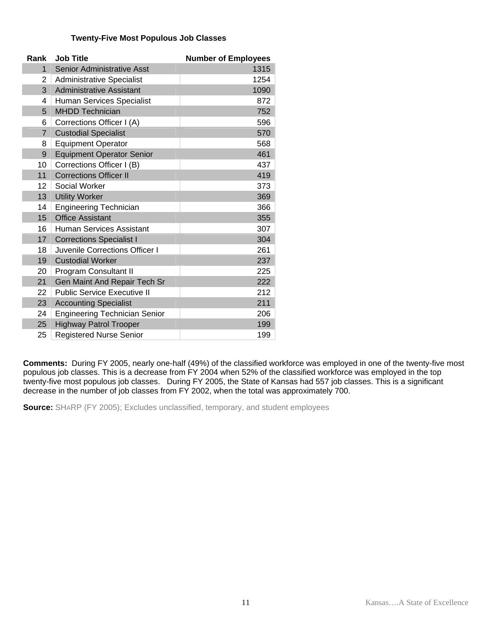#### **Twenty-Five Most Populous Job Classes**

| Rank              | <b>Job Title</b>                     | <b>Number of Employees</b> |
|-------------------|--------------------------------------|----------------------------|
| $\mathbf{1}$      | <b>Senior Administrative Asst</b>    | 1315                       |
| 2                 | <b>Administrative Specialist</b>     | 1254                       |
| 3                 | <b>Administrative Assistant</b>      | 1090                       |
| 4                 | Human Services Specialist            | 872                        |
| 5                 | <b>MHDD Technician</b>               | 752                        |
| 6                 | Corrections Officer I (A)            | 596                        |
| $\overline{7}$    | <b>Custodial Specialist</b>          | 570                        |
| 8                 | <b>Equipment Operator</b>            | 568                        |
| 9                 | <b>Equipment Operator Senior</b>     | 461                        |
| 10                | Corrections Officer I (B)            | 437                        |
| 11                | <b>Corrections Officer II</b>        | 419                        |
| $12 \overline{ }$ | Social Worker                        | 373                        |
| 13                | <b>Utility Worker</b>                | 369                        |
| 14                | <b>Engineering Technician</b>        | 366                        |
| 15                | <b>Office Assistant</b>              | 355                        |
| 16                | <b>Human Services Assistant</b>      | 307                        |
| 17                | <b>Corrections Specialist I</b>      | 304                        |
| 18                | Juvenile Corrections Officer I       | 261                        |
| 19                | <b>Custodial Worker</b>              | 237                        |
| 20                | Program Consultant II                | 225                        |
| 21                | Gen Maint And Repair Tech Sr         | 222                        |
| 22                | <b>Public Service Executive II</b>   | 212                        |
| 23                | <b>Accounting Specialist</b>         | 211                        |
| 24                | <b>Engineering Technician Senior</b> | 206                        |
| 25                | <b>Highway Patrol Trooper</b>        | 199                        |
| 25                | <b>Registered Nurse Senior</b>       | 199                        |

**Comments:** During FY 2005, nearly one-half (49%) of the classified workforce was employed in one of the twenty-five most populous job classes. This is a decrease from FY 2004 when 52% of the classified workforce was employed in the top twenty-five most populous job classes. During FY 2005, the State of Kansas had 557 job classes. This is a significant decrease in the number of job classes from FY 2002, when the total was approximately 700.

**Source:** SHARP (FY 2005); Excludes unclassified, temporary, and student employees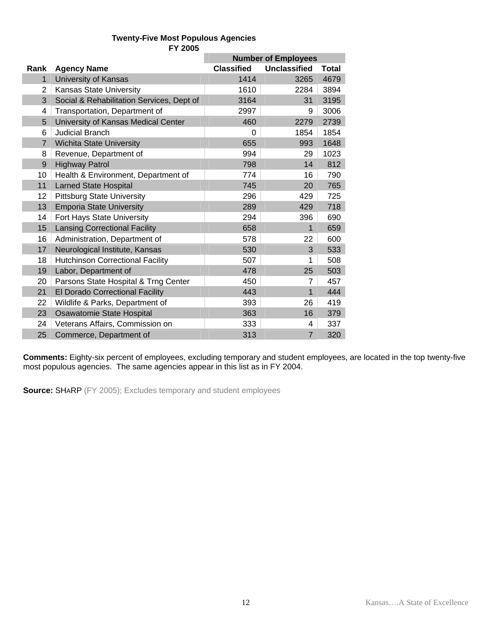### **Twenty-Five Most Populous Agencies FY 2005**

|                |                                           | <b>Number of Employees</b> |                     |              |
|----------------|-------------------------------------------|----------------------------|---------------------|--------------|
| Rank           | <b>Agency Name</b>                        | <b>Classified</b>          | <b>Unclassified</b> | <b>Total</b> |
| $\mathbf{1}$   | <b>University of Kansas</b>               | 1414                       | 3265                | 4679         |
| 2              | Kansas State University                   | 1610                       | 2284                | 3894         |
| 3              | Social & Rehabilitation Services, Dept of | 3164                       | 31                  | 3195         |
| 4              | Transportation, Department of             | 2997                       | 9                   | 3006         |
| 5              | University of Kansas Medical Center       | 460                        | 2279                | 2739         |
| 6              | <b>Judicial Branch</b>                    | 0                          | 1854                | 1854         |
| $\overline{7}$ | <b>Wichita State University</b>           | 655                        | 993                 | 1648         |
| 8              | Revenue, Department of                    | 994                        | 29                  | 1023         |
| 9              | <b>Highway Patrol</b>                     | 798                        | 14                  | 812          |
| 10             | Health & Environment, Department of       | 774                        | 16                  | 790          |
| 11             | <b>Larned State Hospital</b>              | 745                        | 20                  | 765          |
| 12             | <b>Pittsburg State University</b>         | 296                        | 429                 | 725          |
| 13             | <b>Emporia State University</b>           | 289                        | 429                 | 718          |
| 14             | Fort Hays State University                | 294                        | 396                 | 690          |
| 15             | <b>Lansing Correctional Facility</b>      | 658                        | 1                   | 659          |
| 16             | Administration, Department of             | 578                        | 22                  | 600          |
| 17             | Neurological Institute, Kansas            | 530                        | 3                   | 533          |
| 18             | <b>Hutchinson Correctional Facility</b>   | 507                        |                     | 508          |
| 19             | Labor, Department of                      | 478                        | 25                  | 503          |
| 20             | Parsons State Hospital & Trng Center      | 450                        | 7                   | 457          |
| 21             | El Dorado Correctional Facility           | 443                        | 1                   | 444          |
| 22             | Wildlife & Parks, Department of           | 393                        | 26                  | 419          |
| 23             | Osawatomie State Hospital                 | 363                        | 16                  | 379          |
| 24             | Veterans Affairs, Commission on           | 333                        | 4                   | 337          |
| 25             | Commerce, Department of                   | 313                        | $\overline{7}$      | 320          |

**Comments:** Eighty-six percent of employees, excluding temporary and student employees, are located in the top twenty-five most populous agencies. The same agencies appear in this list as in FY 2004.

**Source:** SHARP (FY 2005); Excludes temporary and student employees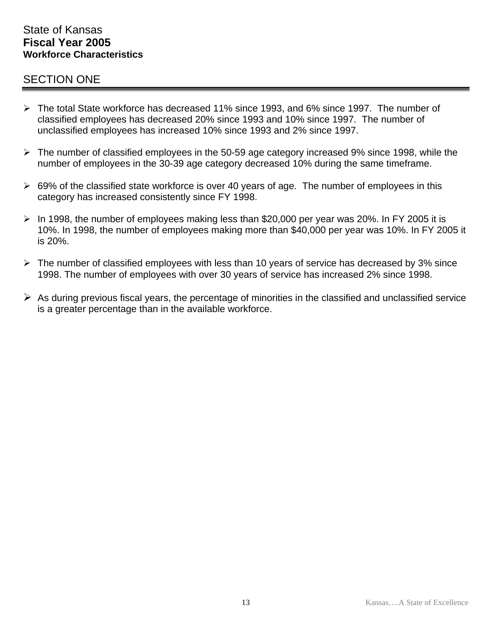### State of Kansas **Fiscal Year 2005 Workforce Characteristics**

## SECTION ONE

- ¾ The total State workforce has decreased 11% since 1993, and 6% since 1997. The number of classified employees has decreased 20% since 1993 and 10% since 1997. The number of unclassified employees has increased 10% since 1993 and 2% since 1997.
- $\triangleright$  The number of classified employees in the 50-59 age category increased 9% since 1998, while the number of employees in the 30-39 age category decreased 10% during the same timeframe.
- $\geq$  69% of the classified state workforce is over 40 years of age. The number of employees in this category has increased consistently since FY 1998.
- $\triangleright$  In 1998, the number of employees making less than \$20,000 per year was 20%. In FY 2005 it is 10%. In 1998, the number of employees making more than \$40,000 per year was 10%. In FY 2005 it is 20%.
- $\triangleright$  The number of classified employees with less than 10 years of service has decreased by 3% since 1998. The number of employees with over 30 years of service has increased 2% since 1998.
- $\triangleright$  As during previous fiscal years, the percentage of minorities in the classified and unclassified service is a greater percentage than in the available workforce.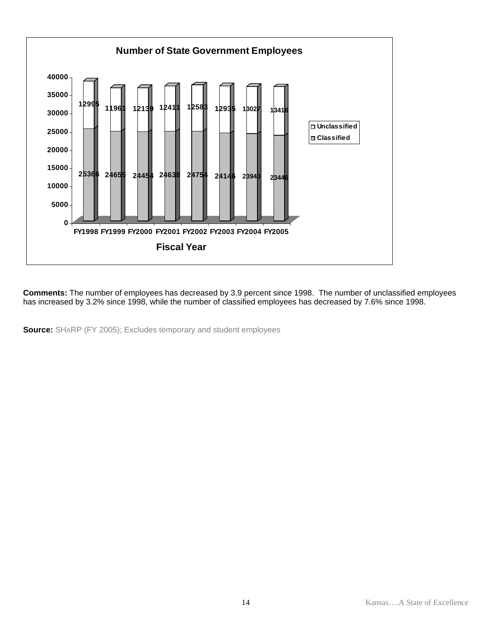

**Comments:** The number of employees has decreased by 3.9 percent since 1998. The number of unclassified employees has increased by 3.2% since 1998, while the number of classified employees has decreased by 7.6% since 1998.

**Source:** SHARP (FY 2005); Excludes temporary and student employees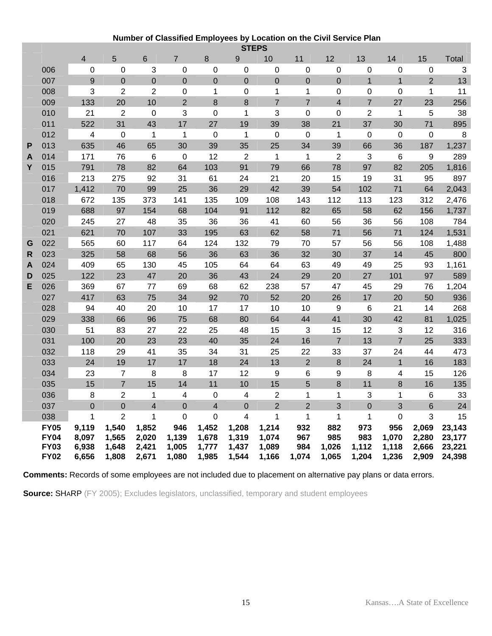### **Number of Classified Employees by Location on the Civil Service Plan**

|   | <b>STEPS</b>                                             |                                  |                                  |                                  |                                |                                  |                                  |                                  |                            |                              |                              |                                |                                  |                                      |
|---|----------------------------------------------------------|----------------------------------|----------------------------------|----------------------------------|--------------------------------|----------------------------------|----------------------------------|----------------------------------|----------------------------|------------------------------|------------------------------|--------------------------------|----------------------------------|--------------------------------------|
|   |                                                          | $\overline{4}$                   | 5                                | $6\phantom{1}$                   | $\overline{7}$                 | 8                                | 9                                | 10                               | 11                         | 12                           | 13                           | 14                             | 15                               | Total                                |
|   | 006                                                      | 0                                | 0                                | 3                                | 0                              | 0                                | 0                                | 0                                | 0                          | 0                            | 0                            | 0                              | 0                                | 3                                    |
|   | 007                                                      | 9                                | $\mathbf 0$                      | $\boldsymbol{0}$                 | $\overline{0}$                 | $\mathbf 0$                      | $\overline{0}$                   | $\mathbf 0$                      | $\overline{0}$             | $\overline{0}$               | $\mathbf 1$                  | $\mathbf{1}$                   | $\overline{2}$                   | 13                                   |
|   | 008                                                      | 3                                | $\overline{2}$                   | $\overline{c}$                   | 0                              | 1                                | 0                                | 1                                | 1                          | 0                            | 0                            | 0                              | 1                                | 11                                   |
|   | 009                                                      | 133                              | 20                               | 10                               | $\overline{2}$                 | 8                                | 8                                | $\overline{7}$                   | $\overline{7}$             | $\overline{\mathbf{4}}$      | $\overline{7}$               | 27                             | 23                               | 256                                  |
|   | 010                                                      | 21                               | $\overline{2}$                   | 0                                | 3                              | $\mathbf 0$                      | $\mathbf 1$                      | 3                                | 0                          | $\mathbf 0$                  | $\overline{2}$               | $\mathbf 1$                    | 5                                | 38                                   |
|   | 011                                                      | 522                              | 31                               | 43                               | 17                             | 27                               | 19                               | 39                               | 38                         | 21                           | 37                           | 30                             | 71                               | 895                                  |
|   | 012                                                      | $\overline{\mathbf{4}}$          | $\mathbf 0$                      | 1                                | 1                              | $\boldsymbol{0}$                 | $\mathbf{1}$                     | $\mathbf 0$                      | $\boldsymbol{0}$           | 1                            | 0                            | $\mathbf 0$                    | $\boldsymbol{0}$                 | 8                                    |
| P | 013                                                      | 635                              | 46                               | 65                               | 30                             | 39                               | 35                               | 25                               | 34                         | 39                           | 66                           | 36                             | 187                              | 1,237                                |
| A | 014                                                      | 171                              | 76                               | 6                                | $\mathbf 0$                    | 12                               | $\overline{2}$                   | $\mathbf{1}$                     | $\mathbf{1}$               | $\overline{2}$               | 3                            | 6                              | 9                                | 289                                  |
| Υ | 015                                                      | 791                              | 78                               | 82                               | 64                             | 103                              | 91                               | 79                               | 66                         | 78                           | 97                           | 82                             | 205                              | 1,816                                |
|   | 016                                                      | 213                              | 275                              | 92                               | 31                             | 61                               | 24                               | 21                               | 20                         | 15                           | 19                           | 31                             | 95                               | 897                                  |
|   | 017                                                      | 1,412                            | 70                               | 99                               | 25                             | 36                               | 29                               | 42                               | 39                         | 54                           | 102                          | 71                             | 64                               | 2,043                                |
|   | 018                                                      | 672                              | 135                              | 373                              | 141                            | 135                              | 109                              | 108                              | 143                        | 112                          | 113                          | 123                            | 312                              | 2,476                                |
|   | 019                                                      | 688                              | 97                               | 154                              | 68                             | 104                              | 91                               | 112                              | 82                         | 65                           | 58                           | 62                             | 156                              | 1,737                                |
|   | 020                                                      | 245                              | 27                               | 48                               | 35                             | 36                               | 36                               | 41                               | 60                         | 56                           | 36                           | 56                             | 108                              | 784                                  |
|   | 021                                                      | 621                              | 70                               | 107                              | 33                             | 195                              | 63                               | 62                               | 58                         | 71                           | 56                           | 71                             | 124                              | 1,531                                |
| G | 022                                                      | 565                              | 60                               | 117                              | 64                             | 124                              | 132                              | 79                               | 70                         | 57                           | 56                           | 56                             | 108                              | 1,488                                |
| R | 023                                                      | 325                              | 58                               | 68                               | 56                             | 36                               | 63                               | 36                               | 32                         | 30                           | 37                           | 14                             | 45                               | 800                                  |
| A | 024                                                      | 409                              | 65                               | 130                              | 45                             | 105                              | 64                               | 64                               | 63                         | 49                           | 49                           | 25                             | 93                               | 1,161                                |
| D | 025                                                      | 122                              | 23                               | 47                               | 20                             | 36                               | 43                               | 24                               | 29                         | 20                           | 27                           | 101                            | 97                               | 589                                  |
| Е | 026                                                      | 369                              | 67                               | 77                               | 69                             | 68                               | 62                               | 238                              | 57                         | 47                           | 45                           | 29                             | 76                               | 1,204                                |
|   | 027                                                      | 417                              | 63                               | 75                               | 34                             | 92                               | 70                               | 52                               | 20                         | 26                           | 17                           | 20                             | 50                               | 936                                  |
|   | 028                                                      | 94                               | 40                               | 20                               | 10                             | 17                               | 17                               | 10                               | 10                         | 9                            | $\,6$                        | 21                             | 14                               | 268                                  |
|   | 029                                                      | 338                              | 66                               | 96                               | 75                             | 68                               | 80                               | 64                               | 44                         | 41                           | 30                           | 42                             | 81                               | 1,025                                |
|   | 030                                                      | 51                               | 83                               | 27                               | 22                             | 25                               | 48                               | 15                               | 3                          | 15                           | 12                           | 3                              | 12                               | 316                                  |
|   | 031                                                      | 100                              | 20                               | 23                               | 23                             | 40                               | 35                               | 24                               | 16                         | $\overline{7}$               | 13                           | $\overline{7}$                 | 25                               | 333                                  |
|   | 032                                                      | 118                              | 29                               | 41                               | 35                             | 34                               | 31                               | 25                               | 22                         | 33                           | 37                           | 24                             | 44                               | 473                                  |
|   | 033                                                      | 24                               | 19                               | 17                               | 17                             | 18                               | 24                               | 13                               | $\overline{2}$             | 8                            | 24                           | $\mathbf 1$                    | 16                               | 183                                  |
|   | 034                                                      | 23                               | $\overline{7}$                   | 8                                | 8                              | 17                               | 12                               | $9\,$                            | 6                          | 9                            | 8                            | 4                              | 15                               | 126                                  |
|   | 035                                                      | 15                               | $\overline{7}$                   | 15                               | 14                             | 11                               | 10                               | 15                               | 5                          | 8                            | 11                           | 8                              | 16                               | 135                                  |
|   | 036                                                      | 8                                | $\overline{2}$                   | 1                                | 4                              | $\mathbf 0$                      | 4                                | $\mathbf 2$                      | 1                          | 1                            | 3                            | $\mathbf 1$                    | 6                                | 33                                   |
|   | 037                                                      | $\overline{0}$                   | $\overline{0}$                   | $\overline{\mathbf{4}}$          | $\overline{0}$                 | $\overline{\mathbf{4}}$          | $\overline{0}$                   | $\overline{2}$                   | $\overline{2}$             | 3                            | $\mathbf 0$                  | 3                              | $6\phantom{1}$                   | 24                                   |
|   | 038                                                      | $\mathbf 1$                      | $\overline{2}$                   | 1                                | 0                              | $\boldsymbol{0}$                 | 4                                | 1                                | $\mathbf{1}$               | 1                            | 1                            | $\mathbf 0$                    | 3                                | 15                                   |
|   | <b>FY05</b><br><b>FY04</b><br><b>FY03</b><br><b>FY02</b> | 9,119<br>8,097<br>6,938<br>6,656 | 1,540<br>1,565<br>1,648<br>1,808 | 1,852<br>2,020<br>2,421<br>2,671 | 946<br>1,139<br>1,005<br>1,080 | 1,452<br>1,678<br>1,777<br>1,985 | 1,208<br>1,319<br>1,437<br>1,544 | 1,214<br>1,074<br>1,089<br>1,166 | 932<br>967<br>984<br>1,074 | 882<br>985<br>1,026<br>1,065 | 973<br>983<br>1,112<br>1,204 | 956<br>1,070<br>1,118<br>1,236 | 2,069<br>2,280<br>2,666<br>2,909 | 23,143<br>23,177<br>23,221<br>24,398 |

**Comments:** Records of some employees are not included due to placement on alternative pay plans or data errors.

**Source: SHARP** (FY 2005); Excludes legislators, unclassified, temporary and student employees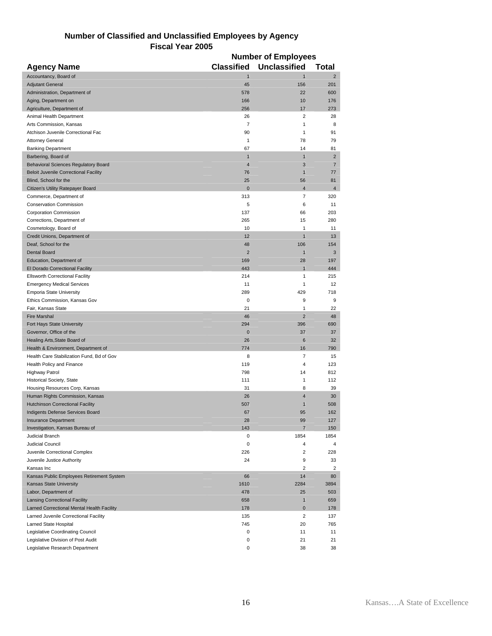| Number of Classified and Unclassified Employees by Agency |
|-----------------------------------------------------------|
| <b>Fiscal Year 2005</b>                                   |

|                                              | <b>Number of Employees</b> |                         |                |  |  |
|----------------------------------------------|----------------------------|-------------------------|----------------|--|--|
| <b>Agency Name</b>                           | <b>Classified</b>          | <b>Unclassified</b>     | <b>Total</b>   |  |  |
| Accountancy, Board of                        | $\overline{1}$             | $\mathbf{1}$            | $\overline{2}$ |  |  |
| <b>Adjutant General</b>                      | 45                         | 156                     | 201            |  |  |
| Administration, Department of                | 578                        | 22                      | 600            |  |  |
| Aging, Department on                         | 166                        | 10                      | 176            |  |  |
| Agriculture, Department of                   | 256                        | 17                      | 273            |  |  |
| Animal Health Department                     | 26                         | 2                       | 28             |  |  |
| Arts Commission, Kansas                      | 7                          | 1                       | 8              |  |  |
| Atchison Juvenile Correctional Fac           | 90                         | 1                       | 91             |  |  |
| <b>Attorney General</b>                      | 1                          | 78                      | 79             |  |  |
| <b>Banking Department</b>                    | 67                         | 14                      | 81             |  |  |
| Barbering, Board of                          | $\mathbf{1}$               | $\mathbf{1}$            | $\overline{2}$ |  |  |
| <b>Behavioral Sciences Regulatory Board</b>  | $\overline{4}$             | 3                       | $\overline{7}$ |  |  |
| <b>Beloit Juvenile Correctional Facility</b> | 76                         | $\mathbf{1}$            | 77             |  |  |
| Blind, School for the                        | 25                         | 56                      | 81             |  |  |
| Citizen's Utility Ratepayer Board            | $\mathbf{0}$               | $\overline{\mathbf{4}}$ | 4              |  |  |
| Commerce, Department of                      | 313                        | 7                       | 320            |  |  |
| <b>Conservation Commission</b>               | 5                          | 6                       | 11             |  |  |
| <b>Corporation Commission</b>                | 137                        | 66                      | 203            |  |  |
| Corrections, Department of                   | 265                        | 15                      | 280            |  |  |
| Cosmetology, Board of                        | 10                         | 1                       | 11             |  |  |
| Credit Unions, Department of                 | 12                         | $\mathbf{1}$            | 13             |  |  |
| Deaf, School for the                         | 48                         | 106                     | 154            |  |  |
| <b>Dental Board</b>                          | $\overline{2}$             | $\mathbf{1}$            | 3              |  |  |
| Education, Department of                     | 169                        | 28                      | 197            |  |  |
| El Dorado Correctional Facility              | 443                        | $\mathbf{1}$            | 444            |  |  |
| <b>Ellsworth Correctional Facility</b>       | 214                        | 1                       | 215            |  |  |
| <b>Emergency Medical Services</b>            | 11                         | 1                       | 12             |  |  |
| <b>Emporia State University</b>              | 289                        | 429                     | 718            |  |  |
| Ethics Commission, Kansas Gov                | 0                          | 9                       | 9              |  |  |
| Fair, Kansas State                           | 21                         | 1                       | 22             |  |  |
| <b>Fire Marshal</b>                          | 46                         | $\overline{2}$          | 48             |  |  |
| Fort Hays State University                   | 294                        | 396                     | 690            |  |  |
| Governor, Office of the                      | $\mathbf{0}$               | 37                      | 37             |  |  |
| Healing Arts, State Board of                 | 26                         | 6                       | 32             |  |  |
| Health & Environment, Department of          | 774                        | 16                      | 790            |  |  |
| Health Care Stabilization Fund, Bd of Gov    | 8                          | 7                       | 15             |  |  |
| Health Policy and Finance                    | 119                        | 4                       | 123            |  |  |
| <b>Highway Patrol</b>                        | 798                        | 14                      | 812            |  |  |
| Historical Society, State                    | 111                        | $\mathbf{1}$            | 112            |  |  |
| Housing Resources Corp, Kansas               | 31                         | 8                       | 39             |  |  |
| Human Rights Commission, Kansas              | 26                         | $\overline{4}$          | 30             |  |  |
| <b>Hutchinson Correctional Facility</b>      | 507                        | $\mathbf{1}$            | 508            |  |  |
| Indigents Defense Services Board             | 67                         | 95                      | 162            |  |  |
| <b>Insurance Department</b>                  | 28                         | 99                      | 127            |  |  |
| Investigation, Kansas Bureau of              | 143                        | $\overline{7}$          | 150            |  |  |
| Judicial Branch                              | 0                          | 1854                    | 1854           |  |  |
| Judicial Council                             | 0                          | $\overline{4}$          | 4              |  |  |
| Juvenile Correctional Complex                | 226                        | 2                       | 228            |  |  |
| Juvenile Justice Authority                   | 24                         | 9                       | 33             |  |  |
| Kansas Inc                                   |                            | $\overline{2}$          | $\overline{2}$ |  |  |
| Kansas Public Employees Retirement System    | 66                         | 14                      | 80             |  |  |
| Kansas State University                      | 1610                       | 2284                    | 3894           |  |  |
| Labor, Department of                         | 478                        | 25                      | 503            |  |  |
| <b>Lansing Correctional Facility</b>         | 658                        | $\mathbf{1}$            | 659            |  |  |
| Larned Correctional Mental Health Facility   | 178                        | $\bf{0}$                | 178            |  |  |
| Larned Juvenile Correctional Facility        | 135                        | $\overline{2}$          | 137            |  |  |
| Larned State Hospital                        | 745                        | 20                      | 765            |  |  |
| Legislative Coordinating Council             | 0                          | 11                      | 11             |  |  |
| Legislative Division of Post Audit           | 0                          | 21                      | 21             |  |  |
| Legislative Research Department              | 0                          | 38                      | 38             |  |  |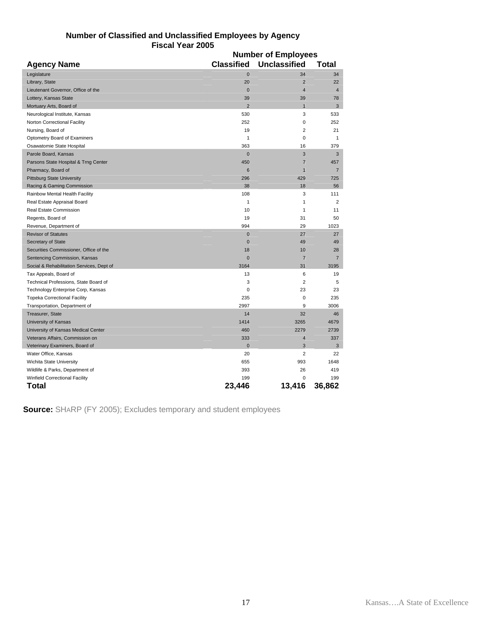|                                           | <b>Number of Employees</b> |                     |                |  |  |
|-------------------------------------------|----------------------------|---------------------|----------------|--|--|
| <b>Agency Name</b>                        | <b>Classified</b>          | <b>Unclassified</b> | <b>Total</b>   |  |  |
| Legislature                               | $\mathbf 0$                | 34                  | 34             |  |  |
| Library, State                            | 20                         | $\overline{2}$      | 22             |  |  |
| Lieutenant Governor, Office of the        | $\mathbf 0$                | $\overline{4}$      | $\overline{4}$ |  |  |
| Lottery, Kansas State                     | 39                         | 39                  | 78             |  |  |
| Mortuary Arts, Board of                   | $\overline{2}$             | $\mathbf{1}$        | 3              |  |  |
| Neurological Institute, Kansas            | 530                        | 3                   | 533            |  |  |
| Norton Correctional Facility              | 252                        | 0                   | 252            |  |  |
| Nursing, Board of                         | 19                         | $\overline{2}$      | 21             |  |  |
| Optometry Board of Examiners              | 1                          | 0                   | 1              |  |  |
| Osawatomie State Hospital                 | 363                        | 16                  | 379            |  |  |
| Parole Board, Kansas                      | $\bf{0}$                   | 3                   | 3              |  |  |
| Parsons State Hospital & Trng Center      | 450                        | $\overline{7}$      | 457            |  |  |
| Pharmacy, Board of                        | $6\phantom{1}6$            | $\mathbf{1}$        | $\overline{7}$ |  |  |
| <b>Pittsburg State University</b>         | 296                        | 429                 | 725            |  |  |
| Racing & Gaming Commission                | 38                         | 18                  | 56             |  |  |
| Rainbow Mental Health Facility            | 108                        | 3                   | 111            |  |  |
| Real Estate Appraisal Board               | $\mathbf{1}$               | $\mathbf{1}$        | $\overline{2}$ |  |  |
| Real Estate Commission                    | 10                         | 1                   | 11             |  |  |
| Regents, Board of                         | 19                         | 31                  | 50             |  |  |
| Revenue, Department of                    | 994                        | 29                  | 1023           |  |  |
| <b>Revisor of Statutes</b>                | $\bf{0}$                   | 27                  | 27             |  |  |
| Secretary of State                        | $\bf{0}$                   | 49                  | 49             |  |  |
| Securities Commissioner, Office of the    | 18                         | 10                  | 28             |  |  |
| Sentencing Commission, Kansas             | $\bf{0}$                   | $\overline{7}$      | $\overline{7}$ |  |  |
| Social & Rehabilitation Services, Dept of | 3164                       | 31                  | 3195           |  |  |
| Tax Appeals, Board of                     | 13                         | 6                   | 19             |  |  |
| Technical Professions, State Board of     | 3                          | $\overline{2}$      | 5              |  |  |
| Technology Enterprise Corp, Kansas        | 0                          | 23                  | 23             |  |  |
| <b>Topeka Correctional Facility</b>       | 235                        | 0                   | 235            |  |  |
| Transportation, Department of             | 2997                       | 9                   | 3006           |  |  |
| Treasurer, State                          | 14                         | 32                  | 46             |  |  |
| University of Kansas                      | 1414                       | 3265                | 4679           |  |  |
| University of Kansas Medical Center       | 460                        | 2279                | 2739           |  |  |
| Veterans Affairs, Commission on           | 333                        | 4                   | 337            |  |  |
| Veterinary Examiners, Board of            | $\mathbf 0$                | 3                   | 3              |  |  |
| Water Office, Kansas                      | 20                         | $\overline{2}$      | 22             |  |  |
| <b>Wichita State University</b>           | 655                        | 993                 | 1648           |  |  |
| Wildlife & Parks, Department of           | 393                        | 26                  | 419            |  |  |
| <b>Winfield Correctional Facility</b>     | 199                        | $\mathbf 0$         | 199            |  |  |
| Total                                     | 23.446                     | 13,416              | 36,862         |  |  |

#### **Number of Classified and Unclassified Employees by Agency Fiscal Year 2005 Number of Employees**

**Source:** SHARP (FY 2005); Excludes temporary and student employees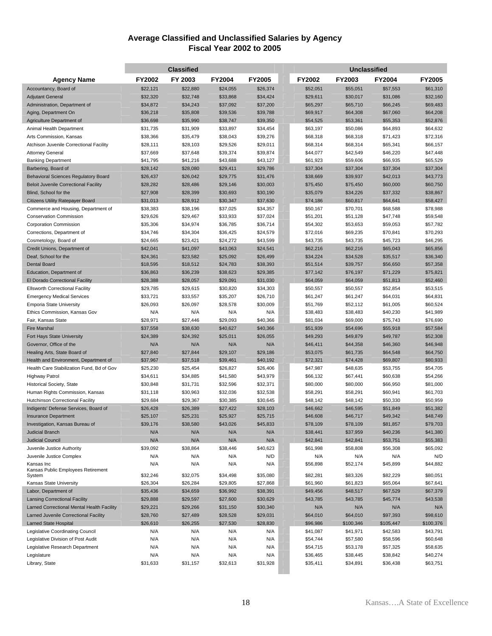#### **Average Classified and Unclassified Salaries by Agency Fiscal Year 2002 to 2005**

|                                                                       | <b>Classified</b>    |                      |                      |                      | Unclassified         |                      |                      |                      |
|-----------------------------------------------------------------------|----------------------|----------------------|----------------------|----------------------|----------------------|----------------------|----------------------|----------------------|
| <b>Agency Name</b>                                                    | FY2002               | FY 2003              | <b>FY2004</b>        | <b>FY2005</b>        | FY2002               | FY2003               | <b>FY2004</b>        | <b>FY2005</b>        |
| Accountancy, Board of                                                 | \$22,121             | \$22,880             | \$24,055             | \$26,374             | \$52,051             | \$55,051             | \$57,553             | \$61,310             |
| <b>Adjutant General</b>                                               | \$32,320             | \$32,748             | \$33,868             | \$34,424             | \$29,611             | \$30,017             | \$31,086             | \$32,160             |
| Administration, Department of                                         | \$34,872             | \$34,243             | \$37,092             | \$37,200             | \$65,297             | \$65,710             | \$66,245             | \$69,483             |
| Aging, Department On                                                  | \$36,218             | \$35,808             | \$39,536             | \$39,788             | \$69,917             | \$64,308             | \$67,060             | \$64,208             |
| Agriculture Department of                                             | \$36,698             | \$35,990             | \$38,747             | \$39,350             | \$54,525             | \$53,361             | \$55,353             | \$52,876             |
| Animal Health Department                                              | \$31,735             | \$31,909             | \$33,897             | \$34,454             | \$63,197             | \$50,086             | \$64,893             | \$64,632             |
| Arts Commission, Kansas                                               | \$38,366             | \$35,479             | \$38,043             | \$39,276             | \$68,318             | \$68,318             | \$71,423             | \$72,316             |
| Atchison Juvenile Correctional Facility                               | \$28,111             | \$28,103             | \$29,526             | \$29,011             | \$68,314             | \$68,314             | \$65,341             | \$66,157             |
| <b>Attorney General</b>                                               | \$37,669             | \$37,648             | \$39,374             | \$39,874             | \$44,077             | \$42,549             | \$46,220             | \$47,448             |
| <b>Banking Department</b>                                             | \$41,795             | \$41,216             | \$43,688             | \$43,127             | \$61,923             | \$59,606             | \$66,935             | \$65,529             |
| Barbering, Board of                                                   | \$28,142             | \$28,080             | \$29,411             | \$29,786             | \$37,304             | \$37,304             | \$37,304             | \$37,304             |
| <b>Behavioral Sciences Regulatory Board</b>                           | \$26,437             | \$26,042             | \$29,775             | \$31,476             | \$38,669             | \$39,937             | \$42,013             | \$43,773             |
| <b>Beloit Juvenile Correctional Facility</b>                          | \$28,282             | \$28,486             | \$29,146             | \$30,003             | \$75,450             | \$75,450             | \$60,000             | \$60,750             |
| Blind, School for the                                                 | \$27,908             | \$28,399             | \$30,693             | \$30,190             | \$35,079             | \$34,226             | \$37,332             | \$38,867             |
| Citizens Utility Ratepayer Board                                      | \$31,013             | \$28,912             | \$30,347             | \$37,630             | \$74,186             | \$60,817             | \$64,641             | \$58,427             |
| Commerce and Housing, Department of                                   | \$38,383             | \$38,196             | \$37,025             | \$34,357             | \$50,167             | \$70,701             | \$68,588             | \$78,988             |
| <b>Conservation Commission</b><br><b>Corporation Commission</b>       | \$29,626<br>\$35,306 | \$29,467             | \$33,933<br>\$36,785 | \$37,024<br>\$36,714 | \$51,201             | \$51,128<br>\$53,653 | \$47,748<br>\$59,053 | \$59,548<br>\$57,782 |
| Corrections, Department of                                            | \$34,746             | \$34,974<br>\$34,304 | \$36,425             | \$24,579             | \$54,302<br>\$72,016 | \$69,235             | \$70,841             | \$70,293             |
| Cosmetology, Board of                                                 | \$24,665             | \$23,421             | \$24,272             | \$43,599             | \$43,735             | \$43,735             | \$45,723             | \$46,295             |
| Credit Unions, Department of                                          | \$42,041             | \$41,097             | \$43,063             | \$24,541             | \$62,216             | \$62,216             | \$65,043             | \$65,856             |
| Deaf, School for the                                                  | \$24,361             | \$23,582             | \$25,092             | \$26,499             | \$34,224             | \$34,528             | \$35,517             | \$36,340             |
| <b>Dental Board</b>                                                   | \$18,595             | \$18,512             | \$24,783             | \$38,393             | \$51,514             | \$39,757             | \$56,650             | \$57,358             |
| Education, Department of                                              | \$36,863             | \$36,239             | \$38,623             | \$29,385             | \$77,142             | \$76,197             | \$71,229             | \$75,821             |
| El Dorado Correctional Facility                                       | \$28,388             | \$28,057             | \$29,091             | \$31,030             | \$64,059             | \$64,059             | \$51,813             | \$52,460             |
| <b>Ellsworth Correctional Facility</b>                                | \$29,785             | \$29,615             | \$30,820             | \$34,303             | \$50,557             | \$50,557             | \$52,854             | \$53,515             |
| <b>Emergency Medical Services</b>                                     | \$33,721             | \$33,557             | \$35,207             | \$26,710             | \$61,247             | \$61,247             | \$64,031             | \$64,831             |
| <b>Emporia State University</b>                                       | \$26,093             | \$26,097             | \$28,578             | \$30,009             | \$51,769             | \$52,112             | \$61,005             | \$60,524             |
| Ethics Commission, Kansas Gov                                         | N/A                  | N/A                  | N/A                  | N/A                  | \$38,483             | \$38,483             | \$40,230             | \$41,989             |
| Fair, Kansas State                                                    | \$28,971             | \$27,446             | \$29,093             | \$40,366             | \$81,034             | \$69,000             | \$75,743             | \$76,690             |
| <b>Fire Marshal</b>                                                   | \$37,558             | \$38,630             | \$40,627             | \$40,366             | \$51,939             | \$54,696             | \$55,918             | \$57,584             |
| Fort Hays State University                                            | \$24,389             | \$24,392             | \$25,011             | \$26,055             | \$49,293             | \$49,879             | \$49,787             | \$52,308             |
| Governor, Office of the                                               | N/A                  | N/A                  | N/A                  | N/A                  | \$46,411             | \$44,358             | \$46,360             | \$46,948             |
| Healing Arts, State Board of                                          | \$27,840             | \$27,844             | \$29,107             | \$29,186             | \$53,075             | \$61,735             | \$64,548             | \$64,750             |
| Health and Environment, Department of                                 | \$37,967             | \$37,518             | \$39,461             | \$40,192             | \$72,321             | \$74,428             | \$69,807             | \$80,933             |
| Health Care Stabilization Fund, Bd of Gov                             | \$25,230             | \$25,454             | \$26,827             | \$26,406             | \$47,987             | \$48,635             | \$53,755             | \$54,705             |
| <b>Highway Patrol</b>                                                 | \$34,611             | \$34,885             | \$41,580             | \$43,979             | \$66,132             | \$67,441             | \$60,638             | \$54,266             |
| Historical Society, State                                             | \$30,848             | \$31,731             | \$32,596             | \$32,371             | \$80,000             | \$80,000             | \$66,950             | \$81,000             |
| Human Rights Commission, Kansas                                       | \$31,118             | \$30,963             | \$32,036             | \$32,538             | \$58,291             | \$58,291             | \$60,941             | \$61,703             |
| <b>Hutchinson Correctional Facility</b>                               | \$29,684             | \$29,367             | \$30,385             | \$30,645             | \$48,142             | \$48,142             | \$50,330             | \$50,959             |
| Indigents' Defense Services, Board of                                 | \$26,428             | \$26,389             | \$27,422             | \$28,103             | \$46,662             | \$46,595             | \$51,849             | \$51,382             |
| <b>Insurance Department</b>                                           | \$25,107             | \$25,231             | \$25,927             | \$25,715             | \$46,608             | \$46,717             | \$49,342             | \$48,749             |
| Investigation, Kansas Bureau of                                       | \$39,176             | \$38,580             | \$43.026             | \$45,833             | \$78,109             | \$78,109             | \$81.857             | \$79,703             |
| <b>Judicial Branch</b><br><b>Judicial Council</b>                     | N/A<br>N/A           | N/A<br>N/A           | N/A<br>N/A           | N/A<br>N/A           | \$38,441<br>\$42,841 | \$37,959             | \$40,236             | \$41,380             |
| Juvenile Justice Authority                                            | \$39,092             | \$38,864             | \$38,446             | \$40,623             | \$61,998             | \$42,841<br>\$58,808 | \$53,751<br>\$56,308 | \$55,383<br>\$65,092 |
| Juvenile Justice Complex                                              | N/A                  | N/A                  | N/A                  | N/D                  | N/A                  | N/A                  | N/A                  | N/D                  |
| Kansas Inc                                                            | N/A                  | N/A                  | N/A                  | N/A                  | \$56,898             | \$52,174             | \$45,899             | \$44,882             |
| Kansas Public Employees Retirement                                    |                      |                      |                      |                      |                      |                      |                      |                      |
| System                                                                | \$32,246             | \$32,075             | \$34,498             | \$35,080             | \$82,281             | \$83,326             | \$82,229             | \$80,051             |
| Kansas State University                                               | \$26,304             | \$26,284             | \$29,805             | \$27,868             | \$61,960             | \$61,823             | \$65,064             | \$67,641             |
| Labor, Department of                                                  | \$35,436             | \$34,659             | \$36,992             | \$38,391             | \$49,456             | \$48,517             | \$67,529             | \$67,379             |
| <b>Lansing Correctional Facility</b>                                  | \$29,888             | \$29,597             | \$27,600             | \$30,629             | \$43,785             | \$43,785             | \$45,774             | \$43,538             |
| Larned Correctional Mental Health Facility                            | \$29,221             | \$29,266             | \$31,150             | \$30,340             | N/A                  | N/A                  | N/A                  | N/A                  |
| Larned Juvenile Correctional Facility                                 | \$28,760             | \$27,489             | \$28,528             | \$29,031             | \$64,010             | \$64,010             | \$97,393             | \$98,610             |
| <b>Larned State Hospital</b>                                          | \$26,610             | \$26,255             | \$27,530             | \$28,830             | \$96,986             | \$100,346            | \$105,447            | \$100,376            |
| Legislative Coordinating Council                                      | N/A                  | N/A<br>N/A           | N/A<br>N/A           | N/A<br>N/A           | \$41,087             | \$41,971             | \$42,583             | \$43,791             |
| Legislative Division of Post Audit<br>Legislative Research Department | N/A<br>N/A           | N/A                  | N/A                  | N/A                  | \$54,744<br>\$54,715 | \$57,580<br>\$53,178 | \$58,596<br>\$57,325 | \$60,648<br>\$58,635 |
| Legislature                                                           | N/A                  | N/A                  | N/A                  | N/A                  | \$36,465             | \$38,445             | \$38,842             | \$40,274             |
| Library, State                                                        | \$31,633             | \$31,157             | \$32,613             | \$31,928             | \$35,411             | \$34,891             | \$36,438             | \$63,751             |
|                                                                       |                      |                      |                      |                      |                      |                      |                      |                      |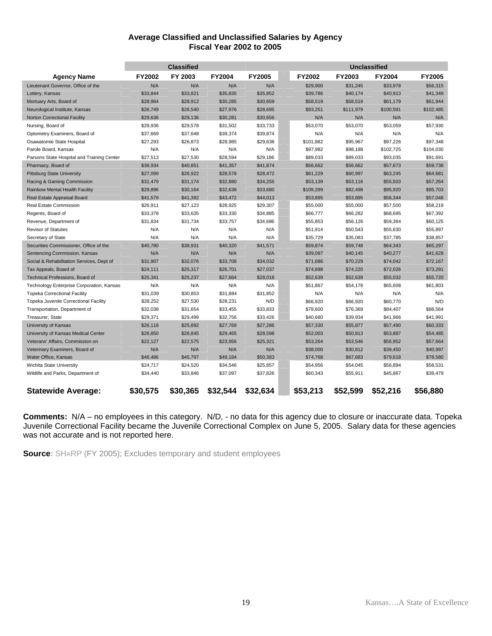#### **Average Classified and Unclassified Salaries by Agency Fiscal Year 2002 to 2005**

|                                            | <b>Classified</b> |          |               |          |  | Unclassified |           |               |               |
|--------------------------------------------|-------------------|----------|---------------|----------|--|--------------|-----------|---------------|---------------|
| <b>Agency Name</b>                         | <b>FY2002</b>     | FY 2003  | <b>FY2004</b> | FY2005   |  | FY2002       | FY2003    | <b>FY2004</b> | <b>FY2005</b> |
| Lieutenant Governor, Office of the         | N/A               | N/A      | N/A           | N/A      |  | \$29,900     | \$31,245  | \$33,978      | \$56,315      |
| Lottery, Kansas                            | \$33,844          | \$33,821 | \$35,835      | \$35,852 |  | \$39,786     | \$40,174  | \$40,913      | \$41,349      |
| Mortuary Arts, Board of                    | \$28,964          | \$28,912 | \$30,285      | \$30,659 |  | \$58,519     | \$58,519  | \$61,179      | \$61,944      |
| Neurological Institute, Kansas             | \$26,749          | \$26,540 | \$27,976      | \$28,695 |  | \$93,251     | \$111,979 | \$100,591     | \$102,485     |
| <b>Norton Correctional Facility</b>        | \$29,636          | \$29,136 | \$30,281      | \$30,656 |  | N/A          | N/A       | N/A           | N/A           |
| Nursing, Board of                          | \$29,936          | \$29,578 | \$31,502      | \$33,733 |  | \$53,070     | \$53,070  | \$53,059      | \$57,930      |
| Optometry Examiners, Board of              | \$37,669          | \$37,648 | \$39,374      | \$39,874 |  | N/A          | N/A       | N/A           | N/A           |
| Osawatomie State Hospital                  | \$27,293          | \$26,873 | \$28,985      | \$29,638 |  | \$101,882    | \$95,967  | \$97,226      | \$97.348      |
| Parole Board, Kansas                       | N/A               | N/A      | N/A           | N/A      |  | \$97,982     | \$98,188  | \$102,725     | \$104,030     |
| Parsons State Hospital and Training Center | \$27,513          | \$27,530 | \$28,594      | \$29,186 |  | \$89,033     | \$89,033  | \$93,035      | \$91,691      |
| Pharmacy, Board of                         | \$36,934          | \$40,851 | \$41,357      | \$41,874 |  | \$56,662     | \$56,662  | \$57,673      | \$59,738      |
| <b>Pittsburg State University</b>          | \$27,099          | \$26,922 | \$28,578      | \$28,472 |  | \$61,229     | \$60,997  | \$63,245      | \$64,681      |
| Racing & Gaming Commission                 | \$31,479          | \$31,174 | \$32,880      | \$34,255 |  | \$53,139     | \$53,116  | \$55,503      | \$57,264      |
| Rainbow Mental Health Facility             | \$29,896          | \$30,164 | \$32,638      | \$33,680 |  | \$109,299    | \$82,498  | \$95,920      | \$85,703      |
| Real Estate Appraisal Board                | \$41,579          | \$41,392 | \$43,472      | \$44,013 |  | \$53,895     | \$53,895  | \$56,344      | \$57,048      |
| Real Estate Commission                     | \$26,911          | \$27,123 | \$28,925      | \$29,307 |  | \$55,000     | \$55,000  | \$57,500      | \$58,219      |
| Regents, Board of                          | \$33,378          | \$33,635 | \$33.330      | \$34,885 |  | \$66,777     | \$66,282  | \$68,695      | \$67.392      |
| Revenue, Department of                     | \$31.834          | \$31.734 | \$33.757      | \$34,686 |  | \$55,853     | \$56,126  | \$59,364      | \$60.125      |
| <b>Revisor of Statutes</b>                 | N/A               | N/A      | N/A           | N/A      |  | \$51,914     | \$50,543  | \$55,630      | \$55,897      |
| Secretary of State                         | N/A               | N/A      | N/A           | N/A      |  | \$35,729     | \$35,083  | \$37,785      | \$38,857      |
| Securities Commissioner, Office of the     | \$40,780          | \$38,931 | \$40,320      | \$41,571 |  | \$59,874     | \$59,748  | \$64,343      | \$65,297      |
| Sentencing Commission, Kansas              | N/A               | N/A      | N/A           | N/A      |  | \$39,097     | \$40,145  | \$40,277      | \$41.629      |
| Social & Rehabilitation Services, Dept of  | \$31,907          | \$32,076 | \$33,708      | \$34,032 |  | \$71,686     | \$70,229  | \$74,042      | \$72,167      |
| Tax Appeals, Board of                      | \$24,111          | \$25,317 | \$26,701      | \$27,037 |  | \$74,898     | \$74,220  | \$72,026      | \$73,291      |
| Technical Professions, Board of            | \$25,341          | \$25,237 | \$27,664      | \$28,018 |  | \$52,639     | \$52,639  | \$55,032      | \$55,720      |
| Technology Enterprise Corporation, Kansas  | N/A               | N/A      | N/A           | N/A      |  | \$51,867     | \$54,176  | \$65,608      | \$61,803      |
| <b>Topeka Correctional Facility</b>        | \$31,039          | \$30,853 | \$31,884      | \$31,852 |  | N/A          | N/A       | N/A           | N/A           |
| Topeka Juvenile Correctional Facility      | \$28,252          | \$27,530 | \$28,231      | N/D      |  | \$66,920     | \$66,920  | \$60,770      | N/D           |
| Transportation, Department of              | \$32,038          | \$31,654 | \$33,455      | \$33,833 |  | \$78,600     | \$76,369  | \$84,407      | \$88,564      |
| Treasurer, State                           | \$29,371          | \$29,499 | \$32,756      | \$33,426 |  | \$40,680     | \$39,934  | \$41,966      | \$41,991      |
| University of Kansas                       | \$26,118          | \$25,892 | \$27,769      | \$27,286 |  | \$57,330     | \$55,877  | \$57,490      | \$60,333      |
| University of Kansas Medical Center        | \$26,850          | \$26,845 | \$29,465      | \$28,598 |  | \$52,003     | \$50,813  | \$53,887      | \$54,485      |
| Veterans' Affairs, Commission on           | \$22,127          | \$22,575 | \$23,956      | \$25,321 |  | \$53,264     | \$53,546  | \$56,952      | \$57,664      |
| Veterinary Examiners, Board of             | N/A               | N/A      | N/A           | N/A      |  | \$38,000     | \$30,812  | \$39,450      | \$40,997      |
| Water Office, Kansas                       | \$46,486          | \$45,797 | \$49,184      | \$50,383 |  | \$74,768     | \$67,683  | \$79,618      | \$78,580      |
| Wichita State University                   | \$24,717          | \$24,520 | \$34,546      | \$25,857 |  | \$54,956     | \$54,045  | \$56,894      | \$58,531      |
| Wildlife and Parks, Department of          | \$34,440          | \$33,846 | \$37,097      | \$37,826 |  | \$60,343     | \$55,911  | \$45,867      | \$39,479      |
| <b>Statewide Average:</b>                  | \$30,575          | \$30,365 | \$32,544      | \$32,634 |  | \$53,213     | \$52,599  | \$52,216      | \$56,880      |

**Comments:** N/A – no employees in this category. N/D, - no data for this agency due to closure or inaccurate data. Topeka Juvenile Correctional Facility became the Juvenile Correctional Complex on June 5, 2005. Salary data for these agencies was not accurate and is not reported here.

**Source:** SHARP (FY 2005); Excludes temporary and student employees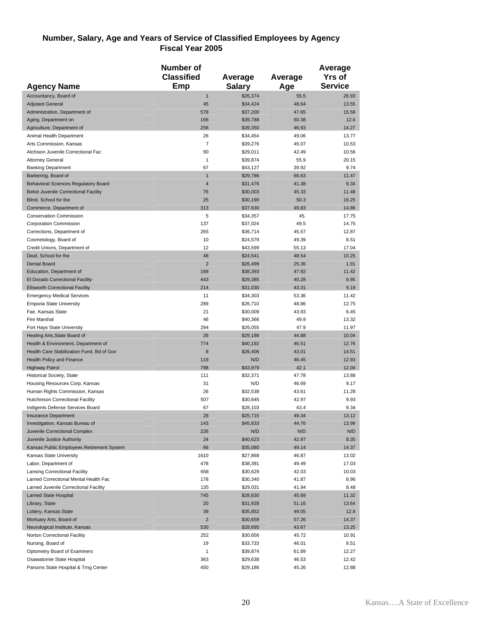### **Number, Salary, Age and Years of Service of Classified Employees by Agency Fiscal Year 2005**

|                                              | Number of               |               |         | Average        |
|----------------------------------------------|-------------------------|---------------|---------|----------------|
|                                              | <b>Classified</b>       | Average       | Average | <b>Yrs of</b>  |
| <b>Agency Name</b>                           | Emp                     | <b>Salary</b> |         | <b>Service</b> |
|                                              |                         |               | Age     |                |
| Accountancy, Board of                        | $\mathbf{1}$            | \$26,374      | 55.5    | 26.93          |
| <b>Adjutant General</b>                      | 45                      | \$34,424      | 48.64   | 13.55          |
| Administration, Department of                | 578                     | \$37,200      | 47.65   | 15.58          |
| Aging, Department on                         | 166                     | \$39,788      | 50.38   | 12.6           |
| Agriculture, Department of                   | 256                     | \$39,350      | 46.93   | 14.27          |
| Animal Health Department                     | 26                      | \$34,454      | 49.06   | 13.77          |
| Arts Commission, Kansas                      | $\overline{7}$          | \$39,276      | 45.07   | 10.53          |
| Atchison Juvenile Correctional Fac           | 90                      | \$29,011      | 42.49   | 10.56          |
| <b>Attorney General</b>                      | $\mathbf{1}$            | \$39,874      | 55.9    | 20.15          |
| <b>Banking Department</b>                    | 67                      | \$43,127      | 39.92   | 9.74           |
| Barbering, Board of                          | $\mathbf{1}$            | \$29,786      | 66.63   | 11.47          |
| <b>Behavioral Sciences Regulatory Board</b>  | $\overline{\mathbf{4}}$ | \$31,476      | 41.38   | 9.34           |
| <b>Beloit Juvenile Correctional Facility</b> | 76                      | \$30,003      | 45.33   | 11.48          |
| Blind, School for the                        | 25                      | \$30,190      | 50.3    | 16.25          |
| Commerce, Department of                      | 313                     | \$37,630      | 49.83   | 14.86          |
| <b>Conservation Commission</b>               | 5                       | \$34,357      | 45.     | 17.75          |
| Corporation Commission                       | 137                     | \$37,024      | 49.5    | 14.75          |
| Corrections, Department of                   | 265                     | \$36,714      | 45.57   | 12.87          |
| Cosmetology, Board of                        | 10                      | \$24,579      | 49.39   | 8.51           |
| Credit Unions, Department of                 | 12                      | \$43,599      | 55.13   | 17.04          |
| Deaf, School for the                         | 48                      | \$24,541      | 48.54   | 10.25          |
| <b>Dental Board</b>                          | $\overline{2}$          | \$26,499      | 25.36   | 1.91           |
| Education, Department of                     | 169                     | \$38,393      | 47.92   | 11.42          |
| El Dorado Correctional Facility              | 443                     | \$29,385      | 40.28   | 6.95           |
| <b>Ellsworth Correctional Facility</b>       | 214                     | \$31,030      | 43.31   | 9.19           |
| <b>Emergency Medical Services</b>            | 11                      | \$34,303      | 53.36   | 11.42          |
| <b>Emporia State University</b>              | 289                     | \$26,710      | 48.86   | 12.75          |
| Fair, Kansas State                           | 21                      | \$30,009      | 43.93   | 6.45           |
| Fire Marshal                                 | 46                      | \$40,366      | 49.9    | 13.32          |
| Fort Hays State University                   | 294                     | \$26,055      | 47.9    | 11.97          |
| Healing Arts, State Board of                 | 26                      | \$29,186      | 44.88   | 10.04          |
| Health & Environment, Department of          | 774                     | \$40,192      | 46.51   | 12.76          |
| Health Care Stabilization Fund, Bd of Gov    | 8                       | \$26,406      | 43.01   | 14.51          |
| <b>Health Policy and Finance</b>             | 119                     | N/D           | 46.45   | 12.93          |
| <b>Highway Patrol</b>                        | 798                     | \$43,979      | 42.1    | 12.04          |
| Historical Society, State                    | 111                     | \$32,371      | 47.78   | 13.88          |
| Housing Resources Corp, Kansas               | 31                      | N/D           | 46.69   | 9.17           |
| Human Rights Commission, Kansas              | 26                      | \$32,538      | 43.61   | 11.28          |
| Hutchinson Correctional Facility             | 507                     | \$30,645      | 42.97   | 9.93           |
| Indigents Defense Services Board             | 67                      | \$28,103      | 43.4    | 9.34           |
| <b>Insurance Department</b>                  | 28                      | \$25,715      | 49.34   | 13.12          |
| Investigation, Kansas Bureau of              | 143                     | \$45,833      | 44.76   | 13.99          |
| Juvenile Correctional Complex                | 226                     | N/D           | N/D     | N/D            |
| Juvenile Justice Authority                   | 24                      | \$40,623      | 42.97   | 8.35           |
| Kansas Public Employees Retirement System    | 66                      | \$35,080      | 49.14   | 14.37          |
| Kansas State University                      | 1610                    | \$27,868      | 46.87   | 13.02          |
| Labor, Department of                         | 478                     | \$38,391      | 49.49   | 17.03          |
| <b>Lansing Correctional Facility</b>         | 658                     | \$30,629      | 42.03   | 10.03          |
| Larned Correctional Mental Health Fac        | 178                     | \$30,340      | 41.87   | 8.96           |
| Larned Juvenile Correctional Facility        | 135                     | \$29,031      | 41.94   | 8.48           |
| Larned State Hospital                        | 745                     | \$28,830      | 45.69   | 11.32          |
| Library, State                               | 20                      | \$31,928      | 51.16   | 13.64          |
| Lottery, Kansas State                        | 39                      | \$35,852      | 49.05   | 12.8           |
| Mortuary Arts, Board of                      | $\overline{2}$          | \$30,659      | 57.26   | 14.37          |
| Neurological Institute, Kansas               | 530                     | \$28,695      | 43.67   | 13.25          |
| Norton Correctional Facility                 | 252                     | \$30,656      | 45.72   | 10.91          |
| Nursing, Board of                            | 19                      | \$33,733      | 46.01   | 9.51           |
| Optometry Board of Examiners                 | 1                       | \$39,874      | 61.89   | 12.27          |
| Osawatomie State Hospital                    | 363                     | \$29,638      | 46.53   | 12.42          |
| Parsons State Hospital & Trng Center         | 450                     | \$29,186      | 45.26   | 12.88          |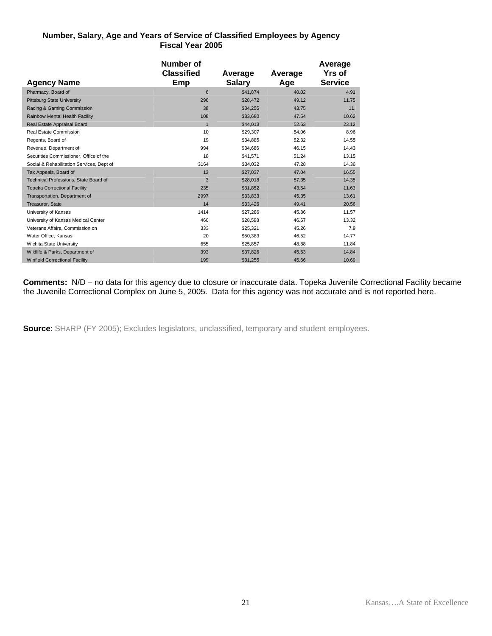#### **Number, Salary, Age and Years of Service of Classified Employees by Agency Fiscal Year 2005**

| <b>Agency Name</b>                        | Number of<br><b>Classified</b><br>Emp | Average<br><b>Salary</b> | Average<br>Age | Average<br><b>Yrs</b> of<br><b>Service</b> |
|-------------------------------------------|---------------------------------------|--------------------------|----------------|--------------------------------------------|
| Pharmacy, Board of                        | 6                                     | \$41.874                 | 40.02          | 4.91                                       |
| <b>Pittsburg State University</b>         | 296                                   | \$28,472                 | 49.12          | 11.75                                      |
| Racing & Gaming Commission                | 38                                    | \$34,255                 | 43.75          | 11.                                        |
| <b>Rainbow Mental Health Facility</b>     | 108                                   | \$33,680                 | 47.54          | 10.62                                      |
| Real Estate Appraisal Board               | $\mathbf{1}$                          | \$44,013                 | 52.63          | 23.12                                      |
| Real Estate Commission                    | 10                                    | \$29,307                 | 54.06          | 8.96                                       |
| Regents, Board of                         | 19                                    | \$34,885                 | 52.32          | 14.55                                      |
| Revenue, Department of                    | 994                                   | \$34.686                 | 46.15          | 14.43                                      |
| Securities Commissioner, Office of the    | 18                                    | \$41,571                 | 51.24          | 13.15                                      |
| Social & Rehabilitation Services, Dept of | 3164                                  | \$34,032                 | 47.28          | 14.36                                      |
| Tax Appeals, Board of                     | 13                                    | \$27,037                 | 47.04          | 16.55                                      |
| Technical Professions, State Board of     | 3                                     | \$28,018                 | 57.35          | 14.35                                      |
| <b>Topeka Correctional Facility</b>       | 235                                   | \$31,852                 | 43.54          | 11.63                                      |
| Transportation, Department of             | 2997                                  | \$33,833                 | 45.35          | 13.61                                      |
| Treasurer, State                          | 14                                    | \$33.426                 | 49.41          | 20.56                                      |
| University of Kansas                      | 1414                                  | \$27,286                 | 45.86          | 11.57                                      |
| University of Kansas Medical Center       | 460                                   | \$28,598                 | 46.67          | 13.32                                      |
| Veterans Affairs, Commission on           | 333                                   | \$25,321                 | 45.26          | 7.9                                        |
| Water Office, Kansas                      | 20                                    | \$50,383                 | 46.52          | 14.77                                      |
| Wichita State University                  | 655                                   | \$25,857                 | 48.88          | 11.84                                      |
| Wildlife & Parks, Department of           | 393                                   | \$37,826                 | 45.53          | 14.84                                      |
| <b>Winfield Correctional Facility</b>     | 199                                   | \$31,255                 | 45.66          | 10.69                                      |

**Comments:** N/D – no data for this agency due to closure or inaccurate data. Topeka Juvenile Correctional Facility became the Juvenile Correctional Complex on June 5, 2005. Data for this agency was not accurate and is not reported here.

**Source:** SHARP (FY 2005); Excludes legislators, unclassified, temporary and student employees.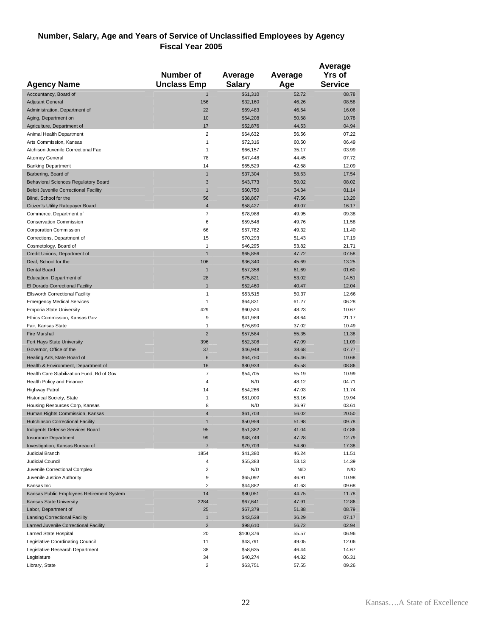#### **Number, Salary, Age and Years of Service of Unclassified Employees by Agency Fiscal Year 2005**

|                                                                  | <b>Number of</b>        | Average              | Average        | Average<br><b>Yrs of</b> |
|------------------------------------------------------------------|-------------------------|----------------------|----------------|--------------------------|
| <b>Agency Name</b>                                               | <b>Unclass Emp</b>      | <b>Salary</b>        | Age            | <b>Service</b>           |
| Accountancy, Board of                                            | $\mathbf{1}$            | \$61,310             | 52.72          | 08.78                    |
| <b>Adjutant General</b>                                          | 156                     | \$32,160             | 46.26          | 08.58                    |
| Administration, Department of                                    | 22                      | \$69,483             | 46.54          | 16.06                    |
| Aging, Department on                                             | 10                      | \$64,208             | 50.68          | 10.78                    |
| Agriculture, Department of                                       | 17<br>$\overline{2}$    | \$52,876             | 44.53          | 04.94                    |
| Animal Health Department<br>Arts Commission, Kansas              | $\mathbf{1}$            | \$64,632<br>\$72,316 | 56.56<br>60.50 | 07.22<br>06.49           |
| Atchison Juvenile Correctional Fac                               | $\mathbf{1}$            | \$66,157             | 35.17          | 03.99                    |
| <b>Attorney General</b>                                          | 78                      | \$47,448             | 44.45          | 07.72                    |
| <b>Banking Department</b>                                        | 14                      | \$65,529             | 42.68          | 12.09                    |
| Barbering, Board of                                              | $\mathbf{1}$            | \$37,304             | 58.63          | 17.54                    |
| <b>Behavioral Sciences Regulatory Board</b>                      | 3                       | \$43,773             | 50.02          | 08.02                    |
| <b>Beloit Juvenile Correctional Facility</b>                     | $\mathbf{1}$            | \$60,750             | 34.34          | 01.14                    |
| Blind, School for the                                            | 56                      | \$38,867             | 47.56          | 13.20                    |
| Citizen's Utility Ratepayer Board                                | $\overline{\mathbf{4}}$ | \$58,427             | 49.07          | 16.17                    |
| Commerce, Department of                                          | 7                       | \$78,988             | 49.95          | 09.38                    |
| <b>Conservation Commission</b>                                   | 6                       | \$59,548             | 49.76          | 11.58                    |
| Corporation Commission                                           | 66                      | \$57,782             | 49.32          | 11.40                    |
| Corrections, Department of                                       | 15                      | \$70,293             | 51.43          | 17.19                    |
| Cosmetology, Board of                                            | $\mathbf{1}$            | \$46,295             | 53.82          | 21.71                    |
| Credit Unions, Department of                                     | $\overline{1}$          | \$65,856             | 47.72          | 07.58                    |
| Deaf, School for the                                             | 106                     | \$36,340             | 45.69          | 13.25                    |
| <b>Dental Board</b>                                              | $\mathbf{1}$            | \$57,358             | 61.69          | 01.60                    |
| Education, Department of                                         | 28                      | \$75,821             | 53.02          | 14.51                    |
| El Dorado Correctional Facility                                  | 1                       | \$52,460             | 40.47          | 12.04                    |
| <b>Ellsworth Correctional Facility</b>                           | 1                       | \$53,515             | 50.37          | 12.66                    |
| <b>Emergency Medical Services</b>                                | $\mathbf{1}$            | \$64,831             | 61.27          | 06.28                    |
| <b>Emporia State University</b><br>Ethics Commission, Kansas Gov | 429<br>9                | \$60,524<br>\$41,989 | 48.23<br>48.64 | 10.67<br>21.17           |
| Fair, Kansas State                                               | 1                       | \$76,690             | 37.02          | 10.49                    |
| <b>Fire Marshal</b>                                              | $\overline{2}$          | \$57,584             | 55.35          | 11.38                    |
| Fort Hays State University                                       | 396                     | \$52,308             | 47.09          | 11.09                    |
| Governor, Office of the                                          | 37                      | \$46,948             | 38.68          | 07.77                    |
| Healing Arts, State Board of                                     | $6\phantom{1}6$         | \$64,750             | 45.46          | 10.68                    |
| Health & Environment, Department of                              | 16                      | \$80,933             | 45.58          | 08.86                    |
| Health Care Stabilization Fund, Bd of Gov                        | 7                       | \$54,705             | 55.19          | 10.99                    |
| Health Policy and Finance                                        | $\overline{4}$          | N/D                  | 48.12          | 04.71                    |
| <b>Highway Patrol</b>                                            | 14                      | \$54,266             | 47.03          | 11.74                    |
| <b>Historical Society, State</b>                                 | 1                       | \$81,000             | 53.16          | 19.94                    |
| Housing Resources Corp, Kansas                                   | 8                       | N/D                  | 36.97          | 03.61                    |
| Human Rights Commission, Kansas                                  | $\overline{4}$          | \$61,703             | 56.02          | 20.50                    |
| <b>Hutchinson Correctional Facility</b>                          | 1                       | \$50,959             | 51.98          | 09.78                    |
| Indigents Defense Services Board                                 | 95                      | \$51,382             | 41.04          | 07.86                    |
| <b>Insurance Department</b>                                      | 99                      | \$48,749             | 47.28          | 12.79                    |
| Investigation, Kansas Bureau of<br>Judicial Branch               | $\overline{7}$          | \$79,703             | 54.80          | 17.38                    |
| Judicial Council                                                 | 1854<br>4               | \$41,380<br>\$55,383 | 46.24<br>53.13 | 11.51<br>14.39           |
| Juvenile Correctional Complex                                    | $\overline{2}$          | N/D                  | N/D            | N/D                      |
| Juvenile Justice Authority                                       | 9                       | \$65,092             | 46.91          | 10.98                    |
| Kansas Inc                                                       | $\overline{2}$          | \$44,882             | 41.63          | 09.68                    |
| Kansas Public Employees Retirement System                        | 14                      | \$80,051             | 44.75          | 11.78                    |
| Kansas State University                                          | 2284                    | \$67,641             | 47.91          | 12.86                    |
| Labor, Department of                                             | 25                      | \$67,379             | 51.88          | 08.79                    |
| <b>Lansing Correctional Facility</b>                             | $\mathbf{1}$            | \$43,538             | 36.29          | 07.17                    |
| Larned Juvenile Correctional Facility                            | $\overline{2}$          | \$98,610             | 56.72          | 02.94                    |
| Larned State Hospital                                            | 20                      | \$100,376            | 55.57          | 06.96                    |
| Legislative Coordinating Council                                 | 11                      | \$43,791             | 49.05          | 12.06                    |
| Legislative Research Department                                  | 38                      | \$58,635             | 46.44          | 14.67                    |
| Legislature                                                      | 34                      | \$40,274             | 44.82          | 06.31                    |
| Library, State                                                   | 2                       | \$63,751             | 57.55          | 09.26                    |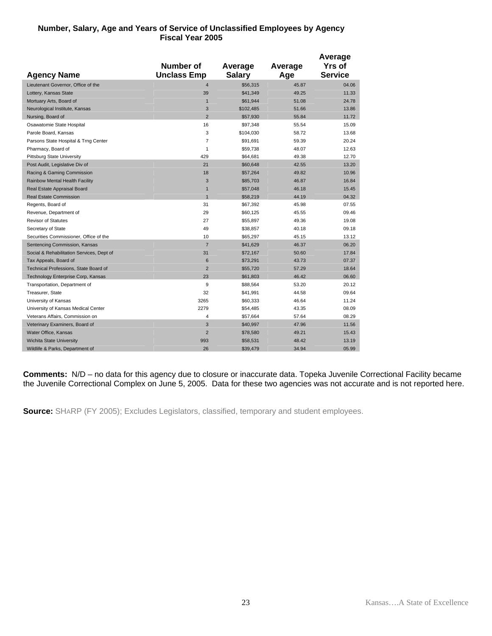#### **Number, Salary, Age and Years of Service of Unclassified Employees by Agency Fiscal Year 2005**

|                                           | Number of          | Average       | Average | Average<br><b>Yrs of</b> |
|-------------------------------------------|--------------------|---------------|---------|--------------------------|
| <b>Agency Name</b>                        | <b>Unclass Emp</b> | <b>Salary</b> | Age     | <b>Service</b>           |
| Lieutenant Governor, Office of the        | $\overline{4}$     | \$56,315      | 45.87   | 04.06                    |
| Lottery, Kansas State                     | 39                 | \$41,349      | 49.25   | 11.33                    |
| Mortuary Arts, Board of                   | $\mathbf{1}$       | \$61,944      | 51.08   | 24.78                    |
| Neurological Institute, Kansas            | 3                  | \$102,485     | 51.66   | 13.86                    |
| Nursing, Board of                         | $\overline{2}$     | \$57,930      | 55.84   | 11.72                    |
| Osawatomie State Hospital                 | 16                 | \$97,348      | 55.54   | 15.09                    |
| Parole Board, Kansas                      | 3                  | \$104,030     | 58.72   | 13.68                    |
| Parsons State Hospital & Trng Center      | $\overline{7}$     | \$91,691      | 59.39   | 20.24                    |
| Pharmacy, Board of                        | $\mathbf{1}$       | \$59,738      | 48.07   | 12.63                    |
| <b>Pittsburg State University</b>         | 429                | \$64,681      | 49.38   | 12.70                    |
| Post Audit, Legislative Div of            | 21                 | \$60,648      | 42.55   | 13.20                    |
| Racing & Gaming Commission                | 18                 | \$57,264      | 49.82   | 10.96                    |
| Rainbow Mental Health Facility            | 3                  | \$85,703      | 46.87   | 16.84                    |
| Real Estate Appraisal Board               | $\mathbf{1}$       | \$57,048      | 46.18   | 15.45                    |
| <b>Real Estate Commission</b>             | $\overline{1}$     | \$58,219      | 44.19   | 04.32                    |
| Regents, Board of                         | 31                 | \$67,392      | 45.98   | 07.55                    |
| Revenue, Department of                    | 29                 | \$60,125      | 45.55   | 09.46                    |
| <b>Revisor of Statutes</b>                | 27                 | \$55,897      | 49.36   | 19.08                    |
| Secretary of State                        | 49                 | \$38,857      | 40.18   | 09.18                    |
| Securities Commissioner, Office of the    | 10                 | \$65,297      | 45.15   | 13.12                    |
| Sentencing Commission, Kansas             | $\overline{7}$     | \$41,629      | 46.37   | 06.20                    |
| Social & Rehabilitation Services, Dept of | 31                 | \$72,167      | 50.60   | 17.84                    |
| Tax Appeals, Board of                     | 6                  | \$73,291      | 43.73   | 07.37                    |
| Technical Professions, State Board of     | $\overline{2}$     | \$55,720      | 57.29   | 18.64                    |
| Technology Enterprise Corp, Kansas        | 23                 | \$61,803      | 46.42   | 06.60                    |
| Transportation, Department of             | 9                  | \$88,564      | 53.20   | 20.12                    |
| Treasurer, State                          | 32                 | \$41,991      | 44.58   | 09.64                    |
| University of Kansas                      | 3265               | \$60,333      | 46.64   | 11.24                    |
| University of Kansas Medical Center       | 2279               | \$54,485      | 43.35   | 08.09                    |
| Veterans Affairs, Commission on           | $\overline{4}$     | \$57,664      | 57.64   | 08.29                    |
| Veterinary Examiners, Board of            | 3                  | \$40,997      | 47.96   | 11.56                    |
| Water Office, Kansas                      | $\overline{2}$     | \$78,580      | 49.21   | 15.43                    |
| <b>Wichita State University</b>           | 993                | \$58,531      | 48.42   | 13.19                    |
| Wildlife & Parks, Department of           | 26                 | \$39,479      | 34.94   | 05.99                    |
|                                           |                    |               |         |                          |

**Comments:** N/D – no data for this agency due to closure or inaccurate data. Topeka Juvenile Correctional Facility became the Juvenile Correctional Complex on June 5, 2005. Data for these two agencies was not accurate and is not reported here.

**Source:** SHARP (FY 2005); Excludes Legislators, classified, temporary and student employees.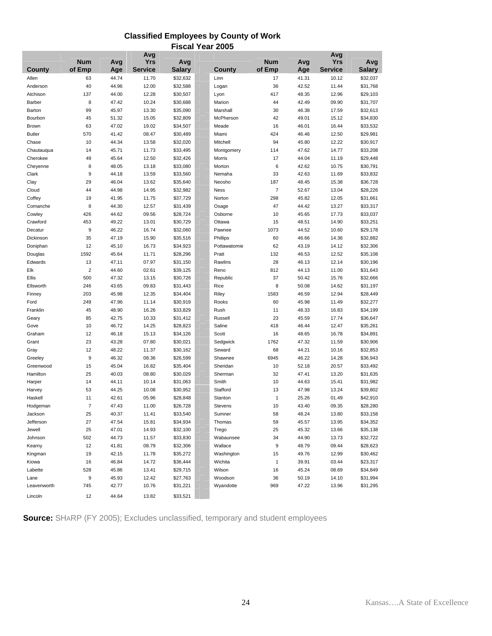### **Classified Employees by County of Work Fiscal Year 2005**

|               |                |       | Avg            |               |                |                |       | Avg            |               |
|---------------|----------------|-------|----------------|---------------|----------------|----------------|-------|----------------|---------------|
|               | <b>Num</b>     | Avg   | <b>Yrs</b>     | Avg           |                | <b>Num</b>     | Avg   | Yrs            | Avg           |
| <b>County</b> | of Emp         | Age   | <b>Service</b> | <b>Salary</b> | County         | of Emp         | Age   | <b>Service</b> | <b>Salary</b> |
| Allen         | 63             | 44.74 | 11.70          | \$32,632      | Linn           | 17             | 41.31 | 10.12          | \$32,037      |
| Anderson      | 40             | 44.96 | 12.00          | \$32,588      | Logan          | 36             | 42.52 | 11.44          | \$31,768      |
| Atchison      | 137            | 44.00 | 12.28          | \$30,507      | Lyon           | 417            | 48.35 | 12.96          | \$29,103      |
| Barber        | 8              | 47.42 | 10.24          | \$30,688      | Marion         | 44             | 42.49 | 09.90          | \$31,707      |
| Barton        | 99             | 45.97 | 13.30          | \$35,090      | Marshall       | 30             | 46.38 | 17.59          | \$32,613      |
| Bourbon       | 45             | 51.32 | 15.05          | \$32,809      | McPherson      | 42             | 49.01 | 15.12          | \$34,830      |
| Brown         | 63             | 47.02 | 19.02          | \$34,507      | Meade          | 16             | 46.01 | 16.44          | \$33,532      |
| <b>Butler</b> | 570            | 41.42 | 08.47          | \$30,489      | Miami          | 424            | 46.46 | 12.50          | \$29,981      |
| Chase         | 10             | 44.34 | 13.58          | \$32,020      | Mitchell       | 94             | 45.80 | 12.22          | \$30,917      |
| Chautauqua    | 14             | 45.71 | 11.73          | \$33,495      | Montgomery     | 114            | 47.62 | 14.77          | \$33,208      |
| Cherokee      | 49             | 45.64 | 12.50          | \$32,426      | Morris         | 17             | 44.04 | 11.19          | \$29,448      |
| Cheyenne      | 8              | 48.05 | 13.18          | \$33,080      | Morton         | 6              | 42.62 | 10.75          | \$30,791      |
| Clark         | 9              | 44.18 | 13.59          | \$33,560      | Nemaha         | 33             | 42.63 | 11.69          | \$33,832      |
| Clay          | 29             | 46.04 | 13.62          | \$35,640      | Neosho         | 187            | 48.45 | 15.38          | \$36,728      |
| Cloud         | 44             | 44.98 | 14.95          | \$32,982      | <b>Ness</b>    | $\overline{7}$ | 52.67 | 13.04          | \$28,226      |
| Coffey        | 19             | 41.95 | 11.75          | \$37,729      | Norton         | 298            | 45.82 | 12.05          | \$31,661      |
| Comanche      | 8              | 44.30 | 12.57          | \$31,439      | Osage          | 47             | 44.42 | 13.27          | \$33,317      |
| Cowley        | 426            | 44.62 | 09.56          | \$28,724      | Osborne        | 10             | 45.65 | 17.73          | \$33,037      |
| Crawford      | 453            | 49.22 | 13.01          | \$30,729      | Ottawa         | 15             | 48.51 | 14.90          | \$33,251      |
| Decatur       | 9              | 46.22 | 16.74          | \$32,060      | Pawnee         | 1073           | 44.52 | 10.60          | \$29,178      |
| Dickinson     | 35             | 47.19 | 15.90          | \$35,516      | Phillips       | 60             | 46.66 | 14.36          | \$32,882      |
| Doniphan      | 12             | 45.10 | 16.73          | \$34,923      | Pottawatomie   | 62             | 43.19 | 14.12          | \$32,306      |
| Douglas       | 1592           | 45.64 | 11.71          | \$28,296      | Pratt          | 132            | 46.53 | 12.52          | \$35,108      |
| Edwards       | 13             | 47.11 | 07.97          | \$31,150      | Rawlins        | 28             | 46.13 | 12.14          | \$30,196      |
| Elk           | $\overline{c}$ | 44.60 | 02.61          | \$39,125      | Reno           | 812            | 44.13 | 11.00          | \$31,643      |
| Ellis         | 500            | 47.32 | 13.15          | \$30,726      | Republic       | 37             | 50.42 | 15.76          | \$32,666      |
| Ellsworth     | 246            | 43.65 | 09.83          | \$31,443      | Rice           | 8              | 50.08 | 14.62          | \$31,197      |
| Finney        | 203            | 45.98 | 12.35          | \$34,404      | Riley          | 1583           | 46.59 | 12.94          | \$28,449      |
| Ford          | 249            | 47.96 | 11.14          | \$30,919      | Rooks          | 60             | 45.98 | 11.49          | \$32,277      |
| Franklin      | 45             | 48.90 | 16.26          | \$33,829      | Rush           | 11             | 48.33 | 16.83          | \$34,199      |
| Geary         | 85             | 42.75 | 10.33          | \$31,412      | Russell        | 23             | 45.59 | 17.74          | \$36,647      |
| Gove          | 10             | 46.72 | 14.25          | \$28,823      | Saline         | 418            | 46.44 | 12.47          | \$35,261      |
| Graham        | 12             | 46.18 | 15.13          | \$34,126      | Scott          | 16             | 48.65 | 16.78          | \$34,891      |
| Grant         | 23             | 43.28 | 07.80          | \$30,021      | Sedgwick       | 1762           | 47.32 | 11.59          | \$30,906      |
| Gray          | 12             | 48.22 | 11.37          | \$30,162      | Seward         | 68             | 44.21 | 10.16          | \$32,853      |
| Greeley       | 9              | 46.32 | 08.36          | \$26,599      | Shawnee        | 6945           | 46.22 | 14.28          | \$36,943      |
| Greenwood     | 15             | 45.04 | 16.82          | \$35,404      | Sheridan       | 10             | 52.18 | 20.57          | \$33,492      |
| Hamilton      | 25             | 40.03 | 08.80          | \$30,029      | Sherman        | 32             | 47.41 | 13.20          | \$31,635      |
| Harper        | 14             | 44.11 | 10.14          | \$31,063      | Smith          | 10             | 44.63 | 15.41          | \$31,982      |
| Harvey        | 53             | 44.25 | 10.08          | \$30,952      | Stafford       | 13             | 47.98 | 13.24          | \$39,802      |
| Haskell       | 11             | 42.61 | 05.96          | \$28,848      | Stanton        | $\mathbf{1}$   | 25.26 | 01.49          | \$42,910      |
| Hodgeman      | $\overline{7}$ | 47.43 | 11.00          | \$26,728      | <b>Stevens</b> | 10             | 43.40 | 09.35          | \$28,280      |
| Jackson       | 25             | 40.37 | 11.41          | \$33,540      | Sumner         | 58             | 48.24 | 13.80          | \$33,158      |
| Jefferson     | 27             | 47.54 | 15.81          | \$34,934      | Thomas         | 59             | 45.57 | 13.95          | \$34,352      |
| Jewell        | 25             | 47.01 | 14.93          | \$32,100      | Trego          | 25             | 45.32 | 13.66          | \$35,138      |
| Johnson       | 502            | 44.73 | 11.57          | \$33,830      | Wabaunsee      | 34             | 44.90 | 13.73          | \$32,722      |
| Kearny        | 12             | 41.81 | 08.79          | \$32,306      | Wallace        | 9              | 48.79 | 09.44          | \$28,623      |
| Kingman       | 19             | 42.15 | 11.78          | \$35,272      | Washington     | 15             | 49.76 | 12.99          | \$30,462      |
| Kiowa         | 16             | 46.84 | 14.72          | \$36,444      | Wichita        | $\mathbf{1}$   | 39.91 | 03.44          | \$23,317      |
| Labette       | 528            | 45.86 | 13.41          | \$29,715      | Wilson         | 16             | 45.24 | 08.69          | \$34,849      |
| Lane          | 9              | 45.93 | 12.42          | \$27,763      | Woodson        | 36             | 50.19 | 14.10          | \$31,994      |
| Leavenworth   | 745            | 42.77 | 10.76          | \$31,221      | Wyandotte      | 969            | 47.22 | 13.96          | \$31,295      |
| Lincoln       | 12             | 44.64 | 13.82          | \$33,521      |                |                |       |                |               |

**Source:** SHARP (FY 2005); Excludes unclassified, temporary and student employees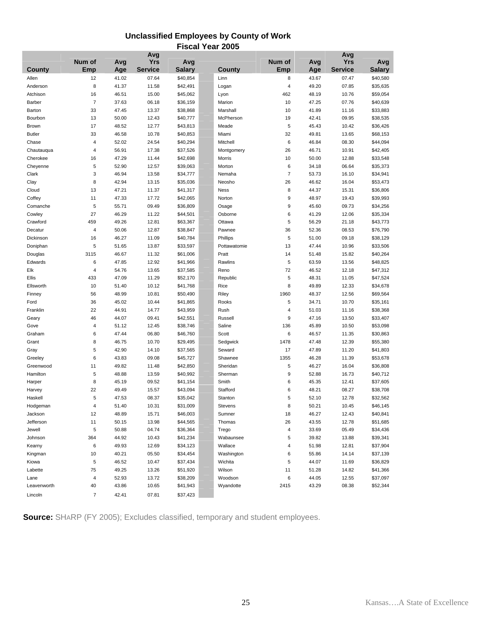### **Unclassified Employees by County of Work Fiscal Year 2005**

|               |        |       | Avg            |               |                |                |       | Avg            |               |
|---------------|--------|-------|----------------|---------------|----------------|----------------|-------|----------------|---------------|
|               | Num of | Avg   | <b>Yrs</b>     | Avg           |                | Num of         | Avg   | <b>Yrs</b>     | Avg           |
| County        | Emp    | Age   | <b>Service</b> | <b>Salary</b> | County         | Emp            | Age   | <b>Service</b> | <b>Salary</b> |
| Allen         | 12     | 41.02 | 07.64          | \$40,854      | Linn           | 8              | 43.67 | 07.47          | \$40,580      |
| Anderson      | 8      | 41.37 | 11.58          | \$42,491      | Logan          | 4              | 49.20 | 07.85          | \$35,635      |
|               |        |       |                |               |                |                |       |                |               |
| Atchison      | 16     | 46.51 | 15.00          | \$45,062      | Lyon           | 462            | 48.19 | 10.76          | \$59,054      |
| Barber        | 7      | 37.63 | 06.18          | \$36,159      | Marion         | 10             | 47.25 | 07.76          | \$40,639      |
| Barton        | 33     | 47.45 | 13.37          | \$38,868      | Marshall       | 10             | 41.89 | 11.16          | \$33,883      |
| Bourbon       | 13     | 50.00 | 12.43          | \$40,777      | McPherson      | 19             | 42.41 | 09.95          | \$38,535      |
| <b>Brown</b>  | 17     | 48.52 | 12.77          | \$43,813      | Meade          | 5              | 45.43 | 10.42          | \$36,426      |
| <b>Butler</b> | 33     | 46.58 | 10.78          | \$40,853      | Miami          | 32             | 49.81 | 13.65          | \$68,153      |
| Chase         | 4      | 52.02 | 24.54          | \$40,294      | Mitchell       | 6              | 46.84 | 08.30          | \$44,094      |
| Chautauqua    | 4      | 56.91 | 17.38          | \$37,526      | Montgomery     | 26             | 46.71 | 10.91          | \$42,405      |
| Cherokee      | 16     | 47.29 | 11.44          | \$42,698      | Morris         | 10             | 50.00 | 12.88          | \$33,548      |
| Cheyenne      | 5      | 52.90 | 12.57          | \$39,063      | Morton         | 6              | 34.18 | 06.64          | \$35,373      |
| Clark         | 3      | 46.94 | 13.58          | \$34,777      | Nemaha         | $\overline{7}$ | 53.73 | 16.10          | \$34,941      |
| Clay          | 8      | 42.94 | 13.15          | \$35,036      | Neosho         | 26             | 46.62 | 16.04          | \$53,473      |
| Cloud         | 13     | 47.21 | 11.37          | \$41,317      | <b>Ness</b>    | 8              | 44.37 | 15.31          | \$36,806      |
| Coffey        | 11     | 47.33 | 17.72          | \$42,065      | Norton         | 9              | 48.97 | 19.43          | \$39,993      |
| Comanche      | 5      | 55.71 | 09.49          | \$36,809      | Osage          | 9              | 45.60 | 09.73          | \$34,256      |
| Cowley        | 27     | 46.29 | 11.22          | \$44,501      | Osborne        | 6              | 41.29 | 12.06          | \$35,334      |
| Crawford      | 459    | 49.26 | 12.81          | \$63,367      | Ottawa         | 5              | 56.29 | 21.18          | \$43,773      |
| Decatur       | 4      | 50.06 | 12.87          | \$38,847      | Pawnee         | 36             | 52.36 | 08.53          | \$76,790      |
| Dickinson     | 16     | 46.27 | 11.09          | \$40,784      | Phillips       | 5              | 51.00 | 09.18          | \$38,129      |
|               |        |       |                |               | Pottawatomie   |                |       |                |               |
| Doniphan      | 5      | 51.65 | 13.87          | \$33,597      |                | 13             | 47.44 | 10.96          | \$33,506      |
| Douglas       | 3115   | 46.67 | 11.32          | \$61,006      | Pratt          | 14             | 51.48 | 15.82          | \$40,264      |
| Edwards       | 6      | 47.85 | 12.92          | \$41,966      | Rawlins        | 5              | 63.59 | 13.56          | \$48,825      |
| Elk           | 4      | 54.76 | 13.65          | \$37,585      | Reno           | 72             | 46.52 | 12.18          | \$47,312      |
| Ellis         | 433    | 47.09 | 11.29          | \$52,170      | Republic       | 5              | 48.31 | 11.05          | \$47,524      |
| Ellsworth     | 10     | 51.40 | 10.12          | \$41,768      | Rice           | 8              | 49.89 | 12.33          | \$34,678      |
| Finney        | 56     | 48.99 | 10.81          | \$50,490      | Riley          | 1960           | 48.37 | 12.56          | \$69,564      |
| Ford          | 36     | 45.02 | 10.44          | \$41,865      | Rooks          | 5              | 34.71 | 10.70          | \$35,161      |
| Franklin      | 22     | 44.91 | 14.77          | \$43,959      | Rush           | 4              | 51.03 | 11.16          | \$38,368      |
| Geary         | 46     | 44.07 | 09.41          | \$42,551      | Russell        | 9              | 47.16 | 13.50          | \$33,407      |
| Gove          | 4      | 51.12 | 12.45          | \$38,746      | Saline         | 136            | 45.89 | 10.50          | \$53,098      |
| Graham        | 6      | 47.44 | 06.80          | \$46,760      | Scott          | 6              | 46.57 | 11.35          | \$30,863      |
| Grant         | 8      | 46.75 | 10.70          | \$29,495      | Sedgwick       | 1478           | 47.48 | 12.39          | \$55,380      |
| Gray          | 5      | 42.90 | 14.10          | \$37,565      | Seward         | 17             | 47.89 | 11.20          | \$41,803      |
| Greeley       | 6      | 43.83 | 09.08          | \$45,727      | Shawnee        | 1355           | 46.28 | 11.39          | \$53,678      |
| Greenwood     | 11     | 49.82 | 11.48          | \$42,850      | Sheridan       | 5              | 46.27 | 16.04          | \$36,808      |
| Hamilton      | 5      | 48.88 | 13.59          | \$40,992      | Sherman        | 9              | 52.88 | 16.73          | \$40,712      |
| Harper        | 8      | 45.19 | 09.52          | \$41,154      | Smith          | 6              | 45.35 | 12.41          | \$37,605      |
| Harvey        | 22     | 49.49 | 15.57          | \$43,094      | Stafford       | 6              | 48.21 | 08.27          | \$38,708      |
| Haskell       | 5      | 47.53 | 08.37          | \$35,042      | Stanton        | 5              | 52.10 | 12.78          | \$32,562      |
| Hodgeman      | 4      | 51.40 | 10.31          | \$31,009      | <b>Stevens</b> | 8              | 50.21 | 10.45          | \$46,145      |
|               | 12     | 48.89 | 15.71          | \$46,003      |                | 18             | 46.27 | 12.43          | \$40,841      |
| Jackson       |        |       |                |               | Sumner         |                |       |                |               |
| Jefferson     | 11     | 50.15 | 13.98          | \$44,565      | Thomas         | 26             | 43.55 | 12.78          | \$51,685      |
| Jewell        | 5      | 50.88 | 04.74          | \$36,364      | Trego          | 4              | 33.69 | 05.49          | \$34,436      |
| Johnson       | 364    | 44.92 | 10.43          | \$41,234      | Wabaunsee      | 5              | 39.82 | 13.88          | \$39,341      |
| Kearny        | 6      | 49.93 | 12.69          | \$34,123      | Wallace        | 4              | 51.98 | 12.81          | \$37,904      |
| Kingman       | 10     | 40.21 | 05.50          | \$34,454      | Washington     | 6              | 55.86 | 14.14          | \$37,139      |
| Kiowa         | 5      | 46.52 | 10.47          | \$37,434      | Wichita        | 5              | 44.07 | 11.69          | \$36,829      |
| Labette       | 75     | 49.25 | 13.26          | \$51,920      | Wilson         | 11             | 51.28 | 14.82          | \$41,366      |
| Lane          | 4      | 52.93 | 13.72          | \$38,209      | Woodson        | 6              | 44.05 | 12.55          | \$37,097      |
| Leavenworth   | 40     | 43.86 | 10.65          | \$41,943      | Wyandotte      | 2415           | 43.29 | 08.38          | \$52,344      |
| Lincoln       | 7      | 42.41 | 07.81          | \$37,423      |                |                |       |                |               |

**Source:** SHARP (FY 2005); Excludes classified, temporary and student employees.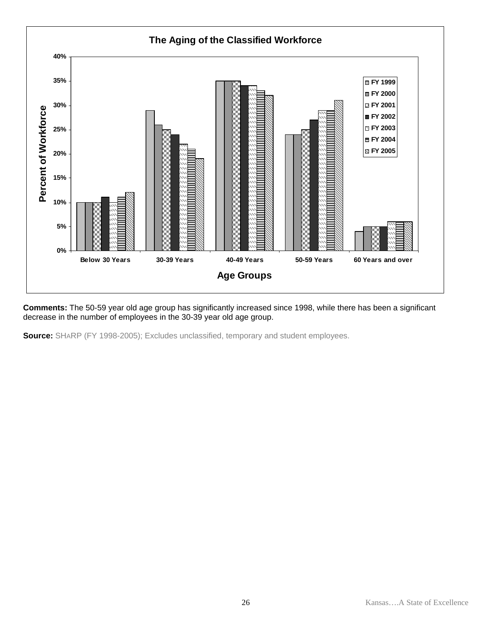

**Comments:** The 50-59 year old age group has significantly increased since 1998, while there has been a significant decrease in the number of employees in the 30-39 year old age group.

**Source:** SHARP (FY 1998-2005); Excludes unclassified, temporary and student employees.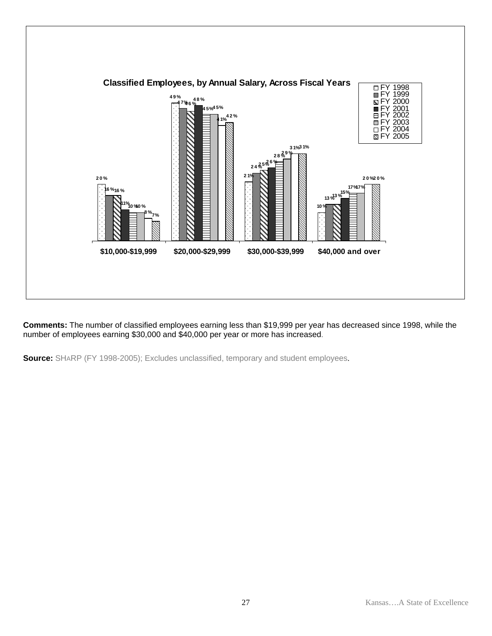

**Comments:** The number of classified employees earning less than \$19,999 per year has decreased since 1998, while the number of employees earning \$30,000 and \$40,000 per year or more has increased.

**Source:** SHARP (FY 1998-2005); Excludes unclassified, temporary and student employees.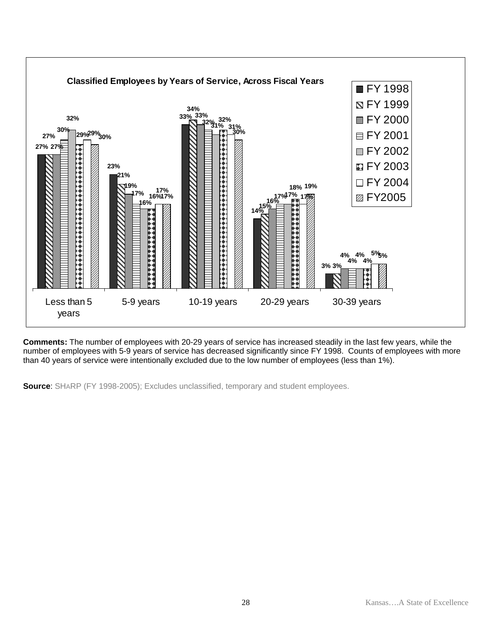

**Comments:** The number of employees with 20-29 years of service has increased steadily in the last few years, while the number of employees with 5-9 years of service has decreased significantly since FY 1998. Counts of employees with more than 40 years of service were intentionally excluded due to the low number of employees (less than 1%).

**Source**: SHARP (FY 1998-2005); Excludes unclassified, temporary and student employees.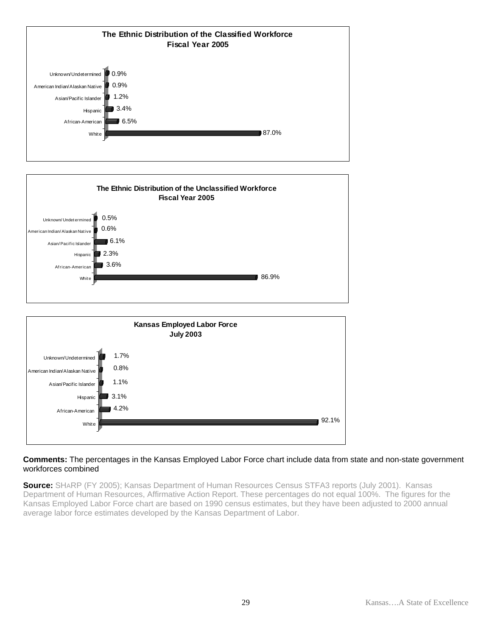



#### **Comments:** The percentages in the Kansas Employed Labor Force chart include data from state and non-state government workforces combined

**Source:** SHARP (FY 2005); Kansas Department of Human Resources Census STFA3 reports (July 2001). Kansas Department of Human Resources, Affirmative Action Report. These percentages do not equal 100%. The figures for the Kansas Employed Labor Force chart are based on 1990 census estimates, but they have been adjusted to 2000 annual average labor force estimates developed by the Kansas Department of Labor.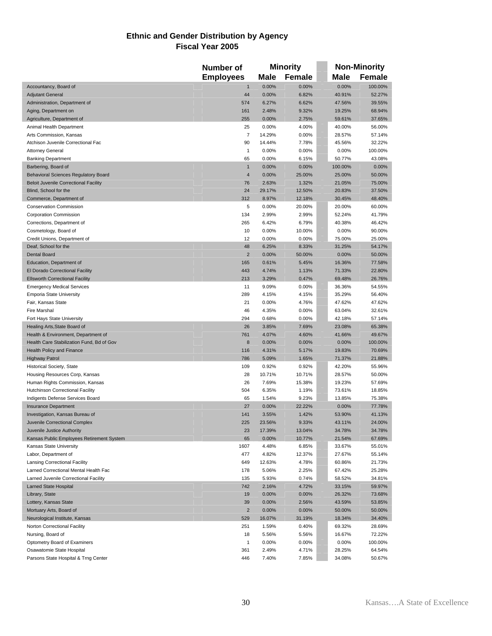#### **Ethnic and Gender Distribution by Agency Fiscal Year 2005**

|                                              | Number of        | <b>Minority</b> |               |         | <b>Non-Minority</b> |
|----------------------------------------------|------------------|-----------------|---------------|---------|---------------------|
|                                              | <b>Employees</b> | Male            | <b>Female</b> | Male    | <b>Female</b>       |
| Accountancy, Board of                        | $\mathbf{1}$     | 0.00%           | 0.00%         | 0.00%   | 100.00%             |
| <b>Adjutant General</b>                      | 44               | 0.00%           | 6.82%         | 40.91%  | 52.27%              |
| Administration, Department of                | 574              | 6.27%           | 6.62%         | 47.56%  | 39.55%              |
| Aging, Department on                         | 161              | 2.48%           | 9.32%         | 19.25%  | 68.94%              |
| Agriculture, Department of                   | 255              | 0.00%           | 2.75%         | 59.61%  | 37.65%              |
| Animal Health Department                     | 25               | 0.00%           | 4.00%         | 40.00%  | 56.00%              |
| Arts Commission, Kansas                      | $\overline{7}$   | 14.29%          | 0.00%         | 28.57%  | 57.14%              |
| Atchison Juvenile Correctional Fac           | 90               | 14.44%          | 7.78%         | 45.56%  | 32.22%              |
| <b>Attorney General</b>                      | $\mathbf{1}$     | 0.00%           | 0.00%         | 0.00%   | 100.00%             |
| <b>Banking Department</b>                    | 65               | 0.00%           | 6.15%         | 50.77%  | 43.08%              |
| Barbering, Board of                          | $\mathbf{1}$     | 0.00%           | 0.00%         | 100.00% | 0.00%               |
| <b>Behavioral Sciences Regulatory Board</b>  | $\overline{4}$   | 0.00%           | 25.00%        | 25.00%  | 50.00%              |
| <b>Beloit Juvenile Correctional Facility</b> | 76               | 2.63%           | 1.32%         | 21.05%  | 75.00%              |
| Blind, School for the                        | 24               | 29.17%          | 12.50%        | 20.83%  | 37.50%              |
| Commerce, Department of                      | 312              | 8.97%           | 12.18%        | 30.45%  | 48.40%              |
| <b>Conservation Commission</b>               | 5                | 0.00%           | 20.00%        | 20.00%  | 60.00%              |
| <b>Corporation Commission</b>                | 134              | 2.99%           | 2.99%         | 52.24%  | 41.79%              |
| Corrections, Department of                   | 265              | 6.42%           | 6.79%         | 40.38%  | 46.42%              |
| Cosmetology, Board of                        | 10               | 0.00%           | 10.00%        | 0.00%   | 90.00%              |
| Credit Unions, Department of                 | 12               | 0.00%           | 0.00%         | 75.00%  | 25.00%              |
| Deaf, School for the                         | 48               | 6.25%           | 8.33%         | 31.25%  | 54.17%              |
| <b>Dental Board</b>                          | $\overline{2}$   | 0.00%           | 50.00%        | 0.00%   | 50.00%              |
| Education, Department of                     | 165              | 0.61%           | 5.45%         | 16.36%  | 77.58%              |
| El Dorado Correctional Facility              | 443              | 4.74%           | 1.13%         | 71.33%  | 22.80%              |
| <b>Ellsworth Correctional Facility</b>       | 213              | 3.29%           | 0.47%         | 69.48%  | 26.76%              |
| <b>Emergency Medical Services</b>            | 11               | 9.09%           | 0.00%         | 36.36%  | 54.55%              |
| <b>Emporia State University</b>              | 289              | 4.15%           | 4.15%         | 35.29%  | 56.40%              |
| Fair, Kansas State                           | 21               | 0.00%           | 4.76%         | 47.62%  | 47.62%              |
| <b>Fire Marshal</b>                          | 46               | 4.35%           | 0.00%         | 63.04%  | 32.61%              |
| Fort Hays State University                   | 294              | 0.68%           | 0.00%         | 42.18%  | 57.14%              |
| Healing Arts, State Board of                 | 26               | 3.85%           | 7.69%         | 23.08%  | 65.38%              |
| Health & Environment, Department of          | 761              | 4.07%           | 4.60%         | 41.66%  | 49.67%              |
| Health Care Stabilization Fund, Bd of Gov    | 8                | 0.00%           | 0.00%         | 0.00%   | 100.00%             |
| <b>Health Policy and Finance</b>             | 116              | 4.31%           | 5.17%         | 19.83%  | 70.69%              |
| <b>Highway Patrol</b>                        | 786              | 5.09%           | 1.65%         | 71.37%  | 21.88%              |
| <b>Historical Society, State</b>             | 109              | 0.92%           | 0.92%         | 42.20%  | 55.96%              |
| Housing Resources Corp, Kansas               | 28               | 10.71%          | 10.71%        | 28.57%  | 50.00%              |
| Human Rights Commission, Kansas              | 26               | 7.69%           | 15.38%        | 19.23%  | 57.69%              |
| <b>Hutchinson Correctional Facility</b>      | 504              | 6.35%           | 1.19%         | 73.61%  | 18.85%              |
| Indigents Defense Services Board             | 65               | 1.54%           | 9.23%         | 13.85%  | 75.38%              |
| <b>Insurance Department</b>                  | 27               | 0.00%           | 22.22%        | 0.00%   | 77.78%              |
| Investigation, Kansas Bureau of              | 141              | 3.55%           | 1.42%         | 53.90%  | 41.13%              |
| Juvenile Correctional Complex                | 225              | 23.56%          | 9.33%         | 43.11%  | 24.00%              |
| Juvenile Justice Authority                   | 23               | 17.39%          | 13.04%        | 34.78%  | 34.78%              |
| Kansas Public Employees Retirement System    | 65               | 0.00%           | 10.77%        | 21.54%  | 67.69%              |
| Kansas State University                      | 1607             | 4.48%           | 6.85%         | 33.67%  | 55.01%              |
| Labor, Department of                         | 477              | 4.82%           | 12.37%        | 27.67%  | 55.14%              |
| <b>Lansing Correctional Facility</b>         | 649              | 12.63%          | 4.78%         | 60.86%  | 21.73%              |
| Larned Correctional Mental Health Fac        | 178              | 5.06%           | 2.25%         | 67.42%  | 25.28%              |
| Larned Juvenile Correctional Facility        | 135              | 5.93%           | 0.74%         | 58.52%  | 34.81%              |
| <b>Larned State Hospital</b>                 | 742              | 2.16%           | 4.72%         | 33.15%  | 59.97%              |
| Library, State                               | 19               | 0.00%           | 0.00%         | 26.32%  | 73.68%              |
| Lottery, Kansas State                        | 39               | 0.00%           | 2.56%         | 43.59%  | 53.85%              |
| Mortuary Arts, Board of                      | $\sqrt{2}$       | 0.00%           | 0.00%         | 50.00%  | 50.00%              |
| Neurological Institute, Kansas               | 529              | 16.07%          | 31.19%        | 18.34%  | 34.40%              |
| Norton Correctional Facility                 | 251              | 1.59%           | 0.40%         | 69.32%  | 28.69%              |
| Nursing, Board of                            | 18               | 5.56%           | 5.56%         | 16.67%  | 72.22%              |
| Optometry Board of Examiners                 | $\mathbf{1}$     | 0.00%           | 0.00%         | 0.00%   | 100.00%             |
| Osawatomie State Hospital                    | 361              | 2.49%           | 4.71%         | 28.25%  | 64.54%              |
| Parsons State Hospital & Trng Center         | 446              | 7.40%           | 7.85%         | 34.08%  | 50.67%              |
|                                              |                  |                 |               |         |                     |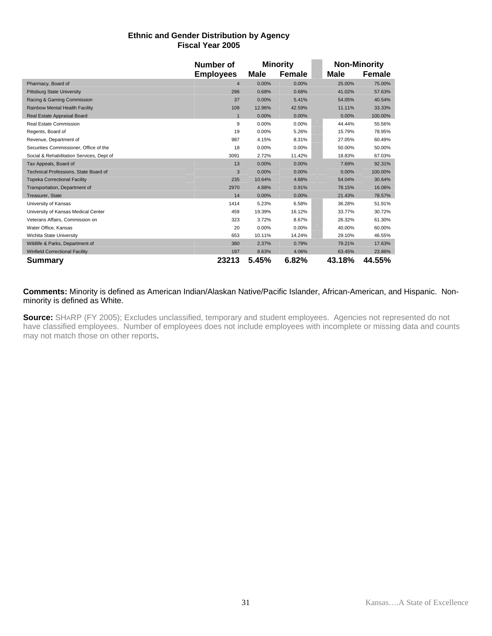#### **Ethnic and Gender Distribution by Agency Fiscal Year 2005**

|                                           | Number of        | <b>Minority</b> |        |        | <b>Non-Minority</b> |
|-------------------------------------------|------------------|-----------------|--------|--------|---------------------|
|                                           | <b>Employees</b> | Male            | Female | Male   | Female              |
| Pharmacy, Board of                        | $\overline{4}$   | 0.00%           | 0.00%  | 25.00% | 75.00%              |
| <b>Pittsburg State University</b>         | 296              | 0.68%           | 0.68%  | 41.02% | 57.63%              |
| Racing & Gaming Commission                | 37               | 0.00%           | 5.41%  | 54.05% | 40.54%              |
| Rainbow Mental Health Facility            | 108              | 12.96%          | 42.59% | 11.11% | 33.33%              |
| Real Estate Appraisal Board               | $\mathbf{1}$     | 0.00%           | 0.00%  | 0.00%  | 100.00%             |
| Real Estate Commission                    | 9                | 0.00%           | 0.00%  | 44.44% | 55.56%              |
| Regents, Board of                         | 19               | 0.00%           | 5.26%  | 15.79% | 78.95%              |
| Revenue, Department of                    | 987              | 4.15%           | 8.31%  | 27.05% | 60.49%              |
| Securities Commissioner, Office of the    | 18               | 0.00%           | 0.00%  | 50.00% | 50.00%              |
| Social & Rehabilitation Services, Dept of | 3091             | 2.72%           | 11.42% | 18.83% | 67.03%              |
| Tax Appeals, Board of                     | 13               | 0.00%           | 0.00%  | 7.69%  | 92.31%              |
| Technical Professions, State Board of     | 3                | 0.00%           | 0.00%  | 0.00%  | 100.00%             |
| <b>Topeka Correctional Facility</b>       | 235              | 10.64%          | 4.68%  | 54.04% | 30.64%              |
| Transportation, Department of             | 2970             | 4.88%           | 0.91%  | 78.15% | 16.06%              |
| Treasurer, State                          | 14               | 0.00%           | 0.00%  | 21.43% | 78.57%              |
| University of Kansas                      | 1414             | 5.23%           | 6.58%  | 36.28% | 51.91%              |
| University of Kansas Medical Center       | 459              | 19.39%          | 16.12% | 33.77% | 30.72%              |
| Veterans Affairs, Commission on           | 323              | 3.72%           | 8.67%  | 26.32% | 61.30%              |
| Water Office, Kansas                      | 20               | 0.00%           | 0.00%  | 40.00% | 60.00%              |
| Wichita State University                  | 653              | 10.11%          | 14.24% | 29.10% | 46.55%              |
| Wildlife & Parks, Department of           | 380              | 2.37%           | 0.79%  | 79.21% | 17.63%              |
| <b>Winfield Correctional Facility</b>     | 197              | 8.63%           | 4.06%  | 63.45% | 23.86%              |
| Summary                                   | 23213            | 5.45%           | 6.82%  | 43.18% | 44.55%              |

#### **Comments:** Minority is defined as American Indian/Alaskan Native/Pacific Islander, African-American, and Hispanic. Nonminority is defined as White.

**Source:** SHARP (FY 2005); Excludes unclassified, temporary and student employees. Agencies not represented do not have classified employees. Number of employees does not include employees with incomplete or missing data and counts may not match those on other reports.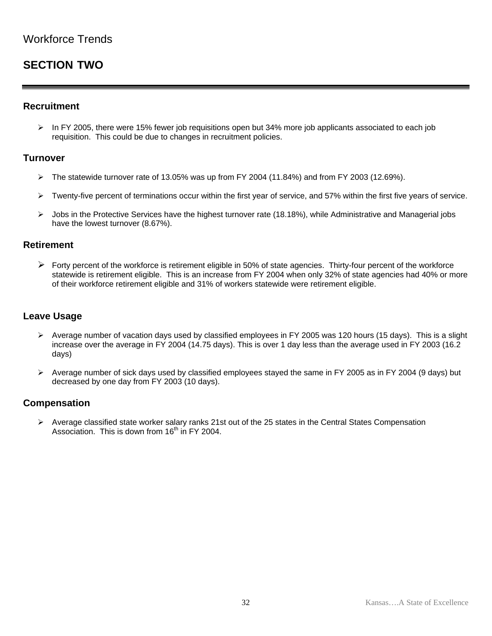# **SECTION TWO**

### **Recruitment**

 $\triangleright$  In FY 2005, there were 15% fewer job requisitions open but 34% more job applicants associated to each job requisition. This could be due to changes in recruitment policies.

### **Turnover**

- $\triangleright$  The statewide turnover rate of 13.05% was up from FY 2004 (11.84%) and from FY 2003 (12.69%).
- $\triangleright$  Twenty-five percent of terminations occur within the first year of service, and 57% within the first five years of service.
- $\blacktriangleright$  Jobs in the Protective Services have the highest turnover rate (18.18%), while Administrative and Managerial jobs have the lowest turnover (8.67%).

### **Retirement**

 $\triangleright$  Forty percent of the workforce is retirement eligible in 50% of state agencies. Thirty-four percent of the workforce statewide is retirement eligible. This is an increase from FY 2004 when only 32% of state agencies had 40% or more of their workforce retirement eligible and 31% of workers statewide were retirement eligible.

### **Leave Usage**

- ¾ Average number of vacation days used by classified employees in FY 2005 was 120 hours (15 days). This is a slight increase over the average in FY 2004 (14.75 days). This is over 1 day less than the average used in FY 2003 (16.2 days)
- $\triangleright$  Average number of sick days used by classified employees stayed the same in FY 2005 as in FY 2004 (9 days) but decreased by one day from FY 2003 (10 days).

### **Compensation**

 $\triangleright$  Average classified state worker salary ranks 21st out of the 25 states in the Central States Compensation Association. This is down from  $16<sup>th</sup>$  in FY 2004.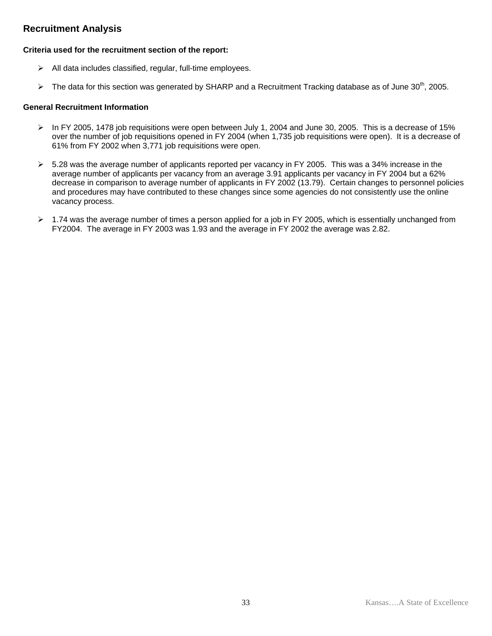### **Recruitment Analysis**

#### **Criteria used for the recruitment section of the report:**

- $\triangleright$  All data includes classified, regular, full-time employees.
- $\triangleright$  The data for this section was generated by SHARP and a Recruitment Tracking database as of June 30<sup>th</sup>, 2005.

#### **General Recruitment Information**

- $\triangleright$  In FY 2005, 1478 job requisitions were open between July 1, 2004 and June 30, 2005. This is a decrease of 15% over the number of job requisitions opened in FY 2004 (when 1,735 job requisitions were open). It is a decrease of 61% from FY 2002 when 3,771 job requisitions were open.
- $\triangleright$  5.28 was the average number of applicants reported per vacancy in FY 2005. This was a 34% increase in the average number of applicants per vacancy from an average 3.91 applicants per vacancy in FY 2004 but a 62% decrease in comparison to average number of applicants in FY 2002 (13.79). Certain changes to personnel policies and procedures may have contributed to these changes since some agencies do not consistently use the online vacancy process.
- $\geq 1.74$  was the average number of times a person applied for a job in FY 2005, which is essentially unchanged from FY2004. The average in FY 2003 was 1.93 and the average in FY 2002 the average was 2.82.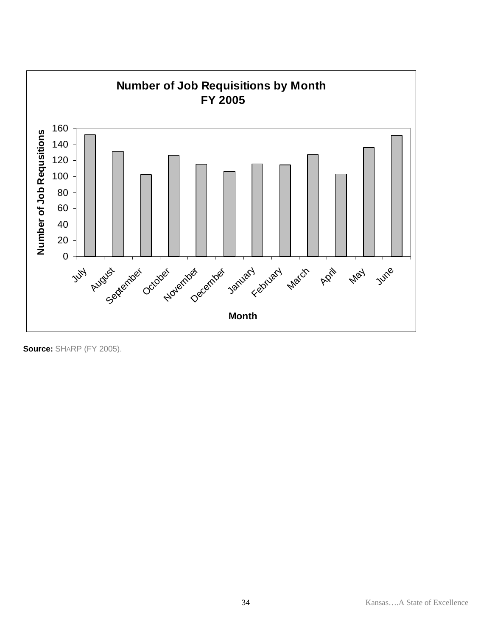

**Source:** SHARP (FY 2005).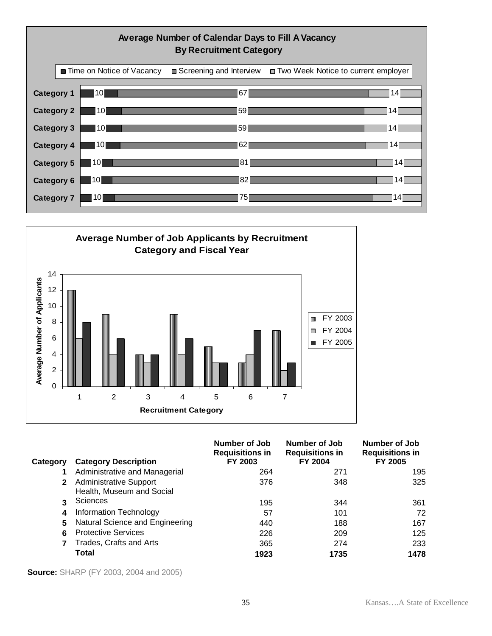



| Category     | <b>Category Description</b>                                | Number of Job<br><b>Requisitions in</b><br>FY 2003 | <b>Number of Job</b><br><b>Requisitions in</b><br>FY 2004 | Number of Job<br><b>Requisitions in</b><br>FY 2005 |
|--------------|------------------------------------------------------------|----------------------------------------------------|-----------------------------------------------------------|----------------------------------------------------|
|              | Administrative and Managerial                              | 264                                                | 271                                                       | 195                                                |
| $\mathbf{2}$ | <b>Administrative Support</b><br>Health, Museum and Social | 376                                                | 348                                                       | 325                                                |
| 3            | <b>Sciences</b>                                            | 195                                                | 344                                                       | 361                                                |
| 4            | Information Technology                                     | 57                                                 | 101                                                       | 72                                                 |
| 5            | Natural Science and Engineering                            | 440                                                | 188                                                       | 167                                                |
| 6            | <b>Protective Services</b>                                 | 226                                                | 209                                                       | 125                                                |
| 7            | Trades, Crafts and Arts                                    | 365                                                | 274                                                       | 233                                                |
|              | <b>Total</b>                                               | 1923                                               | 1735                                                      | 1478                                               |

**Source:** SHARP (FY 2003, 2004 and 2005)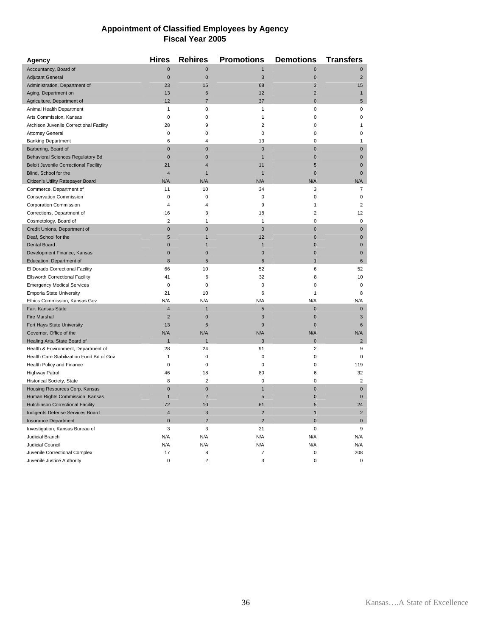#### **Appointment of Classified Employees by Agency Fiscal Year 2005**

| <b>Agency</b>                                | <b>Hires</b>            | <b>Rehires</b> | <b>Promotions</b> | <b>Demotions</b> | <b>Transfers</b> |
|----------------------------------------------|-------------------------|----------------|-------------------|------------------|------------------|
| Accountancy, Board of                        | $\overline{0}$          | $\mathbf{0}$   | $\mathbf{1}$      | $\Omega$         | $\mathbf 0$      |
| <b>Adjutant General</b>                      | $\mathbf{0}$            | $\mathbf{0}$   | 3                 | $\overline{0}$   | $\overline{2}$   |
| Administration, Department of                | 23                      | 15             | 68                | 3                | 15               |
| Aging, Department on                         | 13                      | $\,6$          | 12                | $\overline{c}$   | $\mathbf{1}$     |
| Agriculture, Department of                   | 12                      | $\overline{7}$ | 37                | $\mathbf 0$      | 5                |
| Animal Health Department                     | $\mathbf{1}$            | $\pmb{0}$      | $\mathbf{1}$      | 0                | $\mathbf 0$      |
| Arts Commission, Kansas                      | $\mathbf 0$             | $\mathbf 0$    | $\mathbf{1}$      | 0                | 0                |
| Atchison Juvenile Correctional Facility      | 28                      | 9              | $\overline{2}$    | 0                | 1                |
| <b>Attorney General</b>                      | $\mathbf 0$             | 0              | 0                 | 0                | 0                |
| <b>Banking Department</b>                    | 6                       | $\overline{4}$ | 13                | 0                | $\mathbf{1}$     |
| Barbering, Board of                          | $\mathbf 0$             | $\pmb{0}$      | $\mathbf 0$       | $\mathbf{0}$     | $\pmb{0}$        |
| <b>Behavioral Sciences Regulatory Bd</b>     | $\mathbf{0}$            | $\pmb{0}$      | $\mathbf{1}$      | $\mathbf{0}$     | $\mathbf 0$      |
| <b>Beloit Juvenile Correctional Facility</b> | 21                      | $\overline{4}$ | 11                | 5                | $\mathbf 0$      |
| Blind, School for the                        | $\overline{4}$          | $\mathbf{1}$   | $\mathbf{1}$      | $\mathbf{0}$     | $\mathbf 0$      |
| Citizen's Utility Ratepayer Board            | N/A                     | N/A            | N/A               | N/A              | N/A              |
| Commerce, Department of                      | 11                      | 10             | 34                | 3                | $\overline{7}$   |
| Conservation Commission                      | $\mathbf 0$             | $\pmb{0}$      | $\mathbf 0$       | 0                | $\mathbf 0$      |
| <b>Corporation Commission</b>                | $\overline{4}$          | $\overline{4}$ | 9                 | 1                | $\overline{2}$   |
| Corrections, Department of                   | 16                      | 3              | 18                | $\overline{2}$   | 12               |
| Cosmetology, Board of                        | $\overline{2}$          | $\mathbf{1}$   | 1                 | $\mathbf 0$      | $\pmb{0}$        |
| Credit Unions, Department of                 | $\mathbf 0$             | $\mathbf 0$    | $\mathbf 0$       | $\mathbf 0$      | $\mathbf 0$      |
| Deaf, School for the                         | 5                       | $\mathbf{1}$   | 12                | $\mathbf 0$      | $\mathbf 0$      |
| <b>Dental Board</b>                          | $\overline{0}$          | $\mathbf{1}$   | $\mathbf{1}$      | $\overline{0}$   | $\mathbf 0$      |
| Development Finance, Kansas                  | $\mathbf 0$             | $\pmb{0}$      | $\mathbf 0$       | $\mathbf 0$      | $\mathbf 0$      |
| Education, Department of                     | 8                       | 5              | 6                 | $\overline{1}$   | $6\phantom{1}$   |
| El Dorado Correctional Facility              | 66                      | 10             | 52                | 6                | 52               |
| <b>Ellsworth Correctional Facility</b>       | 41                      | 6              | 32                | 8                | 10               |
| <b>Emergency Medical Services</b>            | $\mathbf 0$             | $\pmb{0}$      | $\mathbf 0$       | 0                | $\mathbf 0$      |
| <b>Emporia State University</b>              | 21                      | 10             | 6                 | 1                | 8                |
| Ethics Commission, Kansas Gov                | N/A                     | N/A            | N/A               | N/A              | N/A              |
| Fair, Kansas State                           | $\overline{4}$          | $\mathbf{1}$   | 5                 | $\overline{0}$   | $\mathbf{0}$     |
| <b>Fire Marshal</b>                          | $\overline{2}$          | $\pmb{0}$      | 3                 | $\mathbf 0$      | 3                |
| Fort Hays State University                   | 13                      | $6\phantom{1}$ | 9                 | $\mathbf 0$      | $6\phantom{1}$   |
| Governor, Office of the                      | N/A                     | N/A            | N/A               | N/A              | N/A              |
| Healing Arts, State Board of                 | $\overline{1}$          | $\overline{1}$ | 3                 | $\Omega$         | $\overline{2}$   |
| Health & Environment, Department of          | 28                      | 24             | 91                | 2                | 9                |
| Health Care Stabilization Fund Bd of Gov     | 1                       | $\pmb{0}$      | 0                 | 0                | 0                |
| Health Policy and Finance                    | $\mathbf 0$             | $\mathbf 0$    | 0                 | 0                | 119              |
| <b>Highway Patrol</b>                        | 46                      | 18             | 80                | 6                | 32               |
| Historical Society, State                    | 8                       | $\overline{2}$ | $\mathbf 0$       | 0                | $\overline{2}$   |
| Housing Resources Corp, Kansas               | $\overline{0}$          | $\mathbf{0}$   | $\mathbf{1}$      | $\overline{0}$   | $\mathbf 0$      |
| Human Rights Commission, Kansas              | $\mathbf{1}$            | $\overline{2}$ | 5                 | $\overline{0}$   | $\mathbf 0$      |
| <b>Hutchinson Correctional Facility</b>      | 72                      | 10             | 61                | 5                | 24               |
| Indigents Defense Services Board             | $\overline{\mathbf{4}}$ | 3              | $\overline{2}$    | $\mathbf{1}$     | $\overline{2}$   |
| <b>Insurance Department</b>                  | $\overline{0}$          | $\overline{2}$ | $\overline{2}$    | $\Omega$         | $\mathbf{0}$     |
| Investigation, Kansas Bureau of              | 3                       | 3              | 21                | 0                | 9                |
| <b>Judicial Branch</b>                       | N/A                     | N/A            | N/A               | N/A              | N/A              |
| <b>Judicial Council</b>                      | N/A                     | N/A            | N/A               | N/A              | N/A              |
| Juvenile Correctional Complex                | 17                      | 8              | $\overline{7}$    | 0                | 208              |
| Juvenile Justice Authority                   | $\mathbf 0$             | $\overline{2}$ | 3                 | 0                | 0                |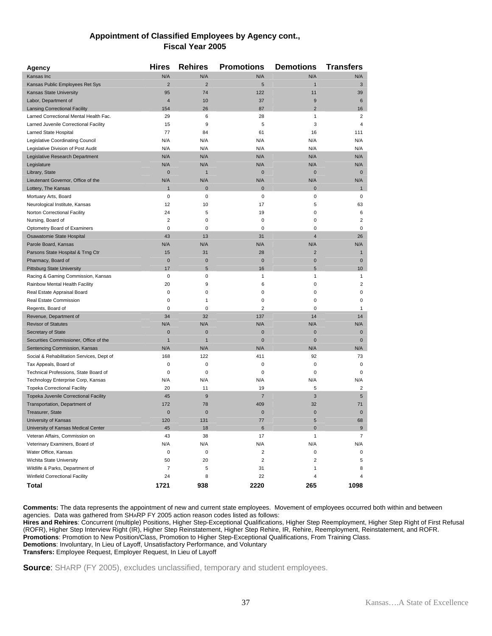### **Appointment of Classified Employees by Agency cont., Fiscal Year 2005**

| <b>Agency</b>                             | <b>Hires</b>   | <b>Rehires</b> | <b>Promotions</b>       | <b>Demotions</b>        | <b>Transfers</b>        |
|-------------------------------------------|----------------|----------------|-------------------------|-------------------------|-------------------------|
| Kansas Inc                                | N/A            | N/A            | N/A                     | N/A                     | N/A                     |
| Kansas Public Employees Ret Sys           | $\overline{2}$ | $\overline{2}$ | 5                       | $\mathbf{1}$            | 3                       |
| Kansas State University                   | 95             | 74             | 122                     | 11                      | 39                      |
| Labor, Department of                      | $\overline{4}$ | 10             | 37                      | 9                       | 6                       |
| <b>Lansing Correctional Facility</b>      | 154            | 26             | 87                      | $\overline{2}$          | 16                      |
| Larned Correctional Mental Health Fac.    | 29             | 6              | 28                      | 1                       | 2                       |
| Larned Juvenile Correctional Facility     | 15             | 9              | 5                       | 3                       | 4                       |
| Larned State Hospital                     | 77             | 84             | 61                      | 16                      | 111                     |
| Legislative Coordinating Council          | N/A            | N/A            | N/A                     | N/A                     | N/A                     |
| Legislative Division of Post Audit        | N/A            | N/A            | N/A                     | N/A                     | N/A                     |
| Legislative Research Department           | N/A            | N/A            | N/A                     | N/A                     | N/A                     |
| Legislature                               | N/A            | N/A            | N/A                     | N/A                     | N/A                     |
| Library, State                            | $\mathbf{0}$   | $\mathbf{1}$   | $\mathbf 0$             | $\mathbf 0$             | $\mathbf 0$             |
| Lieutenant Governor, Office of the        | N/A            | N/A            | N/A                     | N/A                     | N/A                     |
| Lottery, The Kansas                       | $\mathbf{1}$   | $\mathbf 0$    | $\mathbf{0}$            | $\mathbf 0$             | $\mathbf{1}$            |
| Mortuary Arts, Board                      | $\mathbf 0$    | $\mathbf 0$    | $\mathsf 0$             | 0                       | 0                       |
| Neurological Institute, Kansas            | 12             | 10             | 17                      | 5                       | 63                      |
| Norton Correctional Facility              | 24             | 5              | 19                      | 0                       | 6                       |
| Nursing, Board of                         | $\overline{2}$ | $\mathbf 0$    | 0                       | 0                       | $\overline{\mathbf{c}}$ |
| Optometry Board of Examiners              | $\mathbf 0$    | $\mathbf 0$    | $\mathbf 0$             | $\mathbf 0$             | 0                       |
| Osawatomie State Hospital                 | 43             | 13             | 31                      | $\overline{\mathbf{4}}$ | 26                      |
| Parole Board, Kansas                      | N/A            | N/A            | N/A                     | N/A                     | N/A                     |
| Parsons State Hospital & Trng Ctr         | 15             | 31             | 28                      | $\overline{2}$          | $\mathbf{1}$            |
| Pharmacy, Board of                        | $\mathbf{0}$   | $\mathbf 0$    | $\mathbf 0$             | 0                       | $\mathbf 0$             |
| <b>Pittsburg State University</b>         | 17             | 5              | 16                      | 5                       | 10                      |
| Racing & Gaming Commission, Kansas        | 0              | $\mathbf 0$    | 1                       | 1                       | 1                       |
| Rainbow Mental Health Facility            | 20             | 9              | 6                       | 0                       | 2                       |
| Real Estate Appraisal Board               | 0              | 0              | 0                       | 0                       | 0                       |
| Real Estate Commission                    | $\mathbf 0$    | $\mathbf{1}$   | $\mathsf 0$             | 0                       | 0                       |
| Regents, Board of                         | $\mathbf 0$    | $\mathbf 0$    | $\overline{2}$          | $\mathbf 0$             | 1                       |
| Revenue, Department of                    | 34             | 32             | 137                     | 14                      | 14                      |
| <b>Revisor of Statutes</b>                | N/A            | N/A            | N/A                     | N/A                     | N/A                     |
| Secretary of State                        | $\mathbf{0}$   | $\overline{0}$ | $\mathbf 0$             | $\mathbf 0$             | $\mathbf 0$             |
| Securities Commissioner, Office of the    | $\mathbf{1}$   | $\mathbf{1}$   | $\mathbf 0$             | $\mathbf{0}$            | $\mathbf 0$             |
| Sentencing Commission, Kansas             | N/A            | N/A            | N/A                     | N/A                     | N/A                     |
| Social & Rehabilitation Services, Dept of | 168            | 122            | 411                     | 92                      | 73                      |
| Tax Appeals, Board of                     | $\mathbf 0$    | $\mathbf 0$    | 0                       | 0                       | 0                       |
| Technical Professions, State Board of     | $\mathbf 0$    | $\mathbf 0$    | $\mathsf 0$             | 0                       | 0                       |
| Technology Enterprise Corp, Kansas        | N/A            | N/A            | N/A                     | N/A                     | N/A                     |
| <b>Topeka Correctional Facility</b>       | 20             | 11             | 19                      | 5                       | 2                       |
| Topeka Juvenile Correctional Facility     | 45             | 9              | $\overline{7}$          | 3                       | $\sqrt{5}$              |
| Transportation, Department of             | 172            | 78             | 409                     | 32                      | 71                      |
| Treasurer, State                          | $\mathbf{0}$   | $\mathbf 0$    | $\mathbf 0$             | $\mathbf 0$             | $\mathbf 0$             |
| University of Kansas                      | 120            | 131            | 77                      | 5                       | 68                      |
| University of Kansas Medical Center       | 45             | 18             | 6                       | $\mathbf 0$             | 9                       |
| Veteran Affairs, Commission on            | 43             | 38             | 17                      | 1                       | 7                       |
| Veterinary Examiners, Board of            | N/A            | N/A            | N/A                     | N/A                     | N/A                     |
| Water Office, Kansas                      | $\pmb{0}$      | $\pmb{0}$      | $\overline{c}$          | 0                       | 0                       |
| Wichita State University                  | 50             | 20             | $\overline{\mathbf{c}}$ | 2                       | 5                       |
| Wildlife & Parks, Department of           | $\overline{7}$ | 5              | 31                      | 1                       | 8                       |
| Winfield Correctional Facility            | 24             | 8              | 22                      | 4                       | 4                       |
| Total                                     | 1721           | 938            | 2220                    | 265                     | 1098                    |

**Comments:** The data represents the appointment of new and current state employees. Movement of employees occurred both within and between agencies. Data was gathered from SHARP FY 2005 action reason codes listed as follows:

**Hires and Rehires**: Concurrent (multiple) Positions, Higher Step-Exceptional Qualifications, Higher Step Reemployment, Higher Step Right of First Refusal (ROFR), Higher Step Interview Right (IR), Higher Step Reinstatement, Higher Step Rehire, IR, Rehire, Reemployment, Reinstatement, and ROFR. **Promotions**: Promotion to New Position/Class, Promotion to Higher Step-Exceptional Qualifications, From Training Class. **Demotions**: Involuntary, In Lieu of Layoff, Unsatisfactory Performance, and Voluntary

**Transfers:** Employee Request, Employer Request, In Lieu of Layoff

**Source**: SHARP (FY 2005), excludes unclassified, temporary and student employees.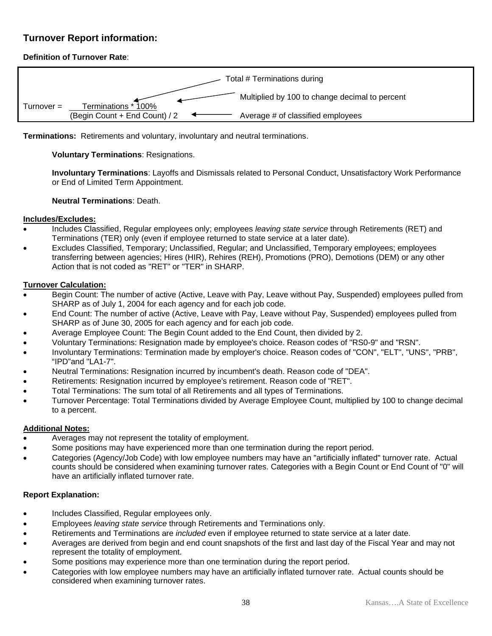### **Turnover Report information:**

### **Definition of Turnover Rate**:



**Terminations:** Retirements and voluntary, involuntary and neutral terminations.

### **Voluntary Terminations**: Resignations.

**Involuntary Terminations**: Layoffs and Dismissals related to Personal Conduct, Unsatisfactory Work Performance or End of Limited Term Appointment.

#### **Neutral Terminations**: Death.

#### **Includes/Excludes:**

- Includes Classified, Regular employees only; employees *leaving state service* through Retirements (RET) and Terminations (TER) only (even if employee returned to state service at a later date).
- Excludes Classified, Temporary; Unclassified, Regular; and Unclassified, Temporary employees; employees transferring between agencies; Hires (HIR), Rehires (REH), Promotions (PRO), Demotions (DEM) or any other Action that is not coded as "RET" or "TER" in SHARP.

#### **Turnover Calculation:**

- Begin Count: The number of active (Active, Leave with Pay, Leave without Pay, Suspended) employees pulled from SHARP as of July 1, 2004 for each agency and for each job code.
- End Count: The number of active (Active, Leave with Pay, Leave without Pay, Suspended) employees pulled from SHARP as of June 30, 2005 for each agency and for each job code.
- Average Employee Count: The Begin Count added to the End Count, then divided by 2.
- Voluntary Terminations: Resignation made by employee's choice. Reason codes of "RS0-9" and "RSN".
- Involuntary Terminations: Termination made by employer's choice. Reason codes of "CON", "ELT", "UNS", "PRB", "IPD"and "LA1-7".
- Neutral Terminations: Resignation incurred by incumbent's death. Reason code of "DEA".
- Retirements: Resignation incurred by employee's retirement. Reason code of "RET".
- Total Terminations: The sum total of all Retirements and all types of Terminations.
- Turnover Percentage: Total Terminations divided by Average Employee Count, multiplied by 100 to change decimal to a percent.

#### **Additional Notes:**

- Averages may not represent the totality of employment.
- Some positions may have experienced more than one termination during the report period.
- Categories (Agency/Job Code) with low employee numbers may have an "artificially inflated" turnover rate. Actual counts should be considered when examining turnover rates. Categories with a Begin Count or End Count of "0" will have an artificially inflated turnover rate.

#### **Report Explanation:**

- Includes Classified, Regular employees only.
- Employees *leaving state service* through Retirements and Terminations only.
- Retirements and Terminations are *included* even if employee returned to state service at a later date.
- Averages are derived from begin and end count snapshots of the first and last day of the Fiscal Year and may not represent the totality of employment.
- Some positions may experience more than one termination during the report period.
- Categories with low employee numbers may have an artificially inflated turnover rate. Actual counts should be considered when examining turnover rates.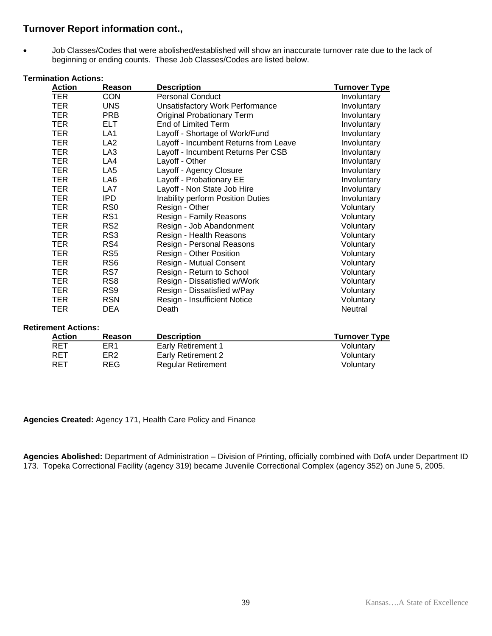## **Turnover Report information cont.,**

• Job Classes/Codes that were abolished/established will show an inaccurate turnover rate due to the lack of beginning or ending counts. These Job Classes/Codes are listed below.

### **Termination Actions:**

| <b>Action</b> | Reason          | <b>Description</b>                     | <b>Turnover Type</b> |
|---------------|-----------------|----------------------------------------|----------------------|
| TER           | <b>CON</b>      | <b>Personal Conduct</b>                | Involuntary          |
| TER.          | <b>UNS</b>      | <b>Unsatisfactory Work Performance</b> | Involuntary          |
| <b>TER</b>    | <b>PRB</b>      | <b>Original Probationary Term</b>      | Involuntary          |
| <b>TER</b>    | <b>ELT</b>      | <b>End of Limited Term</b>             | Involuntary          |
| <b>TER</b>    | LA1             | Layoff - Shortage of Work/Fund         | Involuntary          |
| <b>TER</b>    | LA <sub>2</sub> | Layoff - Incumbent Returns from Leave  | Involuntary          |
| <b>TER</b>    | LA <sub>3</sub> | Layoff - Incumbent Returns Per CSB     | Involuntary          |
| <b>TER</b>    | LA4             | Layoff - Other                         | Involuntary          |
| TER.          | LA <sub>5</sub> | Layoff - Agency Closure                | Involuntary          |
| TER.          | LA <sub>6</sub> | Layoff - Probationary EE               | Involuntary          |
| <b>TER</b>    | LA7             | Layoff - Non State Job Hire            | Involuntary          |
| TER.          | IPD.            | Inability perform Position Duties      | Involuntary          |
| <b>TER</b>    | R <sub>S0</sub> | Resign - Other                         | Voluntary            |
| <b>TER</b>    | RS <sub>1</sub> | Resign - Family Reasons                | Voluntary            |
| <b>TER</b>    | RS <sub>2</sub> | Resign - Job Abandonment               | Voluntary            |
| <b>TER</b>    | RS <sub>3</sub> | Resign - Health Reasons                | Voluntary            |
| <b>TER</b>    | RS4             | Resign - Personal Reasons              | Voluntary            |
| <b>TER</b>    | RS <sub>5</sub> | Resign - Other Position                | Voluntary            |
| <b>TER</b>    | RS <sub>6</sub> | Resign - Mutual Consent                | Voluntary            |
| <b>TER</b>    | RS7             | Resign - Return to School              | Voluntary            |
| <b>TER</b>    | RS <sub>8</sub> | Resign - Dissatisfied w/Work           | Voluntary            |
| <b>TER</b>    | RS <sub>9</sub> | Resign - Dissatisfied w/Pay            | Voluntary            |
| <b>TER</b>    | <b>RSN</b>      | Resign - Insufficient Notice           | Voluntary            |
| TER           | <b>DEA</b>      | Death                                  | Neutral              |

#### **Retirement Actions:**

| Action | Reason          | <b>Description</b>        | <b>Turnover Type</b> |
|--------|-----------------|---------------------------|----------------------|
| RET    | ER1             | <b>Early Retirement 1</b> | Voluntary            |
| RET    | ER <sub>2</sub> | Early Retirement 2        | Voluntary            |
| RET    | REG             | <b>Regular Retirement</b> | Voluntary            |

#### **Agencies Created:** Agency 171, Health Care Policy and Finance

**Agencies Abolished:** Department of Administration – Division of Printing, officially combined with DofA under Department ID 173. Topeka Correctional Facility (agency 319) became Juvenile Correctional Complex (agency 352) on June 5, 2005.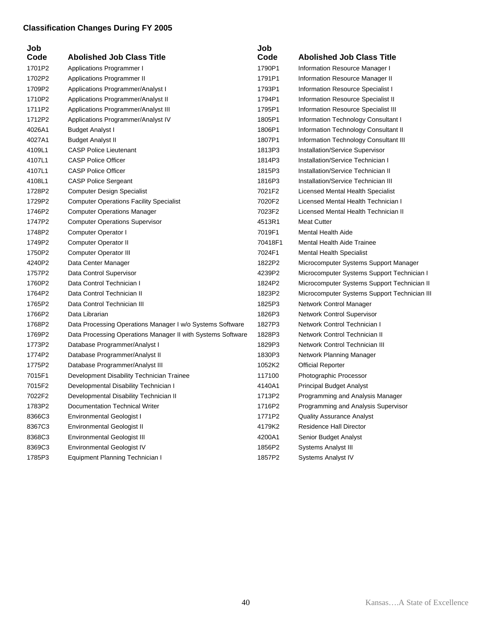# **Classification Changes During FY 2005**

| Job    |                                                             | Job     |                                              |
|--------|-------------------------------------------------------------|---------|----------------------------------------------|
| Code   | <b>Abolished Job Class Title</b>                            | Code    | <b>Abolished Job Class Title</b>             |
| 1701P2 | Applications Programmer I                                   | 1790P1  | Information Resource Manager I               |
| 1702P2 | Applications Programmer II                                  | 1791P1  | Information Resource Manager II              |
| 1709P2 | Applications Programmer/Analyst I                           | 1793P1  | Information Resource Specialist I            |
| 1710P2 | Applications Programmer/Analyst II                          | 1794P1  | Information Resource Specialist II           |
| 1711P2 | Applications Programmer/Analyst III                         | 1795P1  | Information Resource Specialist III          |
| 1712P2 | Applications Programmer/Analyst IV                          | 1805P1  | Information Technology Consultant I          |
| 4026A1 | <b>Budget Analyst I</b>                                     | 1806P1  | Information Technology Consultant II         |
| 4027A1 | <b>Budget Analyst II</b>                                    | 1807P1  | Information Technology Consultant III        |
| 4109L1 | <b>CASP Police Lieutenant</b>                               | 1813P3  | Installation/Service Supervisor              |
| 4107L1 | <b>CASP Police Officer</b>                                  | 1814P3  | <b>Installation/Service Technician I</b>     |
| 4107L1 | <b>CASP Police Officer</b>                                  | 1815P3  | Installation/Service Technician II           |
| 4108L1 | <b>CASP Police Sergeant</b>                                 | 1816P3  | Installation/Service Technician III          |
| 1728P2 | <b>Computer Design Specialist</b>                           | 7021F2  | Licensed Mental Health Specialist            |
| 1729P2 | <b>Computer Operations Facility Specialist</b>              | 7020F2  | Licensed Mental Health Technician I          |
| 1746P2 | <b>Computer Operations Manager</b>                          | 7023F2  | Licensed Mental Health Technician II         |
| 1747P2 | <b>Computer Operations Supervisor</b>                       | 4513R1  | <b>Meat Cutter</b>                           |
| 1748P2 | Computer Operator I                                         | 7019F1  | <b>Mental Health Aide</b>                    |
| 1749P2 | Computer Operator II                                        | 70418F1 | <b>Mental Health Aide Trainee</b>            |
| 1750P2 | <b>Computer Operator III</b>                                | 7024F1  | <b>Mental Health Specialist</b>              |
| 4240P2 | Data Center Manager                                         | 1822P2  | Microcomputer Systems Support Manager        |
| 1757P2 | Data Control Supervisor                                     | 4239P2  | Microcomputer Systems Support Technician I   |
| 1760P2 | Data Control Technician I                                   | 1824P2  | Microcomputer Systems Support Technician II  |
| 1764P2 | Data Control Technician II                                  | 1823P2  | Microcomputer Systems Support Technician III |
| 1765P2 | Data Control Technician III                                 | 1825P3  | Network Control Manager                      |
| 1766P2 | Data Librarian                                              | 1826P3  | Network Control Supervisor                   |
| 1768P2 | Data Processing Operations Manager I w/o Systems Software   | 1827P3  | Network Control Technician I                 |
| 1769P2 | Data Processing Operations Manager II with Systems Software | 1828P3  | Network Control Technician II                |
| 1773P2 | Database Programmer/Analyst I                               | 1829P3  | Network Control Technician III               |
| 1774P2 | Database Programmer/Analyst II                              | 1830P3  | Network Planning Manager                     |
| 1775P2 | Database Programmer/Analyst III                             | 1052K2  | <b>Official Reporter</b>                     |
| 7015F1 | Development Disability Technician Trainee                   | 117100  | Photographic Processor                       |
| 7015F2 | Developmental Disability Technician I                       | 4140A1  | Principal Budget Analyst                     |
| 7022F2 | Developmental Disability Technician II                      | 1713P2  | Programming and Analysis Manager             |
| 1783P2 | Documentation Technical Writer                              | 1716P2  | Programming and Analysis Supervisor          |
| 8366C3 | Environmental Geologist I                                   | 1771P2  | <b>Quality Assurance Analyst</b>             |
| 8367C3 | <b>Environmental Geologist II</b>                           | 4179K2  | Residence Hall Director                      |
| 8368C3 | Environmental Geologist III                                 | 4200A1  | Senior Budget Analyst                        |
| 8369C3 | <b>Environmental Geologist IV</b>                           | 1856P2  | <b>Systems Analyst III</b>                   |
| 1785P3 | Equipment Planning Technician I                             | 1857P2  | Systems Analyst IV                           |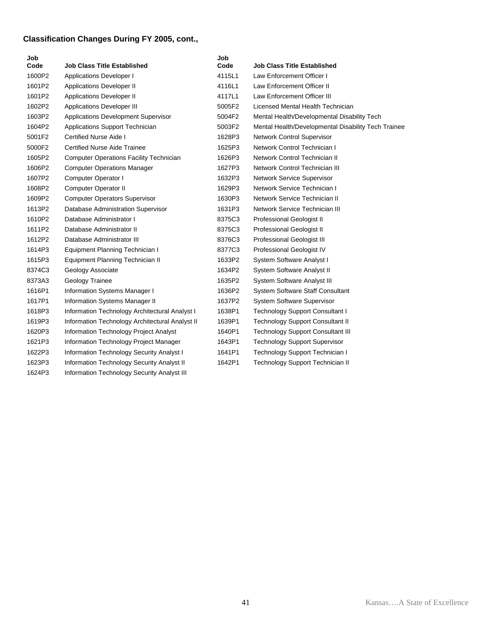# **Classification Changes During FY 2005, cont.,**

| Job<br>Code | Job Class Title Established                     | Job<br>Code | Job Class Title Established                         |
|-------------|-------------------------------------------------|-------------|-----------------------------------------------------|
| 1600P2      | <b>Applications Developer I</b>                 | 4115L1      | Law Enforcement Officer I                           |
| 1601P2      | Applications Developer II                       | 4116L1      | Law Enforcement Officer II                          |
| 1601P2      | <b>Applications Developer II</b>                | 4117L1      | Law Enforcement Officer III                         |
| 1602P2      | <b>Applications Developer III</b>               | 5005F2      | Licensed Mental Health Technician                   |
| 1603P2      | <b>Applications Development Supervisor</b>      | 5004F2      | Mental Health/Developmental Disability Tech         |
| 1604P2      | Applications Support Technician                 | 5003F2      | Mental Health/Developmental Disability Tech Trainee |
| 5001F2      | Certified Nurse Aide I                          | 1628P3      | Network Control Supervisor                          |
| 5000F2      | <b>Certified Nurse Aide Trainee</b>             | 1625P3      | Network Control Technician I                        |
| 1605P2      | <b>Computer Operations Facility Technician</b>  | 1626P3      | Network Control Technician II                       |
| 1606P2      | <b>Computer Operations Manager</b>              | 1627P3      | Network Control Technician III                      |
| 1607P2      | Computer Operator I                             | 1632P3      | <b>Network Service Supervisor</b>                   |
| 1608P2      | Computer Operator II                            | 1629P3      | Network Service Technician I                        |
| 1609P2      | <b>Computer Operators Supervisor</b>            | 1630P3      | Network Service Technician II                       |
| 1613P2      | Database Administration Supervisor              | 1631P3      | Network Service Technician III                      |
| 1610P2      | Database Administrator I                        | 8375C3      | Professional Geologist II                           |
| 1611P2      | Database Administrator II                       | 8375C3      | Professional Geologist II                           |
| 1612P2      | Database Administrator III                      | 8376C3      | Professional Geologist III                          |
| 1614P3      | Equipment Planning Technician I                 | 8377C3      | Professional Geologist IV                           |
| 1615P3      | Equipment Planning Technician II                | 1633P2      | System Software Analyst I                           |
| 8374C3      | Geology Associate                               | 1634P2      | System Software Analyst II                          |
| 8373A3      | Geology Trainee                                 | 1635P2      | System Software Analyst III                         |
| 1616P1      | Information Systems Manager I                   | 1636P2      | System Software Staff Consultant                    |
| 1617P1      | Information Systems Manager II                  | 1637P2      | <b>System Software Supervisor</b>                   |
| 1618P3      | Information Technology Architectural Analyst I  | 1638P1      | <b>Technology Support Consultant I</b>              |
| 1619P3      | Information Technology Architectural Analyst II | 1639P1      | <b>Technology Support Consultant II</b>             |
| 1620P3      | Information Technology Project Analyst          | 1640P1      | <b>Technology Support Consultant III</b>            |
| 1621P3      | Information Technology Project Manager          | 1643P1      | <b>Technology Support Supervisor</b>                |
| 1622P3      | Information Technology Security Analyst I       | 1641P1      | Technology Support Technician I                     |
| 1623P3      | Information Technology Security Analyst II      | 1642P1      | <b>Technology Support Technician II</b>             |
| 1624P3      | Information Technology Security Analyst III     |             |                                                     |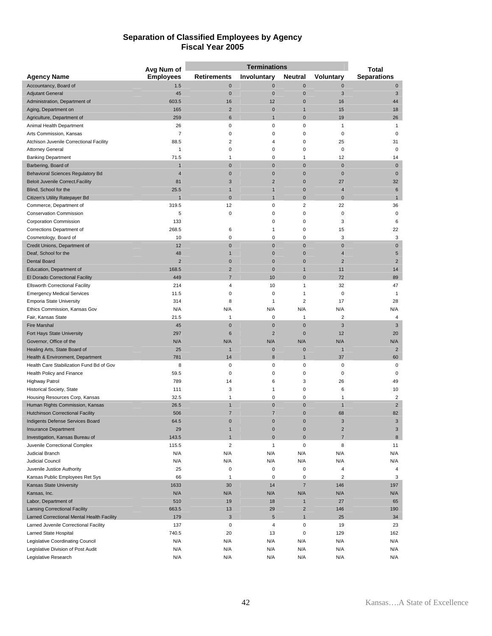#### **Separation of Classified Employees by Agency Fiscal Year 2005**

|                                            | Avg Num of       |                         | <b>Terminations</b> |                | <b>Total</b>   |                         |
|--------------------------------------------|------------------|-------------------------|---------------------|----------------|----------------|-------------------------|
| <b>Agency Name</b>                         | <b>Employees</b> | <b>Retirements</b>      | Involuntary         | <b>Neutral</b> | Voluntary      | <b>Separations</b>      |
| Accountancy, Board of                      | 1.5              | $\mathbf 0$             | $\pmb{0}$           | $\mathbf{0}$   | $\bf{0}$       | $\pmb{0}$               |
| <b>Adjutant General</b>                    | 45               | $\mathbf 0$             | $\mathbf 0$         | $\mathbf{0}$   | 3              | 3                       |
| Administration, Department of              | 603.5            | 16                      | 12                  | $\mathbf{0}$   | 16             | 44                      |
| Aging, Department on                       | 165              | $\overline{2}$          | $\pmb{0}$           | $\mathbf{1}$   | 15             | 18                      |
| Agriculture, Department of                 | 259              | 6                       | $\overline{1}$      | $\mathbf{0}$   | 19             | 26                      |
| Animal Health Department                   | 26               | 0                       | 0                   | $\mathbf 0$    | 1              | 1                       |
| Arts Commission, Kansas                    | 7                | 0                       | $\mathbf 0$         | $\mathbf 0$    | $\pmb{0}$      | 0                       |
| Atchison Juvenile Correctional Facility    | 88.5             | 2                       | 4                   | 0              | 25             | 31                      |
| <b>Attorney General</b>                    | 1                | 0                       | 0                   | 0              | 0              | 0                       |
| <b>Banking Department</b>                  | 71.5             | 1                       | $\mathbf 0$         | 1              | 12             | 14                      |
| Barbering, Board of                        | $\mathbf 1$      | $\mathbf 0$             | $\pmb{0}$           | $\bf{0}$       | $\pmb{0}$      | $\mathbf 0$             |
| Behavioral Sciences Regulatory Bd          | 4                | $\mathbf 0$             | $\mathbf 0$         | $\mathbf 0$    | $\mathbf 0$    | $\mathbf 0$             |
| <b>Beloit Juvenile Correct. Facility</b>   | 81               | 3                       | $\overline{2}$      | $\mathbf{0}$   | 27             | 32                      |
| Blind, School for the                      | 25.5             | $\mathbf{1}$            | $\mathbf{1}$        | $\mathbf{0}$   | $\overline{4}$ | $\boldsymbol{6}$        |
| Citizen's Utility Ratepayer Bd             |                  | $\overline{0}$          | 1                   | $\mathbf 0$    | $\mathbf 0$    | 1                       |
| Commerce, Department of                    | 319.5            | 12                      | $\mathbf 0$         | $\overline{2}$ | 22             | 36                      |
| <b>Conservation Commission</b>             | 5                | 0                       | 0                   | 0              | 0              | 0                       |
| <b>Corporation Commission</b>              | 133              |                         | 0                   | $\mathbf 0$    | 3              | 6                       |
| Corrections Department of                  | 268.5            | 6                       | 1                   | $\mathbf 0$    | 15             | 22                      |
| Cosmetology, Board of                      | 10               | 0                       | 0                   | 0              | 3              | 3                       |
| Credit Unions, Department of               | 12               | $\mathbf 0$             | $\pmb{0}$           | $\mathbf{0}$   | $\mathbf 0$    | $\mathbf 0$             |
| Deaf, School for the                       | 48               | 1                       | $\pmb{0}$           | $\mathbf{0}$   | $\overline{4}$ | 5                       |
| <b>Dental Board</b>                        | $\overline{2}$   | $\mathbf 0$             | $\mathbf 0$         | $\mathbf{0}$   | $\overline{2}$ | $\overline{2}$          |
| Education, Department of                   | 168.5            | $\overline{c}$          | $\pmb{0}$           | $\overline{1}$ | 11             | 14                      |
| El Dorado Correctional Facility            | 449              | $\overline{7}$          | 10                  | $\Omega$       | 72             | 89                      |
| <b>Ellsworth Correctional Facility</b>     | 214              | 4                       | 10                  | 1              | 32             | 47                      |
| <b>Emergency Medical Services</b>          | 11.5             | 0                       | $\mathbf 0$         | 1              | $\pmb{0}$      | 1                       |
| <b>Emporia State University</b>            | 314              | 8                       | 1                   | $\overline{2}$ | 17             | 28                      |
| Ethics Commission, Kansas Gov              | N/A              | N/A                     | N/A                 | N/A            | N/A            | N/A                     |
| Fair, Kansas State                         | 21.5             | $\mathbf{1}$            | $\mathbf 0$         | $\mathbf{1}$   | $\overline{2}$ | $\sqrt{4}$              |
| <b>Fire Marshal</b>                        | 45               | $\mathbf 0$             | $\mathbf 0$         | $\mathbf{0}$   | 3              | 3                       |
| Fort Hays State University                 | 297              | 6                       | $\overline{2}$      | $\mathbf{0}$   | 12             | 20                      |
| Governor, Office of the                    | N/A              | N/A                     | N/A                 | N/A            | N/A            | N/A                     |
| Healing Arts, State Board of               | 25               | 1                       | $\mathbf 0$         | $\mathbf{0}$   | $\overline{1}$ | $\overline{2}$          |
| Health & Environment, Department           | 781              | 14                      | 8                   | $\mathbf{1}$   | 37             | 60                      |
| Health Care Stabilization Fund Bd of Gov   | 8                | 0                       | $\mathbf 0$         | $\mathbf 0$    | $\pmb{0}$      | 0                       |
| Health Policy and Finance                  | 59.5             | 0                       | 0                   | $\mathbf 0$    | $\pmb{0}$      | 0                       |
| <b>Highway Patrol</b>                      | 789              | 14                      | 6                   | 3              | 26             | 49                      |
| Historical Society, State                  | 111              | 3                       | 1                   | 0              | 6              | 10                      |
| Housing Resources Corp, Kansas             | 32.5             | 1                       | $\mathbf 0$         | $\mathbf 0$    | $\mathbf{1}$   | $\overline{\mathbf{c}}$ |
| Human Rights Commission, Kansas            | 26.5             | 1                       | $\pmb{0}$           | $\bf{0}$       | $\mathbf{1}$   | $\overline{2}$          |
| <b>Hutchinson Correctional Facility</b>    | 506              | 7                       | $\overline{7}$      | $\mathbf{0}$   | 68             | 82                      |
| Indigents Defense Services Board           | 64.5             | $\Omega$                | $\overline{0}$      | $\overline{0}$ | 3              | 3                       |
| <b>Insurance Department</b>                | 29               | 1                       | $\pmb{0}$           | $\pmb{0}$      | $\sqrt{2}$     | $\sqrt{3}$              |
| Investigation, Kansas Bureau of            | 143.5            | $\mathbf{1}$            | $\mathbf 0$         | $\mathbf 0$    | $\overline{7}$ | 8                       |
| Juvenile Correctional Complex              | 115.5            | $\overline{\mathbf{c}}$ | $\mathbf{1}$        | $\pmb{0}$      | 8              | 11                      |
| Judicial Branch                            | N/A              | N/A                     | N/A                 | N/A            | N/A            | N/A                     |
| Judicial Council                           | N/A              | N/A                     | N/A                 | N/A            | N/A            | N/A                     |
| Juvenile Justice Authority                 | 25               | $\pmb{0}$               | $\pmb{0}$           | $\pmb{0}$      | 4              | 4                       |
| Kansas Public Employees Ret Sys            | 66               | 1                       | $\pmb{0}$           | $\mathbf 0$    | $\overline{2}$ | 3                       |
| Kansas State University                    | 1633             | 30                      | 14                  | $\overline{7}$ | 146            | 197                     |
| Kansas, Inc.                               | N/A              | N/A                     | N/A                 | N/A            | N/A            | N/A                     |
| Labor, Department of                       | 510              | 19                      | 18                  | $\mathbf{1}$   | 27             | 65                      |
| <b>Lansing Correctional Facility</b>       | 663.5            | 13                      | 29                  | $\overline{2}$ | 146            | 190                     |
| Larned Correctional Mental Health Facility | 179              | 3                       | $5\phantom{.0}$     | $\overline{1}$ | 25             | 34                      |
| Larned Juvenile Correctional Facility      | 137              | $\pmb{0}$               | $\sqrt{4}$          | $\pmb{0}$      | 19             | 23                      |
| Larned State Hospital                      | 740.5            | 20                      | 13                  | $\mathbf 0$    | 129            | 162                     |
| Legislative Coordinating Council           | N/A              | N/A                     | N/A                 | N/A            | N/A            | N/A                     |
| Legislative Division of Post Audit         | N/A<br>N/A       | N/A<br>N/A              | N/A<br>N/A          | N/A<br>N/A     | N/A<br>N/A     | N/A<br>N/A              |
| Legislative Research                       |                  |                         |                     |                |                |                         |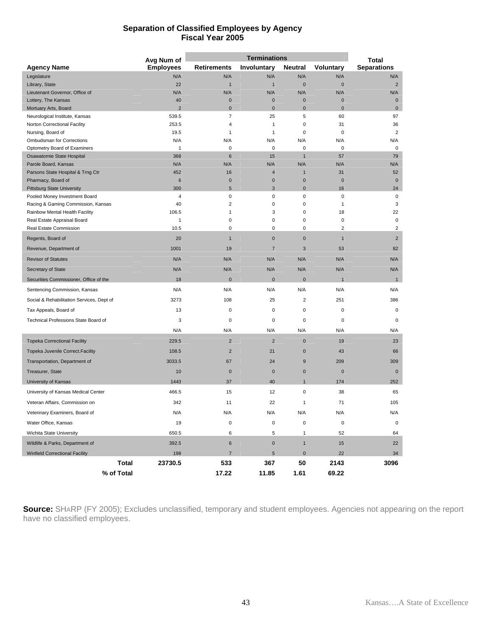#### **Separation of Classified Employees by Agency Fiscal Year 2005**

|                                                       | Avg Num of       | <b>Terminations</b>     |                |                         | <b>Total</b>    |                      |
|-------------------------------------------------------|------------------|-------------------------|----------------|-------------------------|-----------------|----------------------|
| <b>Agency Name</b>                                    | <b>Employees</b> | <b>Retirements</b>      | Involuntary    | Neutral                 | Voluntary       | <b>Separations</b>   |
| Legislature                                           | N/A              | N/A                     | N/A            | N/A                     | N/A             | N/A                  |
| Library, State                                        | 22               | $\mathbf{1}$            | $\mathbf{1}$   | $\pmb{0}$               | $\mathbf 0$     | $\overline{2}$       |
| Lieutenant Governor, Office of                        | N/A              | N/A                     | N/A            | N/A                     | N/A             | N/A                  |
| Lottery, The Kansas                                   | 40               | $\mathbf 0$             | $\pmb{0}$      | $\mathbf 0$             | 0               | $\mathbf{0}$         |
| Mortuary Arts, Board                                  | $\overline{2}$   | $\mathbf{0}$            | $\mathbf 0$    | $\mathbf 0$             | $\bf{0}$        | $\mathbf{0}$         |
| Neurological Institute, Kansas                        | 539.5            | $\overline{7}$          | 25             | 5<br>0                  | 60              | 97                   |
| Norton Correctional Facility<br>Nursing, Board of     | 253.5<br>19.5    | 4<br>1                  | 1<br>1         | 0                       | 31<br>0         | 36<br>$\overline{2}$ |
| Ombudsman for Corrections                             | N/A              | N/A                     | N/A            | N/A                     | N/A             | N/A                  |
| Optometry Board of Examiners                          | 1                | $\mathbf 0$             | 0              | 0                       | 0               | $\mathbf 0$          |
| Osawatomie State Hospital                             | 368              | $6\phantom{1}6$         | 15             | $\mathbf{1}$            | 57              | 79                   |
| Parole Board, Kansas                                  | N/A              | N/A                     | N/A            | N/A                     | N/A             | N/A                  |
| Parsons State Hospital & Trng Ctr                     | 452              | 16                      | 4              | $\mathbf{1}$            | 31              | 52                   |
| Pharmacy, Board of                                    | 6                | $\mathbf 0$             | $\pmb{0}$      | $\mathbf 0$             | 0               | $\mathbf 0$          |
| <b>Pittsburg State University</b>                     | 300              | 5                       | 3              | $\mathbf{0}$            | 16              | 24                   |
| Pooled Money Investment Board                         | 4                | $\pmb{0}$               | 0              | 0                       | $\pmb{0}$       | $\pmb{0}$            |
| Racing & Gaming Commission, Kansas                    | 40               | $\overline{\mathbf{c}}$ | 0              | 0                       | 1               | 3                    |
| Rainbow Mental Health Facility                        | 106.5            | 1<br>0                  | 3<br>0         | $\mathsf 0$<br>0        | 18<br>$\pmb{0}$ | 22<br>$\mathbf 0$    |
| Real Estate Appraisal Board<br>Real Estate Commission | 1<br>10.5        | 0                       | 0              | $\mathbf 0$             | 2               | $\overline{2}$       |
| Regents, Board of                                     | 20               | $\mathbf{1}$            | $\pmb{0}$      | $\pmb{0}$               | $\mathbf{1}$    | $\overline{2}$       |
| Revenue, Department of                                | 1001             | 19                      | $\overline{7}$ | 3                       | 53              | 82                   |
| <b>Revisor of Statutes</b>                            | N/A              | N/A                     | N/A            | N/A                     | N/A             | N/A                  |
| Secretary of State                                    | N/A              | N/A                     | N/A            | N/A                     | N/A             | N/A                  |
| Securities Commissioner, Office of the                | 18               | $\mathbf 0$             | $\mathbf 0$    | $\mathbf{0}$            | $\mathbf{1}$    | $\mathbf{1}$         |
| Sentencing Commission, Kansas                         | N/A              | N/A                     | N/A            | N/A                     | N/A             | N/A                  |
| Social & Rehabilitation Services, Dept of             | 3273             | 108                     | 25             | $\overline{\mathbf{c}}$ | 251             | 386                  |
| Tax Appeals, Board of                                 | 13               | 0                       | 0              | 0                       | 0               | $\mathbf 0$          |
| Technical Professions State Board of                  | 3                | 0                       | 0              | 0                       | 0               | $\mathbf 0$          |
|                                                       | N/A              | N/A                     | N/A            | N/A                     | N/A             | N/A                  |
| <b>Topeka Correctional Facility</b>                   | 229.5            | $\overline{2}$          | $\mathbf 2$    | $\pmb{0}$               | 19              | 23                   |
| Topeka Juvenile Correct. Facility                     | 108.5            | $\overline{2}$          | 21             | $\mathbf{0}$            | 43              | 66                   |
| Transportation, Department of                         | 3033.5           | 67                      | 24             | 9                       | 209             | 309                  |
| Treasurer, State                                      | 10               | $\mathbf 0$             | $\bf{0}$       | $\mathbf 0$             | $\pmb{0}$       | $\mathbf 0$          |
| University of Kansas                                  | 1443             | 37                      | 40             | $\overline{1}$          | 174             | 252                  |
| University of Kansas Medical Center                   | 466.5            | 15                      | 12             | 0                       | 38              | 65                   |
| Veteran Affairs, Commission on                        | 342              | 11                      | 22             | 1                       | 71              | 105                  |
| Veterinary Examiners, Board of                        | N/A              | N/A                     | N/A            | N/A                     | N/A             | N/A                  |
| Water Office, Kansas                                  | 19               | 0                       | 0              | 0                       | 0               | 0                    |
| Wichita State University                              | 650.5            | 6                       | 5              | $\mathbf{1}$            | 52              | 64                   |
| Wildlife & Parks, Department of                       | 392.5            | $\,6$                   | $\pmb{0}$      | $\mathbf{1}$            | 15              | 22                   |
| <b>Winfield Correctional Facility</b>                 | 198              | $\overline{7}$          | 5              | $\mathbf 0$             | 22              | 34                   |
| <b>Total</b>                                          | 23730.5          | 533                     | 367            | 50                      | 2143            | 3096                 |
| % of Total                                            |                  | 17.22                   | 11.85          | 1.61                    | 69.22           |                      |

**Source:** SHARP (FY 2005); Excludes unclassified, temporary and student employees. Agencies not appearing on the report have no classified employees.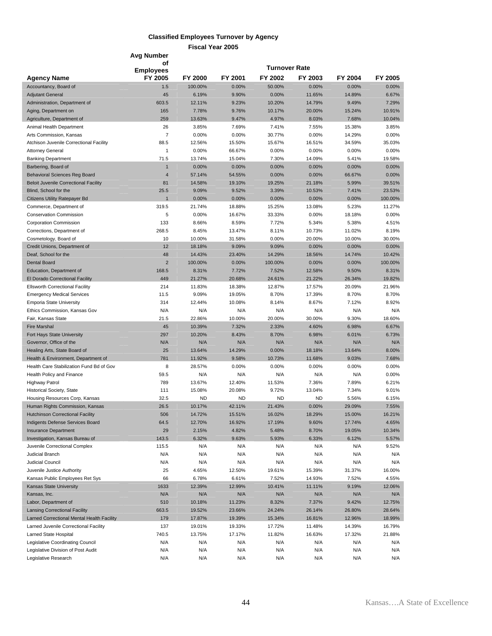#### **Classified Employees Turnover by Agency**

|                                                                                     | Avg Number                         |                  |                  |                  |                  |                  |                   |
|-------------------------------------------------------------------------------------|------------------------------------|------------------|------------------|------------------|------------------|------------------|-------------------|
|                                                                                     | οf                                 |                  |                  | Turnover Rate    |                  |                  |                   |
| <b>Agency Name</b>                                                                  | <b>Employees</b><br><b>FY 2005</b> | <b>FY 2000</b>   | FY 2001          | FY 2002          | FY 2003          | FY 2004          | FY 2005           |
| Accountancy, Board of                                                               | 1.5                                | 100.00%          | 0.00%            | 50.00%           | 0.00%            | 0.00%            | 0.00%             |
| <b>Adjutant General</b>                                                             | 45                                 | 6.19%            | 9.90%            | 0.00%            | 11.65%           | 14.89%           | 6.67%             |
| Administration, Department of                                                       | 603.5                              | 12.11%           | 9.23%            | 10.20%           | 14.79%           | 9.49%            | 7.29%             |
| Aging, Department on                                                                | 165                                | 7.78%            | 9.76%            | 10.17%           | 20.00%           | 15.24%           | 10.91%            |
| Agriculture, Department of                                                          | 259                                | 13.63%           | 9.47%            | 4.97%            | 8.03%            | 7.68%            | 10.04%            |
| Animal Health Department                                                            | 26                                 | 3.85%            | 7.69%            | 7.41%            | 7.55%            | 15.38%           | 3.85%             |
| Arts Commission, Kansas                                                             | $\overline{7}$                     | 0.00%            | 0.00%            | 30.77%           | 0.00%            | 14.29%           | 0.00%             |
| Atchison Juvenile Correctional Facility                                             | 88.5                               | 12.56%           | 15.50%           | 15.67%           | 16.51%           | 34.59%           | 35.03%            |
| <b>Attorney General</b>                                                             | $\mathbf{1}$                       | 0.00%            | 66.67%           | 0.00%            | 0.00%            | 0.00%            | 0.00%             |
| <b>Banking Department</b>                                                           | 71.5                               | 13.74%           | 15.04%           | 7.30%            | 14.09%           | 5.41%            | 19.58%            |
| Barbering, Board of                                                                 | $\overline{1}$                     | 0.00%            | 0.00%            | 0.00%            | 0.00%            | 0.00%            | 0.00%             |
| <b>Behavioral Sciences Reg Board</b>                                                | $\overline{4}$                     | 57.14%           | 54.55%           | 0.00%            | 0.00%            | 66.67%           | 0.00%             |
| <b>Beloit Juvenile Correctional Facility</b>                                        | 81                                 | 14.58%           | 19.10%           | 19.25%           | 21.18%           | 5.99%            | 39.51%            |
| Blind, School for the                                                               | 25.5<br>$\overline{1}$             | 9.09%            | 9.52%            | 3.39%<br>0.00%   | 10.53%           | 7.41%<br>0.00%   | 23.53%<br>100.00% |
| Citizens Utility Ratepayer Bd<br>Commerce, Department of                            | 319.5                              | 0.00%<br>21.74%  | 0.00%<br>18.88%  | 15.25%           | 0.00%<br>13.08%  | 5.23%            | 11.27%            |
| <b>Conservation Commission</b>                                                      | 5                                  | 0.00%            | 16.67%           | 33.33%           | 0.00%            | 18.18%           | 0.00%             |
| <b>Corporation Commission</b>                                                       | 133                                | 8.66%            | 8.59%            | 7.72%            | 5.34%            | 5.38%            | 4.51%             |
| Corrections, Department of                                                          | 268.5                              | 8.45%            | 13.47%           | 8.11%            | 10.73%           | 11.02%           | 8.19%             |
| Cosmetology, Board of                                                               | 10                                 | 10.00%           | 31.58%           | 0.00%            | 20.00%           | 10.00%           | 30.00%            |
| Credit Unions, Department of                                                        | 12                                 | 18.18%           | 9.09%            | 9.09%            | 0.00%            | 0.00%            | 0.00%             |
| Deaf, School for the                                                                | 48                                 | 14.43%           | 23.40%           | 14.29%           | 18.56%           | 14.74%           | 10.42%            |
| <b>Dental Board</b>                                                                 | $\overline{2}$                     | 100.00%          | 0.00%            | 100.00%          | 0.00%            | 0.00%            | 100.00%           |
| Education, Department of                                                            | 168.5                              | 8.31%            | 7.72%            | 7.52%            | 12.58%           | 9.50%            | 8.31%             |
| El Dorado Correctional Facility                                                     | 449                                | 21.27%           | 20.68%           | 24.61%           | 21.22%           | 26.34%           | 19.82%            |
| <b>Ellsworth Correctional Facility</b>                                              | 214                                | 11.83%           | 18.38%           | 12.87%           | 17.57%           | 20.09%           | 21.96%            |
| <b>Emergency Medical Services</b>                                                   | 11.5                               | 9.09%            | 19.05%           | 8.70%            | 17.39%           | 8.70%            | 8.70%             |
| <b>Emporia State University</b>                                                     | 314                                | 12.44%           | 10.08%           | 8.14%            | 8.67%            | 7.12%            | 8.92%             |
| Ethics Commission, Kansas Gov                                                       | N/A                                | N/A              | N/A              | N/A              | N/A              | N/A              | N/A               |
| Fair, Kansas State                                                                  | 21.5                               | 22.86%           | 10.00%           | 20.00%           | 30.00%           | 9.30%            | 18.60%            |
| <b>Fire Marshal</b>                                                                 | 45                                 | 10.39%           | 7.32%            | 2.33%            | 4.60%            | 6.98%            | 6.67%             |
| Fort Hays State University                                                          | 297                                | 10.20%           | 8.43%            | 8.70%            | 6.98%            | 6.01%            | 6.73%             |
| Governor, Office of the                                                             | N/A                                | N/A              | N/A              | N/A              | N/A              | N/A              | N/A               |
| Healing Arts, State Board of                                                        | 25                                 | 13.64%           | 14.29%           | 0.00%            | 18.18%           | 13.64%           | 8.00%             |
| Health & Environment, Department of                                                 | 781                                | 11.92%           | 9.58%<br>0.00%   | 10.73%           | 11.68%<br>0.00%  | 9.03%<br>0.00%   | 7.68%             |
| Health Care Stabilization Fund Bd of Gov<br>Health Policy and Finance               | 8<br>59.5                          | 28.57%<br>N/A    | N/A              | 0.00%<br>N/A     | N/A              | N/A              | 0.00%<br>0.00%    |
| <b>Highway Patrol</b>                                                               | 789                                | 13.67%           | 12.40%           | 11.53%           | 7.36%            | 7.89%            | 6.21%             |
| Historical Society, State                                                           | 111                                | 15.08%           | 20.08%           | 9.72%            | 13.04%           | 7.34%            | 9.01%             |
| Housing Resources Corp, Kansas                                                      | 32.5                               | <b>ND</b>        | <b>ND</b>        | <b>ND</b>        | <b>ND</b>        | 5.56%            | 6.15%             |
| Human Rights Commission, Kansas                                                     | 26.5                               | 10.17%           | 42.11%           | 21.43%           | 0.00%            | 29.09%           | 7.55%             |
| <b>Hutchinson Correctional Facility</b>                                             | 506                                | 14.72%           | 15.51%           | 16.02%           | 18.29%           | 15.00%           | 16.21%            |
| Indigents Defense Services Board                                                    | 64.5                               | 12.70%           | 16.92%           | 17.19%           | 9.60%            | 17.74%           | 4.65%             |
| <b>Insurance Department</b>                                                         | 29                                 | 2.15%            | 4.82%            | 5.48%            | 8.70%            | 19.05%           | 10.34%            |
| Investigation, Kansas Bureau of                                                     | 143.5                              | 6.32%            | 9.63%            | 5.93%            | 6.33%            | 6.12%            | 5.57%             |
| Juvenile Correctional Complex                                                       | 115.5                              | N/A              | N/A              | N/A              | N/A              | N/A              | 9.52%             |
| Judicial Branch                                                                     | N/A                                | N/A              | N/A              | N/A              | N/A              | N/A              | N/A               |
| Judicial Council                                                                    | N/A                                | N/A              | N/A              | N/A              | N/A              | N/A              | N/A               |
| Juvenile Justice Authority                                                          | 25                                 | 4.65%            | 12.50%           | 19.61%           | 15.39%           | 31.37%           | 16.00%            |
| Kansas Public Employees Ret Sys                                                     | 66                                 | 6.78%            | 6.61%            | 7.52%            | 14.93%           | 7.52%            | 4.55%             |
| Kansas State University                                                             | 1633                               | 12.39%           | 12.99%           | 10.41%           | 11.11%           | 9.19%            | 12.06%            |
| Kansas, Inc.                                                                        | N/A                                | N/A              | N/A              | N/A              | N/A              | N/A              | N/A               |
| Labor, Department of                                                                | 510                                | 10.18%           | 11.23%           | 8.32%            | 7.37%            | 9.42%            | 12.75%            |
| <b>Lansing Correctional Facility</b>                                                | 663.5                              | 19.52%           | 23.66%           | 24.24%           | 26.14%           | 26.80%           | 28.64%            |
| Larned Correctional Mental Health Facility<br>Larned Juvenile Correctional Facility | 179<br>137                         | 17.87%<br>19.01% | 19.39%<br>19.33% | 15.34%<br>17.72% | 16.81%<br>11.48% | 12.96%<br>14.39% | 18.99%<br>16.79%  |
| Larned State Hospital                                                               | 740.5                              | 13.75%           | 17.17%           | 11.82%           | 16.63%           | 17.32%           | 21.88%            |
| Legislative Coordinating Council                                                    | N/A                                | N/A              | N/A              | N/A              | N/A              | N/A              | N/A               |
| Legislative Division of Post Audit                                                  | N/A                                | N/A              | N/A              | N/A              | N/A              | N/A              | N/A               |
| Legislative Research                                                                | N/A                                | N/A              | N/A              | N/A              | N/A              | N/A              | N/A               |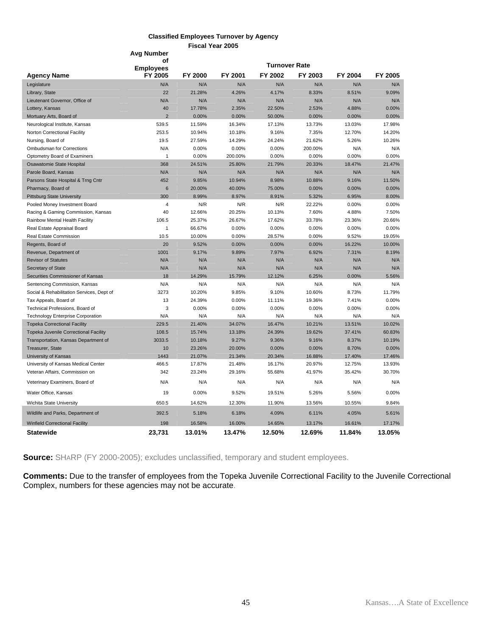#### **Classified Employees Turnover by Agency Fiscal Year 2005 Avg Number**

|                                                                                 | οf                          |         |         | <b>Turnover Rate</b> |               |          |         |
|---------------------------------------------------------------------------------|-----------------------------|---------|---------|----------------------|---------------|----------|---------|
|                                                                                 | <b>Employees</b><br>FY 2005 | FY 2000 | FY 2001 | FY 2002              | FY 2003       | FY 2004  | FY 2005 |
| <b>Agency Name</b><br>Legislature                                               | N/A                         | N/A     | N/A     | N/A                  | N/A           | N/A      | N/A     |
| Library, State                                                                  | 22                          | 21.28%  | 4.26%   | 4.17%                | 8.33%         | 8.51%    | 9.09%   |
| Lieutenant Governor, Office of                                                  | N/A                         | N/A     | N/A     | N/A                  | N/A           | N/A      | N/A     |
| Lottery, Kansas                                                                 | 40                          | 17.78%  | 2.35%   | 22.50%               | 2.53%         | 4.88%    | 0.00%   |
| Mortuary Arts, Board of                                                         | $\overline{2}$              | 0.00%   | 0.00%   | 50.00%               | 0.00%         | 0.00%    | 0.00%   |
| Neurological Institute, Kansas                                                  | 539.5                       | 11.59%  | 16.34%  | 17.13%               | 13.73%        | 13.03%   | 17.98%  |
| Norton Correctional Facility                                                    | 253.5                       | 10.94%  | 10.18%  | 9.16%                | 7.35%         | 12.70%   | 14.20%  |
| Nursing, Board of                                                               | 19.5                        | 27.59%  | 14.29%  | 24.24%               | 21.62%        | 5.26%    | 10.26%  |
| <b>Ombudsman for Corrections</b>                                                | N/A                         | 0.00%   | 0.00%   | 0.00%                | 200.00%       | N/A      | N/A     |
| Optometry Board of Examiners                                                    | $\mathbf{1}$                | 0.00%   | 200.00% | 0.00%                | 0.00%         | 0.00%    | 0.00%   |
| Osawatomie State Hospital                                                       | 368                         | 24.51%  | 25.80%  | 21.79%               | 20.33%        | 18.47%   | 21.47%  |
| Parole Board, Kansas                                                            | N/A                         | N/A     | N/A     | N/A                  | N/A           | N/A      | N/A     |
| Parsons State Hospital & Trng Cntr                                              | 452                         | 9.85%   | 10.94%  | 8.98%                | 10.88%        | 9.16%    | 11.50%  |
| Pharmacy, Board of                                                              | $6\phantom{1}6$             | 20.00%  | 40.00%  | 75.00%               | 0.00%         | 0.00%    | 0.00%   |
| <b>Pittsburg State University</b>                                               | 300                         | 8.99%   | 8.97%   | 8.91%                | 5.32%         | 6.95%    | 8.00%   |
| Pooled Money Investment Board                                                   | 4                           | N/R     | N/R     | N/R                  | 22.22%        | 0.00%    | 0.00%   |
| Racing & Gaming Commission, Kansas                                              | 40                          | 12.66%  | 20.25%  | 10.13%               | 7.60%         | 4.88%    | 7.50%   |
| Rainbow Mental Health Facility                                                  | 106.5                       | 25.37%  | 26.67%  | 17.62%               | 33.78%        | 23.36%   | 20.66%  |
| Real Estate Appraisal Board                                                     | $\mathbf{1}$                | 66.67%  | 0.00%   | 0.00%                | 0.00%         | 0.00%    | 0.00%   |
| Real Estate Commission                                                          | 10.5                        | 10.00%  | 0.00%   | 28.57%               | 0.00%         | 9.52%    | 19.05%  |
| Regents, Board of                                                               | 20                          | 9.52%   | 0.00%   | 0.00%                | 0.00%         | 16.22%   | 10.00%  |
| Revenue, Department of                                                          | 1001                        | 9.17%   | 9.89%   | 7.97%                | 6.92%         | 7.31%    | 8.19%   |
| <b>Revisor of Statutes</b>                                                      | N/A                         | N/A     | N/A     | N/A                  | N/A           | N/A      | N/A     |
| <b>Secretary of State</b>                                                       | N/A                         | N/A     | N/A     | N/A                  | N/A           | N/A      | N/A     |
| Securities Commissioner of Kansas                                               | 18                          | 14.29%  | 15.79%  | 12.12%               | 6.25%         | $0.00\%$ | 5.56%   |
|                                                                                 | N/A                         | N/A     | N/A     |                      |               | N/A      | N/A     |
| Sentencing Commission, Kansas<br>Social & Rehabilitation Services, Dept of      | 3273                        | 10.20%  | 9.85%   | N/A<br>9.10%         | N/A<br>10.60% | 8.73%    | 11.79%  |
|                                                                                 | 13                          | 24.39%  | 0.00%   | 11.11%               | 19.36%        | 7.41%    | 0.00%   |
| Tax Appeals, Board of<br>Technical Professions, Board of                        | 3                           | 0.00%   | 0.00%   | 0.00%                | 0.00%         | 0.00%    | 0.00%   |
|                                                                                 | N/A                         | N/A     | N/A     | N/A                  | N/A           | N/A      | N/A     |
| <b>Technology Enterprise Corporation</b><br><b>Topeka Correctional Facility</b> | 229.5                       | 21.40%  | 34.07%  | 16.47%               | 10.21%        | 13.51%   | 10.02%  |
| <b>Topeka Juvenile Correctional Facility</b>                                    | 108.5                       | 15.74%  | 13.18%  | 24.39%               | 19.62%        | 37.41%   | 60.83%  |
| Transportation, Kansas Department of                                            | 3033.5                      | 10.18%  | 9.27%   | 9.36%                | 9.16%         | 8.37%    | 10.19%  |
| Treasurer, State                                                                | 10                          | 23.26%  | 20.00%  | 0.00%                | 0.00%         | 8.70%    | 0.00%   |
| University of Kansas                                                            | 1443                        | 21.07%  | 21.34%  | 20.34%               | 16.88%        | 17.40%   | 17.46%  |
| University of Kansas Medical Center                                             | 466.5                       | 17.87%  | 21.48%  | 16.17%               | 20.97%        | 12.75%   | 13.93%  |
| Veteran Affairs, Commission on                                                  | 342                         | 23.24%  | 29.16%  | 55.68%               | 41.97%        | 35.42%   | 30.70%  |
|                                                                                 |                             |         |         |                      |               |          |         |
| Veterinary Examiners, Board of                                                  | N/A                         | N/A     | N/A     | N/A                  | N/A           | N/A      | N/A     |
| Water Office, Kansas                                                            | 19                          | 0.00%   | 9.52%   | 19.51%               | 5.26%         | 5.56%    | 0.00%   |
| Wichita State University                                                        | 650.5                       | 14.62%  | 12.30%  | 11.90%               | 13.56%        | 10.55%   | 9.84%   |
| Wildlife and Parks, Department of                                               | 392.5                       | 5.18%   | 6.18%   | 4.09%                | 6.11%         | 4.05%    | 5.61%   |
| <b>Winfield Correctional Facility</b>                                           | 198                         | 16.58%  | 16.00%  | 14.65%               | 13.17%        | 16.61%   | 17.17%  |
| <b>Statewide</b>                                                                | 23.731                      | 13.01%  | 13.47%  | 12.50%               | 12.69%        | 11.84%   | 13.05%  |

**Source:** SHARP (FY 2000-2005); excludes unclassified, temporary and student employees.

**Comments:** Due to the transfer of employees from the Topeka Juvenile Correctional Facility to the Juvenile Correctional Complex, numbers for these agencies may not be accurate.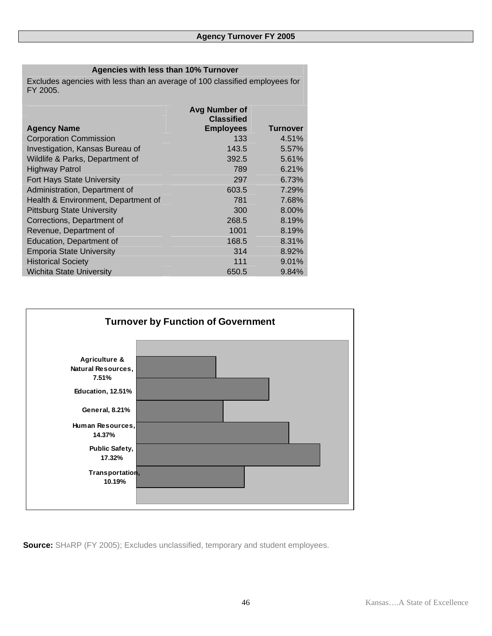### **Agencies with less than 10% Turnover**

Excludes agencies with less than an average of 100 classified employees for FY 2005.

|                                     | <b>Avg Number of</b><br><b>Classified</b> |                 |
|-------------------------------------|-------------------------------------------|-----------------|
| <b>Agency Name</b>                  | <b>Employees</b>                          | <b>Turnover</b> |
| <b>Corporation Commission</b>       | 133                                       | 4.51%           |
| Investigation, Kansas Bureau of     | 143.5                                     | 5.57%           |
| Wildlife & Parks, Department of     | 392.5                                     | 5.61%           |
| <b>Highway Patrol</b>               | 789                                       | 6.21%           |
| Fort Hays State University          | 297                                       | 6.73%           |
| Administration, Department of       | 603.5                                     | 7.29%           |
| Health & Environment, Department of | 781                                       | 7.68%           |
| <b>Pittsburg State University</b>   | 300                                       | 8.00%           |
| Corrections, Department of          | 268.5                                     | 8.19%           |
| Revenue, Department of              | 1001                                      | 8.19%           |
| Education, Department of            | 168.5                                     | 8.31%           |
| <b>Emporia State University</b>     | 314                                       | 8.92%           |
| <b>Historical Society</b>           | 111                                       | 9.01%           |
| <b>Wichita State University</b>     | 650.5                                     | 9.84%           |



**Source:** SHARP (FY 2005); Excludes unclassified, temporary and student employees.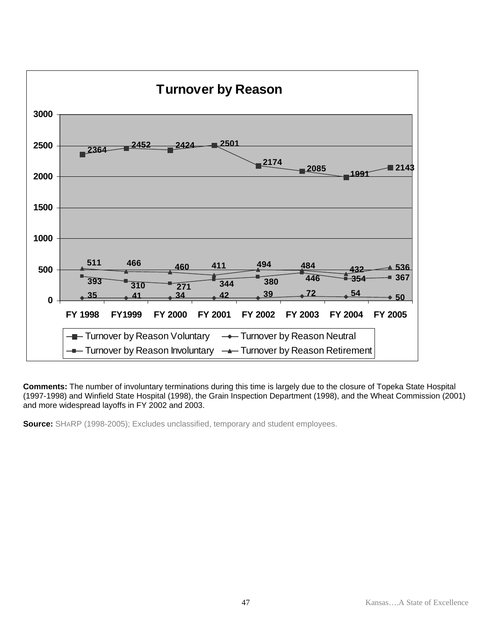

**Comments:** The number of involuntary terminations during this time is largely due to the closure of Topeka State Hospital (1997-1998) and Winfield State Hospital (1998), the Grain Inspection Department (1998), and the Wheat Commission (2001) and more widespread layoffs in FY 2002 and 2003.

**Source:** SHARP (1998-2005); Excludes unclassified, temporary and student employees.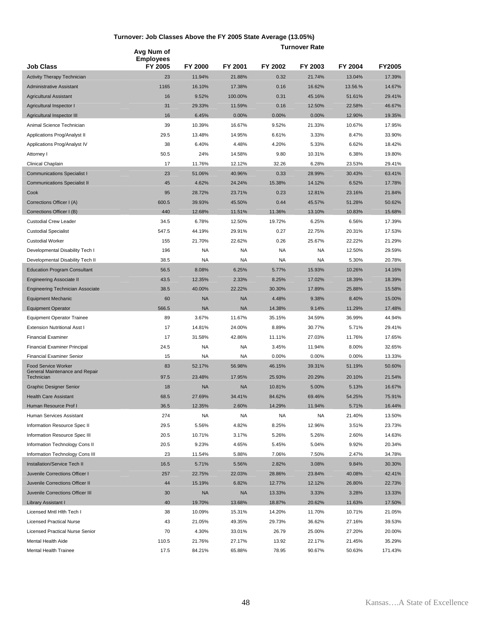#### **Turnover: Job Classes Above the FY 2005 State Average (13.05%)**

**Turnover Rate Job Class Avg Num of Employees FY 2005 FY 2000 FY 2001 FY 2002 FY 2003 FY 2004 FY2005**  Activity Therapy Technician 27.39% 21.88% 0.32 21.74% 13.04% 17.39% Administrative Assistant 1165 16.10% 17.38% 0.16 16.62% 13.56.% 14.67% Agricultural Assistant 16 9.52% 100.00% 0.31 45.16% 51.61% 29.41% Agricultural Inspector I 31 29.33% 11.59% 0.16 12.50% 22.58% 46.67% Agricultural Inspector III 19.35% 19.35% 19.00% 0.00% 0.00% 12.90% 19.35% Animal Science Technician 39 10.39% 16.67% 9.52% 21.33% 10.67% 17.95% Applications Prog/Analyst II 29.5 29.5 13.48% 14.95% 6.61% 3.33% 8.47% 33.90% Applications Prog/Analyst IV 38 6.40% 4.48% 4.20% 5.33% 6.62% 18.42% Attorney I 50.5 24% 19.80% 9.80 10.31% 6.38% 19.80% 19.80% 19.80% 50.5 24% 19.80% 19.80% 19.80% Clinical Chaplain 17 11.76% 12.12% 32.26 6.28% 23.53% 29.41% Communications Specialist I 23 51.06% 40.96% 0.33 28.99% 30.43% 63.41% Communications Specialist II 45 4.62% 24.24% 15.38% 14.12% 6.52% 17.78% Cook 95 28.72% 23.71% 0.23 12.81% 23.16% 21.84% Corrections Officer I (A) 600.5 39.93% 45.50% 0.44 45.57% 51.28% 50.62% Corrections Officer I (B) 35.68% 12.68% 11.51% 11.51% 11.36% 13.10% 10.83% 15.68% Custodial Crew Leader 34.5 6.78% 12.50% 19.72% 6.25% 6.56% 17.39% Custodial Specialist 547.5 44.19% 29.91% 0.27 22.75% 20.31% 17.53% Custodial Worker 155 21.70% 22.62% 0.26 25.67% 22.22% 21.29% Developmental Disability Tech I 196 NA NA NA NA 12.50% 29.59% Developmental Disability Tech II 38.5 NA NA NA NA 5.30% 20.78% Education Program Consultant 56.5 8.08% 6.25% 5.77% 15.93% 10.26% 14.16% Engineering Associate II 43.5 12.35% 2.33% 8.25% 17.02% 18.39% 18.39% Engineering Technician Associate 38.5 40.00% 22.22% 30.30% 17.89% 25.88% 15.58% Equipment Mechanic 60 NA NA 4.48% 9.38% 8.40% 15.00% Equipment Operator 566.5 NA NA 14.38% 9.14% 11.29% 17.48% Equipment Operator Trainee 89 3.67% 11.67% 35.15% 34.59% 36.99% 44.94% Extension Nutritional Asst I 17 14.81% 24.00% 8.89% 30.77% 5.71% 29.41% Financial Examiner 17 31.58% 42.86% 11.11% 27.03% 11.76% 17.65% Financial Examiner Principal 24.5 NA NA 3.45% 11.94% 8.00% 32.65% Financial Examiner Senior 13.33% 13.33% 15 15 NA NA 0.00% 0.00% 0.00% 13.33% Food Service Worker 50.60% 63 52.17% 56.98% 46.15% 39.31% 51.19% 50.60% 50.60%<br>General Maintenance and Repair Technician 97.5 23.48% 17.95% 25.93% 20.29% 20.10% 21.54% Graphic Designer Senior 18 18 18 NA NA 10.81% 5.00% 5.13% 16.67% Health Care Assistant 68.5 27.69% 34.41% 84.62% 69.46% 54.25% 75.91% Human Resource Prof I 36.5 12.35% 2.60% 14.29% 11.94% 5.71% 16.44% Human Services Assistant 274 NA NA NA NA 21.40% 13.50% Information Resource Spec II 29.5 5.56% 4.82% 8.25% 12.96% 3.51% 23.73% Information Resource Spec III 20.5 10.71% 3.17% 5.26% 5.26% 2.60% 14.63% Information Technology Cons II 20.5 9.23% 4.65% 5.45% 5.04% 9.92% 20.34% Information Technology Cons III 23 11.54% 5.88% 7.06% 7.50% 2.47% 34.78% Installation/Service Tech II 16.5 5.71% 5.56% 2.82% 3.08% 9.84% 30.30% Juvenile Corrections Officer I 257 22.75% 22.03% 28.86% 23.84% 40.08% 42.41% Juvenile Corrections Officer II 44 15.19% 6.82% 12.77% 12.12% 26.80% 22.73% Juvenile Corrections Officer III 30 NA NA 13.33% 3.33% 3.28% 13.33% Library Assistant I 40 19.70% 13.68% 18.87% 20.62% 11.63% 17.50% Licensed Mntl Hlth Tech I 38 10.09% 15.31% 14.20% 11.70% 10.71% 21.05% Licensed Practical Nurse 43 21.05% 49.35% 29.73% 36.62% 27.16% 39.53% Licensed Practical Nurse Senior 70 4.30% 33.01% 26.79 25.00% 27.20% 20.00% Mental Health Aide 110.5 21.76% 27.17% 13.92 22.17% 21.45% 35.29%

Mental Health Trainee 17.5 84.21% 65.88% 78.95 90.67% 50.63% 171.43%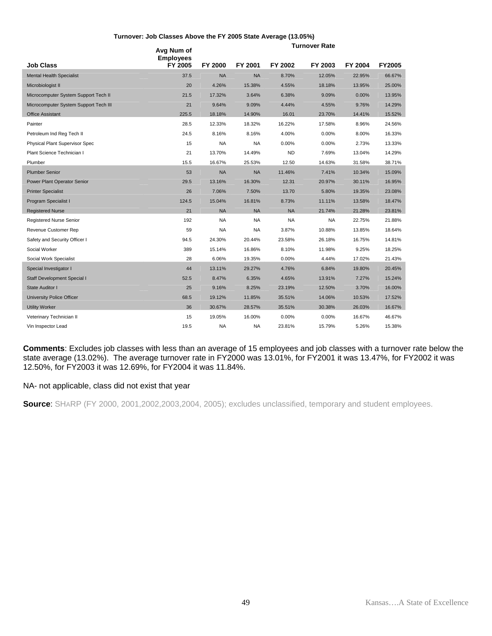#### **Turnover: Job Classes Above the FY 2005 State Average (13.05%)**

|                                       | Avg Num of<br><b>Employees</b> |           |           |           | <b>Turnover Rate</b> |          |               |
|---------------------------------------|--------------------------------|-----------|-----------|-----------|----------------------|----------|---------------|
| <b>Job Class</b>                      | FY 2005                        | FY 2000   | FY 2001   | FY 2002   | FY 2003              | FY 2004  | <b>FY2005</b> |
| <b>Mental Health Specialist</b>       | 37.5                           | <b>NA</b> | <b>NA</b> | 8.70%     | 12.05%               | 22.95%   | 66.67%        |
| Microbiologist II                     | 20                             | 4.26%     | 15.38%    | 4.55%     | 18.18%               | 13.95%   | 25.00%        |
| Microcomputer System Support Tech II  | 21.5                           | 17.32%    | 3.64%     | 6.38%     | 9.09%                | $0.00\%$ | 13.95%        |
| Microcomputer System Support Tech III | 21                             | 9.64%     | 9.09%     | 4.44%     | 4.55%                | 9.76%    | 14.29%        |
| <b>Office Assistant</b>               | 225.5                          | 18.18%    | 14.90%    | 16.01     | 23.70%               | 14.41%   | 15.52%        |
| Painter                               | 28.5                           | 12.33%    | 18.32%    | 16.22%    | 17.58%               | 8.96%    | 24.56%        |
| Petroleum Ind Reg Tech II             | 24.5                           | 8.16%     | 8.16%     | 4.00%     | 0.00%                | 8.00%    | 16.33%        |
| Physical Plant Supervisor Spec        | 15                             | <b>NA</b> | <b>NA</b> | 0.00%     | 0.00%                | 2.73%    | 13.33%        |
| Plant Science Technician I            | 21                             | 13.70%    | 14.49%    | <b>ND</b> | 7.69%                | 13.04%   | 14.29%        |
| Plumber                               | 15.5                           | 16.67%    | 25.53%    | 12.50     | 14.63%               | 31.58%   | 38.71%        |
| <b>Plumber Senior</b>                 | 53                             | <b>NA</b> | <b>NA</b> | 11.46%    | 7.41%                | 10.34%   | 15.09%        |
| Power Plant Operator Senior           | 29.5                           | 13.16%    | 16.30%    | 12.31     | 20.97%               | 30.11%   | 16.95%        |
| <b>Printer Specialist</b>             | 26                             | 7.06%     | 7.50%     | 13.70     | 5.80%                | 19.35%   | 23.08%        |
| Program Specialist I                  | 124.5                          | 15.04%    | 16.81%    | 8.73%     | 11.11%               | 13.58%   | 18.47%        |
| <b>Registered Nurse</b>               | 21                             | <b>NA</b> | <b>NA</b> | <b>NA</b> | 21.74%               | 21.28%   | 23.81%        |
| Registered Nurse Senior               | 192                            | <b>NA</b> | <b>NA</b> | <b>NA</b> | <b>NA</b>            | 22.75%   | 21.88%        |
| Revenue Customer Rep                  | 59                             | <b>NA</b> | <b>NA</b> | 3.87%     | 10.88%               | 13.85%   | 18.64%        |
| Safety and Security Officer I         | 94.5                           | 24.30%    | 20.44%    | 23.58%    | 26.18%               | 16.75%   | 14.81%        |
| Social Worker                         | 389                            | 15.14%    | 16.86%    | 8.10%     | 11.98%               | 9.25%    | 18.25%        |
| Social Work Specialist                | 28                             | 6.06%     | 19.35%    | 0.00%     | 4.44%                | 17.02%   | 21.43%        |
| Special Investigator I                | 44                             | 13.11%    | 29.27%    | 4.76%     | 6.84%                | 19.80%   | 20.45%        |
| Staff Development Special I           | 52.5                           | 8.47%     | 6.35%     | 4.65%     | 13.91%               | 7.27%    | 15.24%        |
| State Auditor I                       | 25                             | 9.16%     | 8.25%     | 23.19%    | 12.50%               | 3.70%    | 16.00%        |
| <b>University Police Officer</b>      | 68.5                           | 19.12%    | 11.85%    | 35.51%    | 14.06%               | 10.53%   | 17.52%        |
| <b>Utility Worker</b>                 | 36                             | 30.67%    | 28.57%    | 35.51%    | 30.38%               | 26.03%   | 16.67%        |
| Veterinary Technician II              | 15                             | 19.05%    | 16.00%    | 0.00%     | 0.00%                | 16.67%   | 46.67%        |
| Vin Inspector Lead                    | 19.5                           | <b>NA</b> | NA        | 23.81%    | 15.79%               | 5.26%    | 15.38%        |

**Comments**: Excludes job classes with less than an average of 15 employees and job classes with a turnover rate below the state average (13.02%). The average turnover rate in FY2000 was 13.01%, for FY2001 it was 13.47%, for FY2002 it was 12.50%, for FY2003 it was 12.69%, for FY2004 it was 11.84%.

#### NA- not applicable, class did not exist that year

**Source**: SHARP (FY 2000, 2001,2002,2003,2004, 2005); excludes unclassified, temporary and student employees.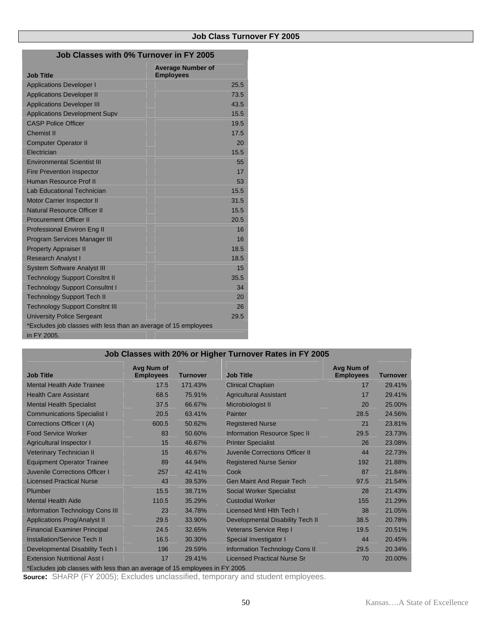| Job Classes with 0% Turnover in FY 2005                         |                                              |  |  |  |
|-----------------------------------------------------------------|----------------------------------------------|--|--|--|
| <b>Job Title</b>                                                | <b>Average Number of</b><br><b>Employees</b> |  |  |  |
| <b>Applications Developer I</b>                                 | 25.5                                         |  |  |  |
| <b>Applications Developer II</b>                                | 73.5                                         |  |  |  |
| <b>Applications Developer III</b>                               | 43.5                                         |  |  |  |
| <b>Applications Development Supv</b>                            | 15.5                                         |  |  |  |
| <b>CASP Police Officer</b>                                      | 19.5                                         |  |  |  |
| <b>Chemist II</b>                                               | 17.5                                         |  |  |  |
| <b>Computer Operator II</b>                                     | 20                                           |  |  |  |
| Electrician                                                     | 15.5                                         |  |  |  |
| <b>Environmental Scientist III</b>                              | 55                                           |  |  |  |
| <b>Fire Prevention Inspector</b>                                | 17                                           |  |  |  |
| Human Resource Prof II                                          | 53                                           |  |  |  |
| <b>Lab Educational Technician</b>                               | 15.5                                         |  |  |  |
| <b>Motor Carrier Inspector II</b>                               | 31.5                                         |  |  |  |
| Natural Resource Officer II                                     | 15.5                                         |  |  |  |
| <b>Procurement Officer II</b>                                   | 20.5                                         |  |  |  |
| <b>Professional Environ Eng II</b>                              | 16                                           |  |  |  |
| <b>Program Services Manager III</b>                             | 16                                           |  |  |  |
| <b>Property Appraiser II</b>                                    | 18.5<br>٠                                    |  |  |  |
| <b>Research Analyst I</b>                                       | 18.5<br>٠                                    |  |  |  |
| <b>System Software Analyst III</b>                              | 15                                           |  |  |  |
| <b>Technology Support Consitnt II</b>                           | 35.5                                         |  |  |  |
| <b>Technology Support Consultnt I</b>                           | 34                                           |  |  |  |
| <b>Technology Support Tech II</b>                               | 20                                           |  |  |  |
| <b>Technology Support Consitnt III</b>                          | 26                                           |  |  |  |
| <b>University Police Sergeant</b>                               | 29.5                                         |  |  |  |
| *Excludes job classes with less than an average of 15 employees |                                              |  |  |  |
| in FY 2005.                                                     |                                              |  |  |  |

| Job Classes with 20% or Higher Turnover Rates in FY 2005                   |                                |                 |                                       |                                |                 |  |  |
|----------------------------------------------------------------------------|--------------------------------|-----------------|---------------------------------------|--------------------------------|-----------------|--|--|
| <b>Job Title</b>                                                           | Avg Num of<br><b>Employees</b> | <b>Turnover</b> | <b>Job Title</b>                      | Avg Num of<br><b>Employees</b> | <b>Turnover</b> |  |  |
| <b>Mental Health Aide Trainee</b>                                          | 17.5                           | 171.43%         | <b>Clinical Chaplain</b>              | 17                             | 29.41%          |  |  |
| <b>Health Care Assistant</b>                                               | 68.5                           | 75.91%          | <b>Agricultural Assistant</b>         | 17                             | 29.41%          |  |  |
| <b>Mental Health Specialist</b>                                            | 37.5                           | 66.67%          | Microbiologist II                     | 20                             | 25.00%          |  |  |
| <b>Communications Specialist I</b>                                         | 20.5                           | 63.41%          | <b>Painter</b>                        | 28.5                           | 24.56%          |  |  |
| Corrections Officer I (A)                                                  | 600.5                          | 50.62%          | <b>Registered Nurse</b>               | 21                             | 23.81%          |  |  |
| <b>Food Service Worker</b>                                                 | 83                             | 50.60%          | <b>Information Resource Spec II</b>   | 29.5                           | 23.73%          |  |  |
| Agricultural Inspector I                                                   | 15                             | 46.67%          | <b>Printer Specialist</b>             | 26                             | 23.08%          |  |  |
| <b>Veterinary Technician II</b>                                            | 15                             | 46.67%          | Juvenile Corrections Officer II       | 44                             | 22.73%          |  |  |
| <b>Equipment Operator Trainee</b>                                          | 89                             | 44.94%          | <b>Registered Nurse Senior</b>        | 192                            | 21.88%          |  |  |
| Juvenile Corrections Officer I                                             | 257                            | 42.41%          | Cook                                  | 87                             | 21.84%          |  |  |
| <b>Licensed Practical Nurse</b>                                            | 43                             | 39.53%          | <b>Gen Maint And Repair Tech</b>      | 97.5                           | 21.54%          |  |  |
| Plumber                                                                    | 15.5                           | 38.71%          | <b>Social Worker Specialist</b>       | 28                             | 21.43%          |  |  |
| <b>Mental Health Aide</b>                                                  | 110.5                          | 35.29%          | <b>Custodial Worker</b>               | 155                            | 21.29%          |  |  |
| Information Technology Cons III                                            | 23                             | 34.78%          | Licensed Mntl Hith Tech I             | 38                             | 21.05%          |  |  |
| <b>Applications Prog/Analyst II</b>                                        | 29.5                           | 33.90%          | Developmental Disability Tech II      | 38.5                           | 20.78%          |  |  |
| <b>Financial Examiner Principal</b>                                        | 24.5                           | 32.65%          | Veterans Service Rep I                | 19.5                           | 20.51%          |  |  |
| <b>Installation/Service Tech II</b>                                        | 16.5                           | 30.30%          | Special Investigator I                | 44                             | 20.45%          |  |  |
| Developmental Disability Tech I                                            | 196                            | 29.59%          | <b>Information Technology Cons II</b> | 29.5                           | 20.34%          |  |  |
| <b>Extension Nutritional Asst I</b>                                        | 17                             | 29.41%          | <b>Licensed Practical Nurse Sr</b>    | 70                             | 20.00%          |  |  |
| *Excludes job classes with less than an average of 15 employees in FY 2005 |                                |                 |                                       |                                |                 |  |  |

**Source:** SHARP (FY 2005); Excludes unclassified, temporary and student employees.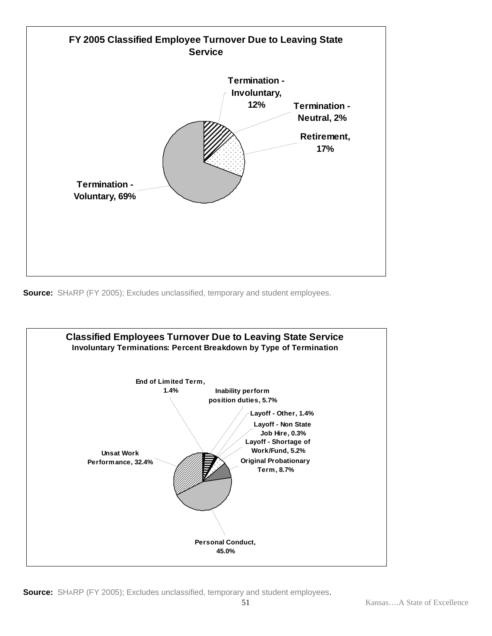

**Source:** SHARP (FY 2005); Excludes unclassified, temporary and student employees.



**Source:** SHARP (FY 2005); Excludes unclassified, temporary and student employees.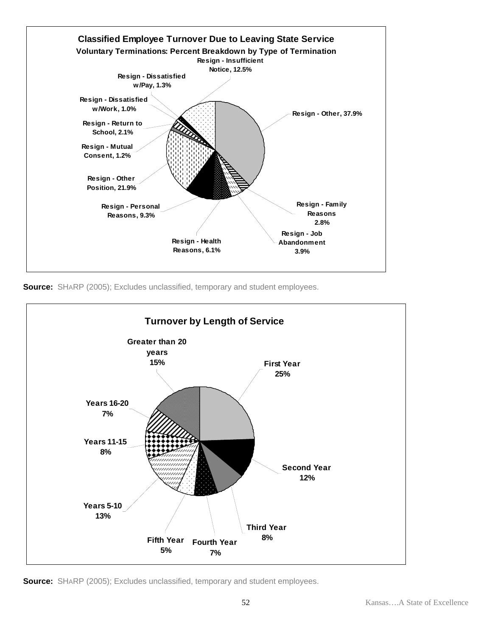





**Source:** SHARP (2005); Excludes unclassified, temporary and student employees.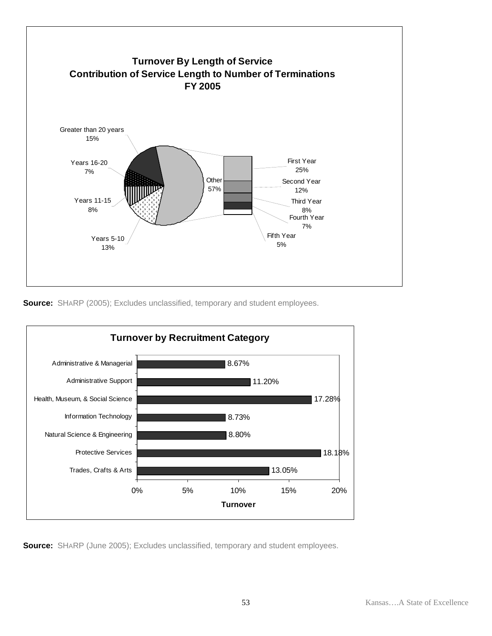

**Source:** SHARP (2005); Excludes unclassified, temporary and student employees.



**Source:** SHARP (June 2005); Excludes unclassified, temporary and student employees.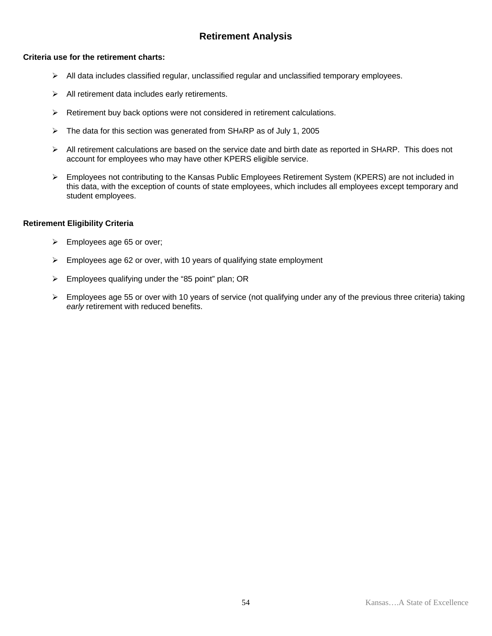### **Retirement Analysis**

#### **Criteria use for the retirement charts:**

- $\triangleright$  All data includes classified regular, unclassified regular and unclassified temporary employees.
- $\triangleright$  All retirement data includes early retirements.
- $\triangleright$  Retirement buy back options were not considered in retirement calculations.
- $\triangleright$  The data for this section was generated from SHARP as of July 1, 2005
- $\triangleright$  All retirement calculations are based on the service date and birth date as reported in SHARP. This does not account for employees who may have other KPERS eligible service.
- ¾ Employees not contributing to the Kansas Public Employees Retirement System (KPERS) are not included in this data, with the exception of counts of state employees, which includes all employees except temporary and student employees.

#### **Retirement Eligibility Criteria**

- $\triangleright$  Employees age 65 or over;
- ¾ Employees age 62 or over, with 10 years of qualifying state employment
- $\triangleright$  Employees qualifying under the "85 point" plan; OR
- ¾ Employees age 55 or over with 10 years of service (not qualifying under any of the previous three criteria) taking *early* retirement with reduced benefits.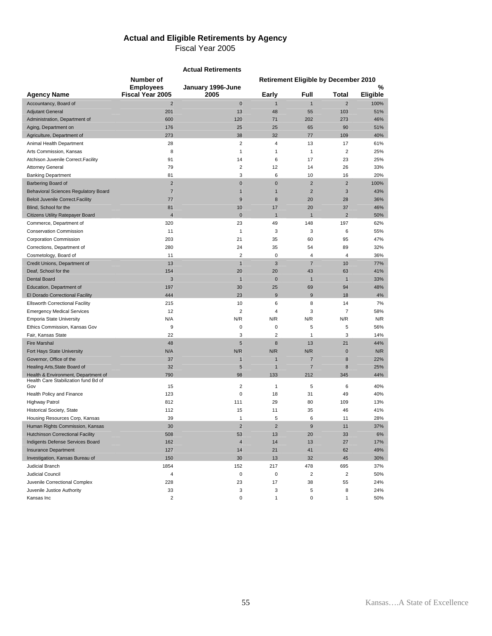# **Actual and Eligible Retirements by Agency**

|                                             |                                             | <b>Actual Retirements</b> |                       |                                             |                |                  |
|---------------------------------------------|---------------------------------------------|---------------------------|-----------------------|---------------------------------------------|----------------|------------------|
|                                             | Number of                                   |                           |                       | <b>Retirement Eligible by December 2010</b> |                |                  |
|                                             | <b>Employees</b><br><b>Fiscal Year 2005</b> | January 1996-June<br>2005 |                       | Full                                        | <b>Total</b>   | %                |
| <b>Agency Name</b><br>Accountancy, Board of | $\overline{2}$                              | $\bf{0}$                  | Early<br>$\mathbf{1}$ | $\mathbf{1}$                                | $\overline{2}$ | Eligible<br>100% |
| <b>Adjutant General</b>                     | 201                                         | 13                        | 48                    | 55                                          | 103            | 51%              |
| Administration, Department of               | 600                                         | 120                       | 71                    | 202                                         | 273            | 46%              |
|                                             | 176                                         | 25                        | 25                    | 65                                          | 90             | 51%              |
| Aging, Department on                        |                                             |                           |                       |                                             |                |                  |
| Agriculture, Department of                  | 273                                         | 38                        | 32                    | 77                                          | 109            | 40%              |
| Animal Health Department                    | 28                                          | 2                         | 4                     | 13                                          | 17             | 61%              |
| Arts Commission, Kansas                     | 8                                           | $\mathbf{1}$              | $\mathbf{1}$          | $\mathbf{1}$                                | $\overline{2}$ | 25%              |
| Atchison Juvenile Correct. Facility         | 91                                          | 14                        | 6                     | 17                                          | 23             | 25%              |
| <b>Attorney General</b>                     | 79                                          | 2                         | 12                    | 14                                          | 26             | 33%              |
| <b>Banking Department</b>                   | 81                                          | 3                         | 6                     | 10                                          | 16             | 20%              |
| Barbering Board of                          | $\overline{2}$                              | $\bf{0}$                  | $\pmb{0}$             | $\overline{2}$                              | $\overline{c}$ | 100%             |
| <b>Behavioral Sciences Regulatory Board</b> | $\overline{7}$                              | $\mathbf{1}$              | $\mathbf{1}$          | $\overline{2}$                              | 3              | 43%              |
| <b>Beloit Juvenile Correct. Facility</b>    | 77                                          | 9                         | 8                     | 20                                          | 28             | 36%              |
| Blind, School for the                       | 81                                          | 10                        | 17                    | 20                                          | 37             | 46%              |
| <b>Citizens Utility Ratepayer Board</b>     | $\overline{4}$                              | $\bf{0}$                  | $\overline{1}$        | $\overline{1}$                              | $\overline{2}$ | 50%              |
| Commerce, Department of                     | 320                                         | 23                        | 49                    | 148                                         | 197            | 62%              |
| <b>Conservation Commission</b>              | 11                                          | 1                         | 3                     | 3                                           | 6              | 55%              |
| <b>Corporation Commission</b>               | 203                                         | 21                        | 35                    | 60                                          | 95             | 47%              |
| Corrections, Department of                  | 280                                         | 24                        | 35                    | 54                                          | 89             | 32%              |
| Cosmetology, Board of                       | 11                                          | $\overline{2}$            | 0                     | $\overline{4}$                              | $\overline{4}$ | 36%              |
| Credit Unions, Department of                | 13                                          | $\mathbf{1}$              | 3                     | $\overline{7}$                              | 10             | 77%              |
| Deaf, School for the                        | 154                                         | 20                        | 20                    | 43                                          | 63             | 41%              |
| <b>Dental Board</b>                         | 3                                           | $\mathbf{1}$              | $\bf{0}$              | $\mathbf{1}$                                | $\mathbf{1}$   | 33%              |
| Education, Department of                    | 197                                         | 30                        | 25                    | 69                                          | 94             | 48%              |
| El Dorado Correctional Facility             | 444                                         | 23                        | 9                     | 9                                           | 18             | 4%               |
| <b>Ellsworth Correctional Facility</b>      | 215                                         | 10                        | 6                     | 8                                           | 14             | 7%               |
| <b>Emergency Medical Services</b>           | 12                                          | $\overline{2}$            | $\overline{4}$        | 3                                           | 7              | 58%              |
| <b>Emporia State University</b>             | N/A                                         | N/R                       | N/R                   | N/R                                         | N/R            | N/R              |
| Ethics Commission, Kansas Gov               | 9                                           | 0                         | 0                     | 5                                           | 5              | 56%              |
| Fair, Kansas State                          | 22                                          | 3                         | $\overline{2}$        | $\mathbf{1}$                                | 3              | 14%              |
| <b>Fire Marshal</b>                         | 48                                          | 5                         | 8                     | 13                                          | 21             | 44%              |
| Fort Hays State University                  | N/A                                         | N/R                       | N/R                   | N/R                                         | $\mathbf 0$    | N/R              |
| Governor, Office of the                     | 37                                          | 1                         | $\overline{1}$        | $\overline{7}$                              | 8              | 22%              |
| Healing Arts, State Board of                | 32                                          | 5                         | $\mathbf{1}$          | $\overline{7}$                              | 8              | 25%              |
| Health & Environment, Department of         | 790                                         | 98                        | 133                   | 212                                         | 345            | 44%              |
| Health Care Stabilization fund Bd of        |                                             |                           |                       |                                             |                |                  |
| Gov                                         | 15                                          | 2                         | $\mathbf{1}$          | 5                                           | 6              | 40%              |
| Health Policy and Finance                   | 123                                         | 0                         | 18                    | 31                                          | 49             | 40%              |
| <b>Highway Patrol</b>                       | 812                                         | 111                       | 29                    | 80                                          | 109            | 13%              |
| Historical Society, State                   | 112                                         | 15                        | 11                    | 35                                          | 46             | 41%              |
| Housing Resources Corp, Kansas              | 39                                          | 1                         | 5                     | 6                                           | 11             | 28%              |
| Human Rights Commission, Kansas             | 30                                          | $\overline{c}$            | $\mathbf 2$           | $\boldsymbol{9}$                            | 11             | 37%              |
| <b>Hutchinson Correctional Facility</b>     | 508                                         | 53                        | 13                    | 20                                          | 33             | 6%               |
| Indigents Defense Services Board            | 162                                         | $\overline{4}$            | 14                    | 13                                          | 27             | 17%              |
| <b>Insurance Department</b>                 | 127                                         | 14                        | 21                    | 41                                          | 62             | 49%              |
| Investigation, Kansas Bureau of             | 150                                         | 30                        | 13                    | 32                                          | 45             | 30%              |
| <b>Judicial Branch</b>                      | 1854                                        | 152                       | 217                   | 478                                         | 695            | 37%              |
| Judicial Council                            | 4                                           | 0                         | $\pmb{0}$             | $\overline{\mathbf{c}}$                     | $\sqrt{2}$     | 50%              |
| Juvenile Correctional Complex               | 228                                         | 23                        | 17                    | 38                                          | 55             | 24%              |
| Juvenile Justice Authority                  | 33                                          | 3                         | 3                     | 5                                           | 8              | 24%              |
| Kansas Inc                                  | $\overline{c}$                              | 0                         | $\mathbf{1}$          | 0                                           | 1              | 50%              |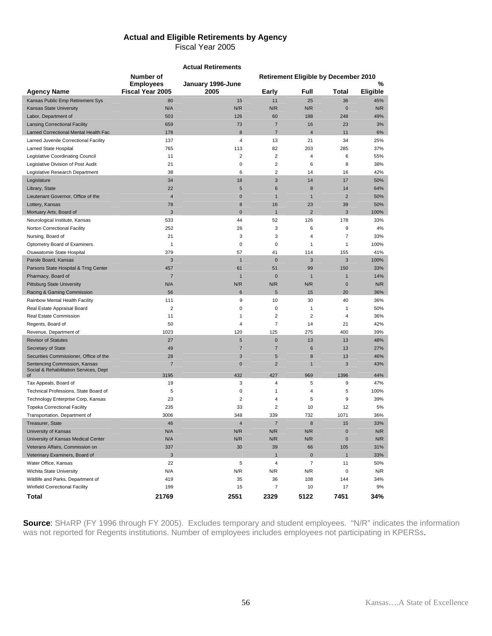### **Actual and Eligible Retirements by Agency**  Fiscal Year 2005

|                                                                         |                                             | <b>Actual Retirements</b> |                         |                          |                                             |               |
|-------------------------------------------------------------------------|---------------------------------------------|---------------------------|-------------------------|--------------------------|---------------------------------------------|---------------|
|                                                                         | Number of                                   |                           |                         |                          | <b>Retirement Eligible by December 2010</b> |               |
| <b>Agency Name</b>                                                      | <b>Employees</b><br><b>Fiscal Year 2005</b> | January 1996-June<br>2005 | Early                   | Full                     | Total                                       | %<br>Eligible |
| Kansas Public Emp Retirement Sys                                        | 80                                          | 15                        | 11                      | 25                       | 36                                          | 45%           |
| <b>Kansas State University</b>                                          | N/A                                         | N/R                       | N/R                     | N/R                      | $\mathbf 0$                                 | N/R           |
| Labor, Department of                                                    | 503                                         | 126                       | 60                      | 188                      | 248                                         | 49%           |
| <b>Lansing Correctional Facility</b>                                    | 659                                         | 73                        | $\overline{7}$          | 16                       | 23                                          | 3%            |
| Larned Correctional Mental Health Fac                                   | 178                                         | 8                         | $\overline{7}$          | $\overline{4}$           | 11                                          | 6%            |
| Larned Juvenile Correctional Facility                                   | 137                                         | 4                         | 13                      | 21                       | 34                                          | 25%           |
| Larned State Hospital                                                   | 765                                         | 113                       | 82                      | 203                      | 285                                         | 37%           |
| Legislative Coordinating Council                                        | 11                                          | 2                         | $\overline{\mathbf{c}}$ | 4                        | 6                                           | 55%           |
| Legislative Division of Post Audit                                      | 21                                          | 0                         | 2                       | 6                        | 8                                           | 38%           |
| Legislative Research Department                                         | 38                                          | 6                         | 2                       | 14                       | 16                                          | 42%           |
| Legislature                                                             | 34                                          | 18                        | 3                       | 14                       | 17                                          | 50%           |
| Library, State                                                          | 22                                          | 5                         | 6                       | 8                        | 14                                          | 64%           |
| Lieutenant Governor, Office of the                                      | $\overline{4}$                              | $\bf{0}$                  | $\mathbf{1}$            | $\mathbf{1}$             | $\overline{2}$                              | 50%           |
| Lottery, Kansas                                                         | 78                                          | 8                         | 16                      | 23                       | 39                                          | 50%           |
| Mortuary Arts, Board of                                                 | 3                                           | $\mathbf{0}$              | $\overline{1}$          | $\overline{2}$           | 3                                           | 100%          |
| Neurological Institute, Kansas                                          | 533                                         | 44                        | 52                      | 126                      | 178                                         | 33%           |
| Norton Correctional Facility                                            | 252                                         | 26                        | 3                       | 6                        | 9                                           | 4%            |
| Nursing, Board of                                                       | 21                                          | 3                         | 3                       | 4                        | 7                                           | 33%           |
| Optometry Board of Examiners                                            | 1                                           | 0                         | 0                       | $\mathbf{1}$             | 1                                           | 100%          |
| Osawatomie State Hospital                                               | 379                                         | 57                        | 41                      | 114                      | 155                                         | 41%           |
| Parole Board, Kansas                                                    | 3                                           | $\mathbf{1}$              | $\mathbf 0$             | 3                        | 3                                           | 100%          |
| Parsons State Hospital & Trng Center                                    | 457                                         | 61                        | 51                      | 99                       | 150                                         | 33%           |
| Pharmacy, Board of                                                      | $\overline{7}$                              | $\mathbf{1}$              | $\bf{0}$                | $\mathbf{1}$             | $\mathbf{1}$                                | 14%           |
| <b>Pittsburg State University</b>                                       | N/A                                         | N/R                       | N/R                     | N/R                      | $\mathbf 0$                                 | N/R           |
| Racing & Gaming Commission                                              | 56                                          | 6                         | 5                       | 15                       | 20                                          | 36%           |
| Rainbow Mental Health Facility                                          | 111                                         | 9                         | 10                      | 30                       | 40                                          | 36%           |
| Real Estate Appraisal Board                                             | 2                                           | 0                         | 0                       | $\mathbf{1}$             | 1                                           | 50%           |
| Real Estate Commission                                                  | 11                                          | 1                         | $\overline{\mathbf{c}}$ | $\overline{2}$           | $\overline{4}$                              | 36%           |
| Regents, Board of                                                       | 50                                          | 4                         | 7                       | 14                       | 21                                          | 42%           |
| Revenue, Department of                                                  | 1023                                        | 120                       | 125                     | 275                      | 400                                         | 39%           |
| <b>Revisor of Statutes</b>                                              | 27                                          | 5                         | 0                       | 13                       | 13                                          | 48%           |
| Secretary of State                                                      | 49                                          | $\overline{7}$            | $\overline{7}$          | $6\phantom{1}6$          | 13                                          | 27%           |
| Securities Commissioner, Office of the                                  | 28                                          | 3                         | 5                       | 8                        | 13                                          | 46%           |
| Sentencing Commission, Kansas<br>Social & Rehabilitation Services, Dept | $\overline{7}$                              | $\mathbf 0$               | $\overline{2}$          | $\overline{1}$           | 3                                           | 43%           |
| of                                                                      | 3195                                        | 432                       | 427                     | 969                      | 1396                                        | 44%           |
| Tax Appeals, Board of                                                   | 19                                          | 3                         | 4                       | 5                        | 9                                           | 47%           |
| Technical Professions, State Board of                                   | 5                                           | 0                         | 1                       | 4                        | 5                                           | 100%          |
| Technology Enterprise Corp, Kansas                                      | 23                                          | $\overline{2}$            | 4                       | 5                        | 9                                           | 39%           |
| <b>Topeka Correctional Facility</b>                                     | 235                                         | 33                        | $\overline{2}$          | 10                       | 12                                          | 5%            |
| Transportation, Department of                                           | 3006                                        | 348                       | 339                     | 732                      | 1071                                        | 36%           |
| Treasurer, State                                                        | 46                                          | 4                         | 7                       | 8                        | 15                                          | 33%           |
| University of Kansas                                                    | N/A                                         | N/R                       | N/R                     | N/R                      | $\pmb{0}$                                   | N/R           |
| University of Kansas Medical Center                                     | N/A                                         | N/R                       | N/R                     | N/R                      | $\pmb{0}$                                   | N/R           |
| Veterans Affairs, Commission on                                         | 337                                         | 30                        | 39                      | 66                       | 105                                         | 31%           |
| Veterinary Examiners, Board of                                          | $\mathsf 3$                                 |                           | $\overline{1}$          | $\bf 0$                  | $\mathbf{1}$                                | 33%           |
| Water Office, Kansas                                                    | 22                                          | 5                         | 4                       | $\overline{\mathcal{I}}$ | 11                                          | 50%           |
| Wichita State University                                                | N/A                                         | N/R                       | N/R                     | N/R                      | $\pmb{0}$                                   | N/R           |
| Wildlife and Parks, Department of                                       | 419                                         | 35                        | 36                      | 108                      | 144                                         | 34%           |
| <b>Winfield Correctional Facility</b>                                   | 199                                         | 15                        | 7                       | 10                       | 17                                          | 9%            |
| Total                                                                   | 21769                                       | 2551                      | 2329                    | 5122                     | 7451                                        | 34%           |

**Source**: SHARP (FY 1996 through FY 2005). Excludes temporary and student employees. "N/R" indicates the information was not reported for Regents institutions. Number of employees includes employees not participating in KPERSs.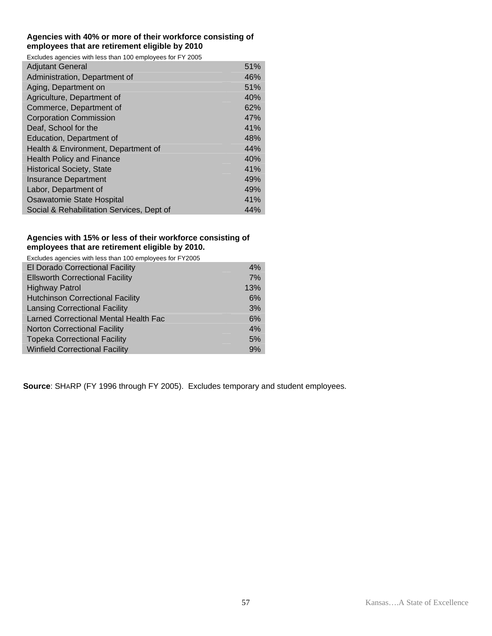#### **Agencies with 40% or more of their workforce consisting of employees that are retirement eligible by 2010**

Excludes agencies with less than 100 employees for FY 2005

| <b>Adjutant General</b>                   | 51% |
|-------------------------------------------|-----|
| Administration, Department of             | 46% |
| Aging, Department on                      | 51% |
| Agriculture, Department of                | 40% |
| Commerce, Department of                   | 62% |
| <b>Corporation Commission</b>             | 47% |
| Deaf, School for the                      | 41% |
| Education, Department of                  | 48% |
| Health & Environment, Department of       | 44% |
| <b>Health Policy and Finance</b>          | 40% |
| <b>Historical Society, State</b>          | 41% |
| <b>Insurance Department</b>               | 49% |
| Labor, Department of                      | 49% |
| Osawatomie State Hospital                 | 41% |
| Social & Rehabilitation Services, Dept of | 44% |

### **Agencies with 15% or less of their workforce consisting of employees that are retirement eligible by 2010.**

| Excludes agencies with less than 100 employees for FY2005 |     |
|-----------------------------------------------------------|-----|
| El Dorado Correctional Facility                           | 4%  |
| <b>Ellsworth Correctional Facility</b>                    | 7%  |
| <b>Highway Patrol</b>                                     | 13% |
| <b>Hutchinson Correctional Facility</b>                   | 6%  |
| <b>Lansing Correctional Facility</b>                      | 3%  |
| Larned Correctional Mental Health Fac                     | 6%  |
| <b>Norton Correctional Facility</b>                       | 4%  |
| <b>Topeka Correctional Facility</b>                       | 5%  |
| <b>Winfield Correctional Facility</b>                     | 9%  |

**Source**: SHARP (FY 1996 through FY 2005). Excludes temporary and student employees.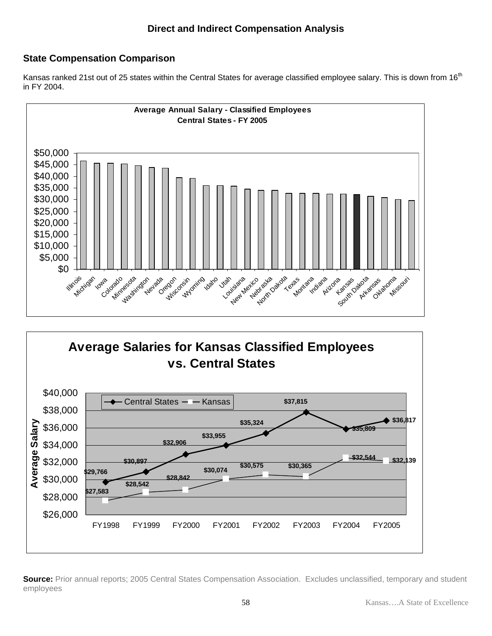# **State Compensation Comparison**

Kansas ranked 21st out of 25 states within the Central States for average classified employee salary. This is down from 16<sup>th</sup> in FY 2004.





**Source:** Prior annual reports; 2005 Central States Compensation Association. Excludes unclassified, temporary and student employees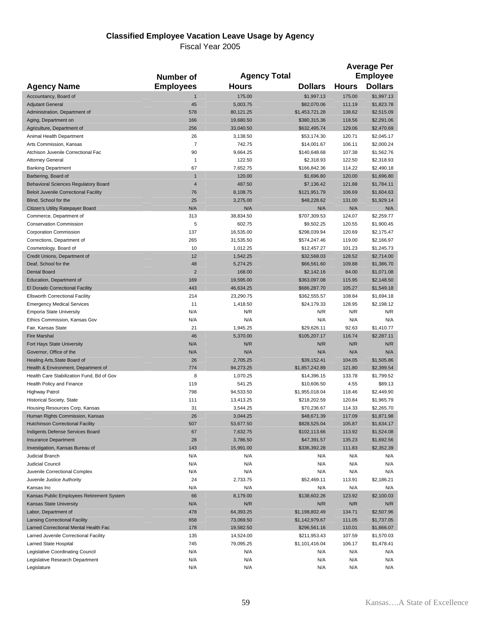#### **Classified Employee Vacation Leave Usage by Agency**

|                                                                        | Number of          |                    | <b>Agency Total</b>        |                  | <b>Average Per</b><br><b>Employee</b> |
|------------------------------------------------------------------------|--------------------|--------------------|----------------------------|------------------|---------------------------------------|
| <b>Agency Name</b>                                                     | <b>Employees</b>   | <b>Hours</b>       | <b>Dollars</b>             | <b>Hours</b>     | <b>Dollars</b>                        |
| Accountancy, Board of                                                  | $\mathbf{1}$       | 175.00             | \$1,997.13                 | 175.00           | \$1,997.13                            |
| <b>Adjutant General</b>                                                | 45                 | 5,003.75           | \$82,070.06                | 111.19           | \$1,823.78                            |
| Administration, Department of                                          | 578                | 80,121.25          | \$1,453,721.28             | 138.62           | \$2,515.09                            |
| Aging, Department on                                                   | 166                | 19,680.50          | \$380,315.36               | 118.56           | \$2,291.06                            |
| Agriculture, Department of                                             | 256                | 33,040.50          | \$632,495.74               | 129.06           | \$2,470.69                            |
| Animal Health Department                                               | 26                 | 3,138.50           | \$53,174.30                | 120.71           | \$2,045.17                            |
| Arts Commission, Kansas                                                | $\overline{7}$     | 742.75             | \$14,001.67                | 106.11           | \$2,000.24                            |
| Atchison Juvenile Correctional Fac                                     | 90                 | 9,664.25           | \$140,648.68               | 107.38           | \$1,562.76                            |
| <b>Attorney General</b>                                                | $\mathbf{1}$<br>67 | 122.50             | \$2,318.93                 | 122.50<br>114.22 | \$2,318.93                            |
| <b>Banking Department</b><br>Barbering, Board of                       | $\mathbf{1}$       | 7,652.75<br>120.00 | \$166,842.36<br>\$1,696.80 | 120.00           | \$2,490.18<br>\$1,696.80              |
| <b>Behavioral Sciences Regulatory Board</b>                            | $\overline{4}$     | 487.50             | \$7,136.42                 | 121.88           | \$1,784.11                            |
| <b>Beloit Juvenile Correctional Facility</b>                           | 76                 | 8,108.75           | \$121,951.79               | 106.69           | \$1,604.63                            |
| Blind, School for the                                                  | 25                 | 3,275.00           | \$48,228.62                | 131.00           | \$1,929.14                            |
| Citizen's Utility Ratepayer Board                                      | N/A                | N/A                | N/A                        | N/A              | N/A                                   |
| Commerce, Department of                                                | 313                | 38,834.50          | \$707,309.53               | 124.07           | \$2,259.77                            |
| <b>Conservation Commission</b>                                         | 5                  | 602.75             | \$9,502.25                 | 120.55           | \$1,900.45                            |
| <b>Corporation Commission</b>                                          | 137                | 16,535.00          | \$298,039.94               | 120.69           | \$2,175.47                            |
| Corrections, Department of                                             | 265                | 31,535.50          | \$574,247.46               | 119.00           | \$2,166.97                            |
| Cosmetology, Board of                                                  | 10                 | 1,012.25           | \$12,457.27                | 101.23           | \$1,245.73                            |
| Credit Unions, Department of                                           | 12                 | 1,542.25           | \$32,568.03                | 128.52           | \$2,714.00                            |
| Deaf, School for the                                                   | 48                 | 5,274.25           | \$66,561.60                | 109.88           | \$1,386.70                            |
| <b>Dental Board</b>                                                    | $\overline{2}$     | 168.00             | \$2,142.16                 | 84.00            | \$1,071.08                            |
| Education, Department of                                               | 169                | 19,595.00          | \$363,097.08               | 115.95           | \$2,148.50                            |
| El Dorado Correctional Facility                                        | 443                | 46,634.25          | \$686,287.70               | 105.27           | \$1,549.18                            |
| <b>Ellsworth Correctional Facility</b>                                 | 214                | 23,290.75          | \$362,555.57               | 108.84           | \$1,694.18                            |
| <b>Emergency Medical Services</b>                                      | 11                 | 1,418.50           | \$24,179.33                | 128.95           | \$2,198.12                            |
| <b>Emporia State University</b>                                        | N/A                | N/R                | N/R                        | N/R              | N/R                                   |
| Ethics Commission, Kansas Gov                                          | N/A                | N/A                | N/A                        | N/A              | N/A                                   |
| Fair, Kansas State                                                     | 21                 | 1,945.25           | \$29,626.11                | 92.63            | \$1,410.77                            |
| <b>Fire Marshal</b>                                                    | 46                 | 5,370.00           | \$105,207.17               | 116.74           | \$2,287.11                            |
| Fort Hays State University                                             | N/A                | N/R                | N/R                        | N/R              | N/R                                   |
| Governor, Office of the                                                | N/A                | N/A                | N/A                        | N/A              | N/A                                   |
| Healing Arts, State Board of                                           | 26                 | 2,705.25           | \$39,152.41                | 104.05           | \$1,505.86                            |
| Health & Environment, Department of                                    | 774<br>8           | 94,273.25          | \$1,857,242.89             | 121.80<br>133.78 | \$2,399.54                            |
| Health Care Stabilization Fund, Bd of Gov<br>Health Policy and Finance | 119                | 1,070.25<br>541.25 | \$14,396.15<br>\$10,606.50 | 4.55             | \$1,799.52<br>\$89.13                 |
| <b>Highway Patrol</b>                                                  | 798                | 94,533.50          | \$1,955,018.04             | 118.46           | \$2,449.90                            |
| Historical Society, State                                              | 111                | 13,413.25          | \$218,202.59               | 120.84           | \$1,965.79                            |
| Housing Resources Corp, Kansas                                         | 31                 | 3,544.25           | \$70,236.67                | 114.33           | \$2,265.70                            |
| Human Rights Commission, Kansas                                        | 26                 | 3,044.25           | \$48,671.39                | 117.09           | \$1,871.98                            |
| <b>Hutchinson Correctional Facility</b>                                | 507                | 53,677.50          | \$828,525.04               | 105.87           | \$1,634.17                            |
| Indigents Defense Services Board                                       | 67                 | 7,632.75           | \$102,113.66               | 113.92           | \$1,524.08                            |
| <b>Insurance Department</b>                                            | 28                 | 3,786.50           | \$47,391.57                | 135.23           | \$1,692.56                            |
| Investigation, Kansas Bureau of                                        | 143                | 15,991.00          | \$336,392.28               | 111.83           | \$2,352.39                            |
| <b>Judicial Branch</b>                                                 | N/A                | N/A                | N/A                        | N/A              | N/A                                   |
| Judicial Council                                                       | N/A                | N/A                | N/A                        | N/A              | N/A                                   |
| Juvenile Correctional Complex                                          | N/A                | N/A                | N/A                        | N/A              | N/A                                   |
| Juvenile Justice Authority                                             | 24                 | 2,733.75           | \$52,469.11                | 113.91           | \$2,186.21                            |
| Kansas Inc                                                             | N/A                | N/A                | N/A                        | N/A              | N/A                                   |
| Kansas Public Employees Retirement System                              | 66                 | 8,179.00           | \$138,602.26               | 123.92           | \$2,100.03                            |
| Kansas State University                                                | N/A                | N/R                | N/R                        | N/R              | N/R                                   |
| Labor, Department of                                                   | 478                | 64,393.25          | \$1,198,802.49             | 134.71           | \$2,507.96                            |
| <b>Lansing Correctional Facility</b>                                   | 658                | 73,069.50          | \$1,142,979.67             | 111.05           | \$1,737.05                            |
| Larned Correctional Mental Health Fac                                  | 178                | 19,582.50          | \$296,561.16               | 110.01           | \$1,666.07                            |
| Larned Juvenile Correctional Facility                                  | 135                | 14,524.00          | \$211,953.43               | 107.59           | \$1,570.03                            |
| Larned State Hospital                                                  | 745                | 79,095.25          | \$1,101,416.04             | 106.17           | \$1,478.41                            |
| Legislative Coordinating Council                                       | N/A                | N/A                | N/A                        | N/A              | N/A                                   |
| Legislative Research Department                                        | N/A                | N/A                | N/A                        | N/A              | N/A                                   |
| Legislature                                                            | N/A                | N/A                | N/A                        | N/A              | N/A                                   |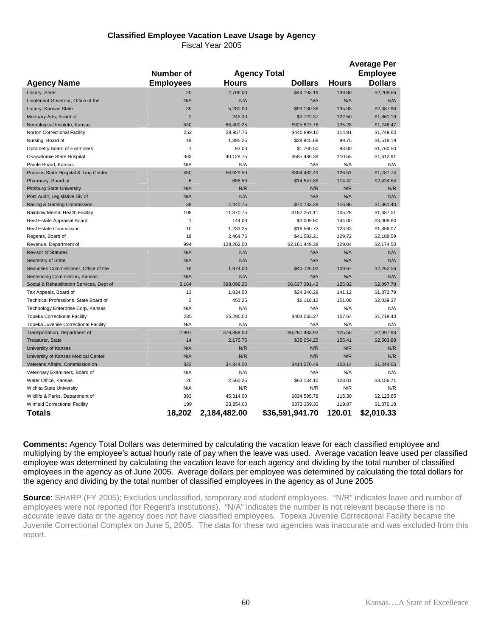### **Classified Employee Vacation Leave Usage by Agency**

Fiscal Year 2005

|                                           | <b>Average Per</b> |              |                     |              |                                   |
|-------------------------------------------|--------------------|--------------|---------------------|--------------|-----------------------------------|
|                                           | <b>Number of</b>   |              | <b>Agency Total</b> |              |                                   |
| <b>Agency Name</b>                        | <b>Employees</b>   | <b>Hours</b> | <b>Dollars</b>      | <b>Hours</b> | <b>Employee</b><br><b>Dollars</b> |
| Library, State                            | 20                 | 2,796.00     | \$44,193.19         | 139.80       | \$2,209.66                        |
| Lieutenant Governor, Office of the        | N/A                | N/A          | N/A                 | N/A          | N/A                               |
| Lottery, Kansas State                     | 39                 | 5,280.00     | \$93,130.38         | 135.38       | \$2,387.96                        |
| Mortuary Arts, Board of                   | $\overline{2}$     | 245.00       | \$3,722.37          | 122.50       | \$1,861.19                        |
| Neurological Institute, Kansas            | 530                | 66,400.25    | \$925,627.78        | 125.28       | \$1,746.47                        |
| Norton Correctional Facility              | 252                | 28,957.75    | \$440,899.10        | 114.91       | \$1,749.60                        |
| Nursing, Board of                         | 19                 | 1,895.25     | \$28,845.68         | 99.75        | \$1,518.19                        |
| Optometry Board of Examiners              | 1                  | 93.00        | \$1,760.50          | 93.00        | \$1,760.50                        |
| Osawatomie State Hospital                 | 363                | 40,128.75    | \$585,486.38        | 110.55       | \$1,612.91                        |
| Parole Board, Kansas                      | N/A                | N/A          | N/A                 | N/A          | N/A                               |
| Parsons State Hospital & Trng Center      | 450                | 56,929.50    | \$804,482.49        | 126.51       | \$1,787.74                        |
| Pharmacy, Board of                        | 6                  | 686.50       | \$14,547.85         | 114.42       | \$2,424.64                        |
| <b>Pittsburg State University</b>         | N/A                | N/R          | N/R                 | N/R          | N/R                               |
| Post Audit, Legislative Div of            | N/A                | N/A          | N/A                 | N/A          | N/A                               |
| Racing & Gaming Commission                | 38                 | 4,440.75     | \$70,733.28         | 116.86       | \$1,861.40                        |
| Rainbow Mental Health Facility            | 108                | 11,370.75    | \$182,251.11        | 105.28       | \$1,687.51                        |
| Real Estate Appraisal Board               | 1                  | 144.00       | \$3,009.60          | 144.00       | \$3,009.60                        |
| Real Estate Commission                    | 10                 | 1,233.25     | \$18,560.72         | 123.33       | \$1,856.07                        |
| Regents, Board of                         | 19                 | 2,464.75     | \$41,583.21         | 129.72       | \$2,188.59                        |
| Revenue, Department of                    | 994                | 128,262.00   | \$2,161,449.38      | 129.04       | \$2,174.50                        |
| <b>Revisor of Statutes</b>                | N/A                | N/A          | N/A                 | N/A          | N/A                               |
| Secretary of State                        | N/A                | N/A          | N/A                 | N/A          | N/A                               |
| Securities Commissioner, Office of the    | 18                 | 1,974.00     | \$40,726.02         | 109.67       | \$2,262.56                        |
| Sentencing Commission, Kansas             | N/A                | N/A          | N/A                 | N/A          | N/A                               |
| Social & Rehabilitation Services, Dept of | 3,164              | 398,099.25   | \$6,637,391.42      | 125.82       | \$2,097.78                        |
| Tax Appeals, Board of                     | 13                 | 1,834.50     | \$24,346.29         | 141.12       | \$1,872.79                        |
| Technical Professions, State Board of     | 3                  | 453.25       | \$6,118.12          | 151.08       | \$2,039.37                        |
| Technology Enterprise Corp, Kansas        | N/A                | N/A          | N/A                 | N/A          | N/A                               |
| <b>Topeka Correctional Facility</b>       | 235                | 25,295.00    | \$404,065.27        | 107.64       | \$1,719.43                        |
| Topeka Juvenile Correctional Facility     | N/A                | N/A          | N/A                 | N/A          | N/A                               |
| Transportation, Department of             | 2,997              | 376,369.00   | \$6,287,483.92      | 125.58       | \$2,097.93                        |
| Treasurer, State                          | 14                 | 2,175.75     | \$35,054.25         | 155.41       | \$2,503.88                        |
| University of Kansas                      | N/A                | N/R          | N/R                 | N/R          | N/R                               |
| University of Kansas Medical Center       | N/A                | N/R          | N/R                 | N/R          | N/R                               |
| Veterans Affairs, Commission on           | 333                | 34,344.00    | \$414,270.49        | 103.14       | \$1,244.06                        |
| Veterinary Examiners, Board of            | N/A                | N/A          | N/A                 | N/A          | N/A                               |
| Water Office, Kansas                      | 20                 | 2.560.25     | \$63,134.10         | 128.01       | \$3.156.71                        |
| Wichita State University                  | N/A                | N/R          | N/R                 | N/R          | N/R                               |
| Wildlife & Parks, Department of           | 393                | 45,314.00    | \$834,595.78        | 115.30       | \$2,123.65                        |
| Winfield Correctional Facility            | 199                | 23,854.00    | \$373,359.33        | 119.87       | \$1,876.18                        |
| Totals                                    | 18,202             | 2,184,482.00 | \$36,591,941.70     | 120.01       | \$2,010.33                        |

**Comments:** Agency Total Dollars was determined by calculating the vacation leave for each classified employee and multiplying by the employee's actual hourly rate of pay when the leave was used. Average vacation leave used per classified employee was determined by calculating the vacation leave for each agency and dividing by the total number of classified employees in the agency as of June 2005. Average dollars per employee was determined by calculating the total dollars for the agency and dividing by the total number of classified employees in the agency as of June 2005

**Source**: SHARP (FY 2005); Excludes unclassified, temporary and student employees. "N/R" indicates leave and number of employees were not reported (for Regent's institutions). "N/A" indicates the number is not relevant because there is no accurate leave data or the agency does not have classified employees. Topeka Juvenile Correctional Facility became the Juvenile Correctional Complex on June 5, 2005. The data for these two agencies was inaccurate and was excluded from this report.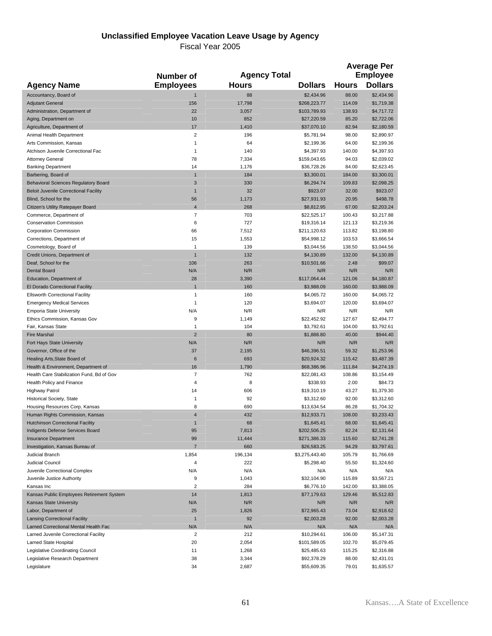#### **Unclassified Employee Vacation Leave Usage by Agency**

|                                                                     | Number of               |                | <b>Agency Total</b>         |                  | <b>Average Per</b><br><b>Employee</b> |
|---------------------------------------------------------------------|-------------------------|----------------|-----------------------------|------------------|---------------------------------------|
| <b>Agency Name</b>                                                  | <b>Employees</b>        | <b>Hours</b>   | <b>Dollars</b>              | <b>Hours</b>     | <b>Dollars</b>                        |
| Accountancy, Board of                                               | $\mathbf{1}$            | 88             | \$2,434.96                  | 88.00            | \$2,434.96                            |
| <b>Adjutant General</b>                                             | 156                     | 17,798         | \$268,223.77                | 114.09           | \$1,719.38                            |
| Administration, Department of                                       | 22                      | 3,057          | \$103,789.93                | 138.93           | \$4,717.72                            |
| Aging, Department on                                                | 10                      | 852            | \$27,220.59                 | 85.20            | \$2,722.06                            |
| Agriculture, Department of                                          | 17                      | 1,410          | \$37,070.10                 | 82.94            | \$2,180.59                            |
| Animal Health Department                                            | $\overline{2}$          | 196            | \$5,781.94                  | 98.00            | \$2,890.97                            |
| Arts Commission, Kansas                                             | $\mathbf{1}$            | 64             | \$2,199.36                  | 64.00            | \$2,199.36                            |
| Atchison Juvenile Correctional Fac<br><b>Attorney General</b>       | $\mathbf{1}$            | 140            | \$4,397.93                  | 140.00           | \$4,397.93                            |
| <b>Banking Department</b>                                           | 78<br>14                | 7,334<br>1,176 | \$159,043.65<br>\$36,728.26 | 94.03<br>84.00   | \$2,039.02<br>\$2,623.45              |
| Barbering, Board of                                                 | $\mathbf{1}$            | 184            | \$3,300.01                  | 184.00           | \$3,300.01                            |
| <b>Behavioral Sciences Regulatory Board</b>                         | $\mathbf{3}$            | 330            | \$6,294.74                  | 109.83           | \$2,098.25                            |
| <b>Beloit Juvenile Correctional Facility</b>                        | $\mathbf{1}$            | 32             | \$923.07                    | 32.00            | \$923.07                              |
| Blind, School for the                                               | 56                      | 1,173          | \$27,931.93                 | 20.95            | \$498.78                              |
| Citizen's Utility Ratepayer Board                                   | $\overline{4}$          | 268            | \$8,812.95                  | 67.00            | \$2,203.24                            |
| Commerce, Department of                                             | $\overline{7}$          | 703            | \$22,525.17                 | 100.43           | \$3,217.88                            |
| <b>Conservation Commission</b>                                      | 6                       | 727            | \$19,316.14                 | 121.13           | \$3,219.36                            |
| <b>Corporation Commission</b>                                       | 66                      | 7,512          | \$211,120.63                | 113.82           | \$3,198.80                            |
| Corrections, Department of                                          | 15                      | 1,553          | \$54,998.12                 | 103.53           | \$3,666.54                            |
| Cosmetology, Board of                                               | $\mathbf{1}$            | 139            | \$3,044.56                  | 138.50           | \$3,044.56                            |
| Credit Unions, Department of                                        | $\overline{1}$          | 132            | \$4,130.89                  | 132.00           | \$4,130.89                            |
| Deaf, School for the                                                | 106                     | 263            | \$10,501.66                 | 2.48             | \$99.07                               |
| <b>Dental Board</b>                                                 | N/A                     | N/R            | N/R                         | N/R              | N/R                                   |
| Education, Department of                                            | 28                      | 3,390          | \$117,064.44                | 121.06           | \$4,180.87                            |
| El Dorado Correctional Facility                                     | $\overline{1}$          | 160            | \$3,988.09                  | 160.00           | \$3,988.09                            |
| <b>Ellsworth Correctional Facility</b>                              | 1                       | 160            | \$4,065.72                  | 160.00           | \$4,065.72                            |
| <b>Emergency Medical Services</b>                                   | 1                       | 120            | \$3,694.07                  | 120.00           | \$3,694.07                            |
| <b>Emporia State University</b>                                     | N/A                     | N/R            | N/R                         | N/R              | N/R                                   |
| Ethics Commission, Kansas Gov                                       | 9                       | 1,149          | \$22,452.92                 | 127.67           | \$2,494.77                            |
| Fair, Kansas State                                                  | $\mathbf{1}$            | 104            | \$3,792.61                  | 104.00           | \$3,792.61                            |
| <b>Fire Marshal</b>                                                 | $\overline{2}$          | 80             | \$1,888.80                  | 40.00            | \$944.40                              |
| Fort Hays State University                                          | N/A                     | N/R            | N/R                         | N/R              | N/R                                   |
| Governor, Office of the<br>Healing Arts, State Board of             | 37<br>$\,6$             | 2,195<br>693   | \$46,396.51<br>\$20,924.32  | 59.32<br>115.42  | \$1,253.96<br>\$3,487.39              |
| Health & Environment, Department of                                 | 16                      | 1,790          | \$68,386.96                 | 111.84           | \$4,274.19                            |
| Health Care Stabilization Fund, Bd of Gov                           | $\overline{7}$          | 762            | \$22,081.43                 | 108.86           | \$3,154.49                            |
| Health Policy and Finance                                           | $\overline{4}$          | 8              | \$338.93                    | 2.00             | \$84.73                               |
| <b>Highway Patrol</b>                                               | 14                      | 606            | \$19,310.19                 | 43.27            | \$1,379.30                            |
| Historical Society, State                                           | $\mathbf{1}$            | 92             | \$3,312.60                  | 92.00            | \$3,312.60                            |
| Housing Resources Corp, Kansas                                      | 8                       | 690            | \$13,634.54                 | 86.28            | \$1,704.32                            |
| Human Rights Commission, Kansas                                     | $\overline{4}$          | 432            | \$12,933.71                 | 108.00           | \$3,233.43                            |
| <b>Hutchinson Correctional Facility</b>                             | $\mathbf{1}$            | 68             | \$1,645.41                  | 68.00            | \$1,645.41                            |
| Indigents Defense Services Board                                    | 95                      | 7,813          | \$202,506.25                | 82.24            | \$2,131.64                            |
| <b>Insurance Department</b>                                         | 99                      | 11,444         | \$271,386.33                | 115.60           | \$2,741.28                            |
| Investigation, Kansas Bureau of                                     | $\overline{7}$          | 660            | \$26,583.25                 | 94.29            | \$3,797.61                            |
| <b>Judicial Branch</b>                                              | 1,854                   | 196,134        | \$3,275,443.40              | 105.79           | \$1,766.69                            |
| Judicial Council                                                    | $\overline{\mathbf{4}}$ | 222            | \$5,298.40                  | 55.50            | \$1,324.60                            |
| Juvenile Correctional Complex                                       | N/A                     | N/A            | N/A                         | N/A              | N/A                                   |
| Juvenile Justice Authority                                          | 9                       | 1,043          | \$32,104.90                 | 115.89           | \$3,567.21                            |
| Kansas Inc                                                          | $\overline{2}$          | 284            | \$6,776.10                  | 142.00           | \$3,388.05                            |
| Kansas Public Employees Retirement System                           | 14                      | 1,813          | \$77,179.63                 | 129.46           | \$5,512.83                            |
| <b>Kansas State University</b>                                      | N/A                     | N/R            | N/R                         | N/R              | N/R                                   |
| Labor, Department of                                                | 25                      | 1,826          | \$72,965.43                 | 73.04            | \$2,918.62                            |
| <b>Lansing Correctional Facility</b>                                | $\mathbf{1}$            | 92             | \$2,003.28                  | 92.00            | \$2,003.28                            |
| Larned Correctional Mental Health Fac                               | N/A                     | N/A            | N/A                         | N/A              | N/A                                   |
| Larned Juvenile Correctional Facility                               | $\overline{2}$<br>20    | 212<br>2,054   | \$10,294.61                 | 106.00<br>102.70 | \$5,147.31                            |
| Larned State Hospital                                               | 11                      | 1,268          | \$101,589.05                | 115.25           | \$5,079.45                            |
| Legislative Coordinating Council<br>Legislative Research Department | 38                      | 3,344          | \$25,485.63<br>\$92,378.29  | 88.00            | \$2,316.88<br>\$2,431.01              |
| Legislature                                                         | 34                      | 2,687          | \$55,609.35                 | 79.01            | \$1,635.57                            |
|                                                                     |                         |                |                             |                  |                                       |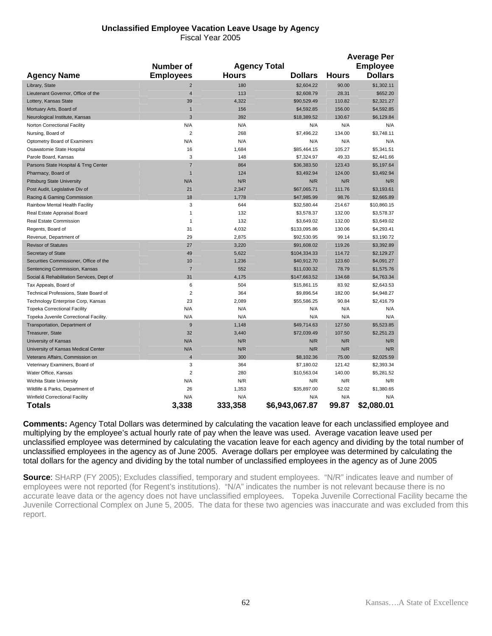#### **Unclassified Employee Vacation Leave Usage by Agency**  Fiscal Year 2005

|                                           |                         |              |                     |              | <b>Average Per</b> |
|-------------------------------------------|-------------------------|--------------|---------------------|--------------|--------------------|
|                                           | Number of               |              | <b>Agency Total</b> |              | <b>Employee</b>    |
| <b>Agency Name</b>                        | <b>Employees</b>        | <b>Hours</b> | <b>Dollars</b>      | <b>Hours</b> | <b>Dollars</b>     |
| Library, State                            | $\overline{2}$          | 180          | \$2,604.22          | 90.00        | \$1,302.11         |
| Lieutenant Governor, Office of the        | $\overline{4}$          | 113          | \$2,608.79          | 28.31        | \$652.20           |
| Lottery, Kansas State                     | 39                      | 4,322        | \$90,529.49         | 110.82       | \$2,321.27         |
| Mortuary Arts, Board of                   | $\overline{1}$          | 156          | \$4,592.85          | 156.00       | \$4,592.85         |
| Neurological Institute, Kansas            | 3                       | 392          | \$18,389.52         | 130.67       | \$6,129.84         |
| Norton Correctional Facility              | N/A                     | N/A          | N/A                 | N/A          | N/A                |
| Nursing, Board of                         | $\overline{2}$          | 268          | \$7,496.22          | 134.00       | \$3,748.11         |
| Optometry Board of Examiners              | N/A                     | N/A          | N/A                 | N/A          | N/A                |
| Osawatomie State Hospital                 | 16                      | 1,684        | \$85,464.15         | 105.27       | \$5,341.51         |
| Parole Board, Kansas                      | 3                       | 148          | \$7,324.97          | 49.33        | \$2,441.66         |
| Parsons State Hospital & Trng Center      | $\overline{7}$          | 864          | \$36,383.50         | 123.43       | \$5,197.64         |
| Pharmacy, Board of                        | $\mathbf{1}$            | 124          | \$3,492.94          | 124.00       | \$3,492.94         |
| <b>Pittsburg State University</b>         | N/A                     | N/R          | N/R                 | N/R          | N/R                |
| Post Audit, Legislative Div of            | 21                      | 2,347        | \$67,065.71         | 111.76       | \$3,193.61         |
| Racing & Gaming Commission                | 18                      | 1,778        | \$47,985.99         | 98.76        | \$2,665.89         |
| Rainbow Mental Health Facility            | 3                       | 644          | \$32,580.44         | 214.67       | \$10,860.15        |
| Real Estate Appraisal Board               | $\mathbf{1}$            | 132          | \$3,578.37          | 132.00       | \$3,578.37         |
| Real Estate Commission                    | 1                       | 132          | \$3,649.02          | 132.00       | \$3,649.02         |
| Regents, Board of                         | 31                      | 4,032        | \$133,095.86        | 130.06       | \$4,293.41         |
| Revenue, Department of                    | 29                      | 2,875        | \$92,530.95         | 99.14        | \$3,190.72         |
| <b>Revisor of Statutes</b>                | 27                      | 3,220        | \$91,608.02         | 119.26       | \$3,392.89         |
| Secretary of State                        | 49                      | 5,622        | \$104,334.33        | 114.72       | \$2,129.27         |
| Securities Commissioner, Office of the    | 10                      | 1,236        | \$40,912.70         | 123.60       | \$4,091.27         |
| Sentencing Commission, Kansas             | $\overline{7}$          | 552          | \$11,030.32         | 78.79        | \$1,575.76         |
| Social & Rehabilitation Services, Dept of | 31                      | 4,175        | \$147,663.52        | 134.68       | \$4,763.34         |
| Tax Appeals, Board of                     | 6                       | 504          | \$15,861.15         | 83.92        | \$2,643.53         |
| Technical Professions, State Board of     | $\overline{2}$          | 364          | \$9,896.54          | 182.00       | \$4,948.27         |
| Technology Enterprise Corp, Kansas        | 23                      | 2,089        | \$55,586.25         | 90.84        | \$2,416.79         |
| <b>Topeka Correctional Facility</b>       | N/A                     | N/A          | N/A                 | N/A          | N/A                |
| Topeka Juvenile Correctional Facility.    | N/A                     | N/A          | N/A                 | N/A          | N/A                |
| Transportation, Department of             | 9                       | 1,148        | \$49,714.63         | 127.50       | \$5,523.85         |
| Treasurer, State                          | 32                      | 3,440        | \$72,039.49         | 107.50       | \$2,251.23         |
| University of Kansas                      | N/A                     | N/R          | N/R                 | N/R          | N/R                |
| University of Kansas Medical Center       | N/A                     | N/R          | N/R                 | N/R          | N/R                |
| Veterans Affairs, Commission on           | $\overline{4}$          | 300          | \$8,102.36          | 75.00        | \$2,025.59         |
| Veterinary Examiners, Board of            | 3                       | 364          | \$7,180.02          | 121.42       | \$2,393.34         |
| Water Office, Kansas                      | $\overline{\mathbf{c}}$ | 280          | \$10,563.04         | 140.00       | \$5,281.52         |
| Wichita State University                  | N/A                     | N/R          | N/R                 | N/R          | N/R                |
| Wildlife & Parks, Department of           | 26                      | 1,353        | \$35,897.00         | 52.02        | \$1,380.65         |
| Winfield Correctional Facility            | N/A                     | N/A          | N/A                 | N/A          | N/A                |
| Totals                                    | 3,338                   | 333,358      | \$6,943,067.87      | 99.87        | \$2,080.01         |

**Comments:** Agency Total Dollars was determined by calculating the vacation leave for each unclassified employee and multiplying by the employee's actual hourly rate of pay when the leave was used. Average vacation leave used per unclassified employee was determined by calculating the vacation leave for each agency and dividing by the total number of unclassified employees in the agency as of June 2005. Average dollars per employee was determined by calculating the total dollars for the agency and dividing by the total number of unclassified employees in the agency as of June 2005

**Source**: SHARP (FY 2005); Excludes classified, temporary and student employees. "N/R" indicates leave and number of employees were not reported (for Regent's institutions). "N/A" indicates the number is not relevant because there is no accurate leave data or the agency does not have unclassified employees. Topeka Juvenile Correctional Facility became the Juvenile Correctional Complex on June 5, 2005. The data for these two agencies was inaccurate and was excluded from this report.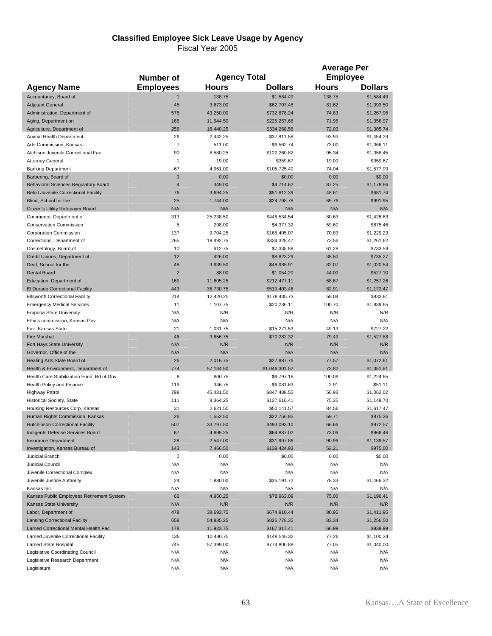# **Classified Employee Sick Leave Usage by Agency**

|                                                             |                  |                      |                             | <b>Average Per</b> |                          |  |
|-------------------------------------------------------------|------------------|----------------------|-----------------------------|--------------------|--------------------------|--|
|                                                             | <b>Number of</b> | <b>Agency Total</b>  |                             | <b>Employee</b>    |                          |  |
| <b>Agency Name</b>                                          | <b>Employees</b> | <b>Hours</b>         | <b>Dollars</b>              | <b>Hours</b>       | <b>Dollars</b>           |  |
| Accountancy, Board of                                       | 1                | 138.75               | \$1,584.49                  | 138.75             | \$1,584.49               |  |
| <b>Adjutant General</b>                                     | 45               | 3,673.00             | \$62,707.48                 | 81.62              | \$1,393.50               |  |
| Administration, Department of                               | 578              | 43,250.00            | \$732,878.24                | 74.83              | \$1,267.96               |  |
| Aging, Department on                                        | 166              | 11,944.50            | \$225,257.66                | 71.95              | \$1,356.97               |  |
| Agriculture, Department of                                  | 256              | 18,440.25            | \$334,268.58                | 72.03              | \$1,305.74               |  |
| Animal Health Department                                    | 26               | 2,442.25             | \$37,811.58                 | 93.93              | \$1,454.29               |  |
| Arts Commission, Kansas                                     | 7                | 511.00               | \$9,562.74                  | 73.00              | \$1,366.11               |  |
| Atchison Juvenile Correctional Fac                          | 90               | 8,580.25             | \$122,260.82                | 95.34              | \$1,358.45               |  |
| <b>Attorney General</b>                                     | 1                | 19.00                | \$359.67                    | 19.00              | \$359.67                 |  |
| <b>Banking Department</b>                                   | 67               | 4,961.00             | \$105,725.40                | 74.04              | \$1,577.99               |  |
| Barbering, Board of                                         | $\pmb{0}$        | 0.00                 | \$0.00                      | 0.00               | \$0.00                   |  |
| <b>Behavioral Sciences Regulatory Board</b>                 | $\overline{4}$   | 349.00               | \$4,714.62                  | 87.25              | \$1,178.66               |  |
| <b>Beloit Juvenile Correctional Facility</b>                | 76<br>25         | 3,694.25             | \$51,812.39                 | 48.61              | \$681.74                 |  |
| Blind, School for the<br>Citizen's Utility Ratepayer Board  | N/A              | 1,744.00<br>N/A      | \$24,798.78<br>N/A          | 69.76<br>N/A       | \$991.95<br>N/A          |  |
| Commerce, Department of                                     | 313              | 25,238.50            | \$446,534.54                | 80.63              | \$1,426.63               |  |
| <b>Conservation Commission</b>                              | 5                | 298.00               | \$4,377.32                  | 59.60              | \$875.46                 |  |
| <b>Corporation Commission</b>                               | 137              | 9,704.25             | \$168,405.07                | 70.83              | \$1,229.23               |  |
| Corrections, Department of                                  | 265              | 19,492.75            | \$334,328.47                | 73.56              | \$1,261.62               |  |
| Cosmetology, Board of                                       | 10               | 612.75               | \$7,335.88                  | 61.28              | \$733.59                 |  |
| Credit Unions, Department of                                | 12               | 426.00               | \$8,823.29                  | 35.50              | \$735.27                 |  |
| Deaf, School for the                                        | 48               | 3,939.50             | \$48,985.91                 | 82.07              | \$1,020.54               |  |
| <b>Dental Board</b>                                         | $\overline{2}$   | 88.00                | \$1,054.20                  | 44.00              | \$527.10                 |  |
| Education, Department of                                    | 169              | 11,605.25            | \$212,477.11                | 68.67              | \$1,257.26               |  |
| El Dorado Correctional Facility                             | 443              | 36,730.75            | \$519,403.46                | 82.91              | \$1,172.47               |  |
| <b>Ellsworth Correctional Facility</b>                      | 214              | 12,420.25            | \$178,435.73                | 58.04              | \$833.81                 |  |
| <b>Emergency Medical Services</b>                           | 11               | 1,107.75             | \$20,236.11                 | 100.70             | \$1,839.65               |  |
| <b>Emporia State University</b>                             | N/A              | N/R                  | N/R                         | N/R                | N/R                      |  |
| Ethics commission, Kansas Gov                               | N/A              | N/A                  | N/A                         | N/A                | N/A                      |  |
| Fair, Kansas State                                          | 21               | 1,031.75             | \$15,271.53                 | 49.13              | \$727.22                 |  |
| <b>Fire Marshal</b>                                         | 46               | 3,656.75             | \$70,282.32                 | 79.49              | \$1,527.88               |  |
| Fort Hays State University                                  | N/A              | N/R                  | N/R                         | N/R                | N/R                      |  |
| Governor, Office of the                                     | N/A              | N/A                  | N/A                         | N/A                | N/A                      |  |
| Healing Arts, State Board of                                | 26               | 2,016.75             | \$27,887.76                 | 77.57              | \$1,072.61               |  |
| Health & Environment, Department of                         | 774              | 57,134.50            | \$1,046,301.52              | 73.82              | \$1,351.81               |  |
| Health Care Stabilization Fund, Bd of Gov                   | 8                | 800.75               | \$9,797.18                  | 100.09             | \$1,224.65               |  |
| Health Policy and Finance                                   | 119              | 346.75               | \$6,081.63                  | 2.91               | \$51.11                  |  |
| <b>Highway Patrol</b>                                       | 798              | 45,431.50            | \$847,488.55                | 56.93              | \$1,062.02               |  |
| Historical Society, State<br>Housing Resources Corp, Kansas | 111<br>31        | 8,364.25<br>2,621.50 | \$127,616.41<br>\$50,141.57 | 75.35<br>84.56     | \$1,149.70<br>\$1,617.47 |  |
| Human Rights Commission, Kansas                             | 26               | 1,552.50             | \$22,756.85                 | 59.71              | \$875.26                 |  |
| <b>Hutchinson Correctional Facility</b>                     | 507              | 33,797.50            | \$493,093.10                | 66.66              | \$972.57                 |  |
| Indigents Defense Services Board                            | 67               | 4,895.25             | \$64,887.02                 | 73.06              | \$968.46                 |  |
| <b>Insurance Department</b>                                 | 28               | 2,547.00             | \$31,907.86                 | 90.96              | \$1,139.57               |  |
| Investigation, Kansas Bureau of                             | 143              | 7,466.50             | \$139,424.93                | 52.21              | \$975.00                 |  |
| <b>Judicial Branch</b>                                      | 0                | 0.00                 | \$0.00                      | 0.00               | \$0.00                   |  |
| Judicial Council                                            | N/A              | N/A                  | N/A                         | N/A                | N/A                      |  |
| Juvenile Correctional Complex                               | N/A              | N/A                  | N/A                         | N/A                | N/A                      |  |
| Juvenile Justice Authority                                  | 24               | 1,880.00             | \$35,191.72                 | 78.33              | \$1,466.32               |  |
| Kansas Inc                                                  | N/A              | N/A                  | N/A                         | N/A                | N/A                      |  |
| Kansas Public Employees Retirement System                   | 66               | 4,950.25             | \$78,963.09                 | 75.00              | \$1,196.41               |  |
| <b>Kansas State University</b>                              | N/A              | N/R                  | N/R                         | N/R                | N/R                      |  |
| Labor, Department of                                        | 478              | 38,693.75            | \$674,910.44                | 80.95              | \$1,411.95               |  |
| <b>Lansing Correctional Facility</b>                        | 658              | 54,835.25            | \$826,778.35                | 83.34              | \$1,256.50               |  |
| Larned Correctional Mental Health Fac                       | 178              | 11,923.75            | \$167,317.41                | 66.99              | \$939.99                 |  |
| Larned Juvenile Correctional Facility                       | 135              | 10,430.75            | \$148,546.32                | 77.26              | \$1,100.34               |  |
| Larned State Hospital                                       | 745              | 57,399.00            | \$774,800.88                | 77.05              | \$1,040.00               |  |
| Legislative Coordinating Council                            | N/A              | N/A                  | N/A                         | N/A                | N/A                      |  |
| Legislative Research Department                             | N/A              | N/A                  | N/A                         | N/A                | N/A                      |  |
| Legislature                                                 | N/A              | N/A                  | N/A                         | N/A                | N/A                      |  |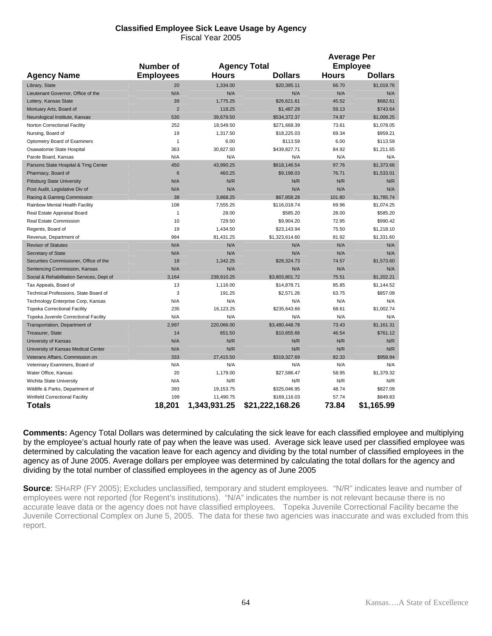#### **Classified Employee Sick Leave Usage by Agency**  Fiscal Year 2005

|                                           |                  |              |                     | <b>Average Per</b> |                 |  |
|-------------------------------------------|------------------|--------------|---------------------|--------------------|-----------------|--|
|                                           | <b>Number of</b> |              | <b>Agency Total</b> |                    | <b>Employee</b> |  |
| <b>Agency Name</b>                        | <b>Employees</b> | <b>Hours</b> | <b>Dollars</b>      | <b>Hours</b>       | <b>Dollars</b>  |  |
| Library, State                            | 20               | 1.334.00     | \$20.395.11         | 66.70              | \$1,019.76      |  |
| Lieutenant Governor, Office of the        | N/A              | N/A          | N/A                 | N/A                | N/A             |  |
| Lottery, Kansas State                     | 39               | 1,775.25     | \$26,621.61         | 45.52              | \$682.61        |  |
| Mortuary Arts, Board of                   | $\overline{2}$   | 118.25       | \$1,487.28          | 59.13              | \$743.64        |  |
| Neurological Institute, Kansas            | 530              | 39.679.50    | \$534,372.37        | 74.87              | \$1,008.25      |  |
| Norton Correctional Facility              | 252              | 18,549.50    | \$271,668.39        | 73.61              | \$1,078.05      |  |
| Nursing, Board of                         | 19               | 1,317.50     | \$18,225.03         | 69.34              | \$959.21        |  |
| Optometry Board of Examiners              | $\mathbf{1}$     | 6.00         | \$113.59            | 6.00               | \$113.59        |  |
| Osawatomie State Hospital                 | 363              | 30,827.50    | \$439,827.71        | 84.92              | \$1,211.65      |  |
| Parole Board, Kansas                      | N/A              | N/A          | N/A                 | N/A                | N/A             |  |
| Parsons State Hospital & Trng Center      | 450              | 43,990.25    | \$618,146.54        | 97.76              | \$1,373.66      |  |
| Pharmacy, Board of                        | $6\phantom{1}$   | 460.25       | \$9,198.03          | 76.71              | \$1,533.01      |  |
| <b>Pittsburg State University</b>         | N/A              | N/R          | N/R                 | N/R                | N/R             |  |
| Post Audit, Legislative Div of            | N/A              | N/A          | N/A                 | N/A                | N/A             |  |
| Racing & Gaming Commission                | 38               | 3,868.25     | \$67,858.28         | 101.80             | \$1,785.74      |  |
| Rainbow Mental Health Facility            | 108              | 7,555.25     | \$116,018.74        | 69.96              | \$1,074.25      |  |
| Real Estate Appraisal Board               | $\mathbf{1}$     | 28.00        | \$585.20            | 28.00              | \$585.20        |  |
| Real Estate Commission                    | 10               | 729.50       | \$9,904.20          | 72.95              | \$990.42        |  |
| Regents, Board of                         | 19               | 1,434.50     | \$23,143.94         | 75.50              | \$1,218.10      |  |
| Revenue, Department of                    | 994              | 81,431.25    | \$1,323,614.60      | 81.92              | \$1,331.60      |  |
| <b>Revisor of Statutes</b>                | N/A              | N/A          | N/A                 | N/A                | N/A             |  |
| Secretary of State                        | N/A              | N/A          | N/A                 | N/A                | N/A             |  |
| Securities Commissioner, Office of the    | 18               | 1,342.25     | \$28,324.73         | 74.57              | \$1,573.60      |  |
| Sentencing Commission, Kansas             | N/A              | N/A          | N/A                 | N/A                | N/A             |  |
| Social & Rehabilitation Services, Dept of | 3,164            | 238,910.25   | \$3,803,801.72      | 75.51              | \$1,202.21      |  |
| Tax Appeals, Board of                     | 13               | 1,116.00     | \$14,878.71         | 85.85              | \$1,144.52      |  |
| Technical Professions, State Board of     | 3                | 191.25       | \$2,571.26          | 63.75              | \$857.09        |  |
| Technology Enterprise Corp, Kansas        | N/A              | N/A          | N/A                 | N/A                | N/A             |  |
| <b>Topeka Correctional Facility</b>       | 235              | 16,123.25    | \$235,643.66        | 68.61              | \$1,002.74      |  |
| Topeka Juvenile Correctional Facility     | N/A              | N/A          | N/A                 | N/A                | N/A             |  |
| Transportation, Department of             | 2,997            | 220,066.00   | \$3,480,448.78      | 73.43              | \$1,161.31      |  |
| Treasurer, State                          | 14               | 651.50       | \$10,655.66         | 46.54              | \$761.12        |  |
| University of Kansas                      | N/A              | N/R          | N/R                 | N/R                | N/R             |  |
| University of Kansas Medical Center       | N/A              | N/R          | N/R                 | N/R                | N/R             |  |
| Veterans Affairs, Commission on           | 333              | 27,415.50    | \$319,327.69        | 82.33              | \$958.94        |  |
| Veterinary Examiners, Board of            | N/A              | N/A          | N/A                 | N/A                | N/A             |  |
| Water Office, Kansas                      | 20               | 1,179.00     | \$27,586.47         | 58.95              | \$1,379.32      |  |
| Wichita State University                  | N/A              | N/R          | N/R                 | N/R                | N/R             |  |
| Wildlife & Parks, Department of           | 393              | 19,153.75    | \$325,046.95        | 48.74              | \$827.09        |  |
| Winfield Correctional Facility            | 199              | 11,490.75    | \$169,116.03        | 57.74              | \$849.83        |  |
| Totals                                    | 18,201           | 1,343,931.25 | \$21,222,168.26     | 73.84              | \$1,165.99      |  |

**Comments:** Agency Total Dollars was determined by calculating the sick leave for each classified employee and multiplying by the employee's actual hourly rate of pay when the leave was used. Average sick leave used per classified employee was determined by calculating the vacation leave for each agency and dividing by the total number of classified employees in the agency as of June 2005. Average dollars per employee was determined by calculating the total dollars for the agency and dividing by the total number of classified employees in the agency as of June 2005

**Source**: SHARP (FY 2005); Excludes unclassified, temporary and student employees. "N/R" indicates leave and number of employees were not reported (for Regent's institutions). "N/A" indicates the number is not relevant because there is no accurate leave data or the agency does not have classified employees. Topeka Juvenile Correctional Facility became the Juvenile Correctional Complex on June 5, 2005. The data for these two agencies was inaccurate and was excluded from this report.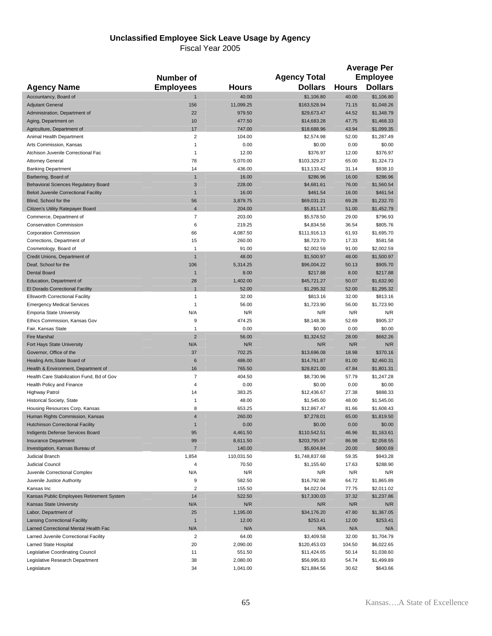#### **Unclassified Employee Sick Leave Usage by Agency**

|                                                                     | Number of          |                  | <b>Agency Total</b>        |                | <b>Average Per</b><br><b>Employee</b> |
|---------------------------------------------------------------------|--------------------|------------------|----------------------------|----------------|---------------------------------------|
| <b>Agency Name</b>                                                  | <b>Employees</b>   | Hours            | <b>Dollars</b>             | <b>Hours</b>   | <b>Dollars</b>                        |
| Accountancy, Board of                                               | $\overline{1}$     | 40.00            | \$1,106.80                 | 40.00          | \$1,106.80                            |
| <b>Adjutant General</b>                                             | 156                | 11,099.25        | \$163,528.94               | 71.15          | \$1,048.26                            |
| Administration, Department of                                       | 22                 | 979.50           | \$29,673.47                | 44.52          | \$1,348.79                            |
| Aging, Department on                                                | 10                 | 477.50           | \$14,683.28                | 47.75          | \$1,468.33                            |
| Agriculture, Department of                                          | 17                 | 747.00           | \$18,688.96                | 43.94          | \$1,099.35                            |
| Animal Health Department                                            | $\overline{2}$     | 104.00           | \$2,574.98                 | 52.00          | \$1,287.49                            |
| Arts Commission, Kansas                                             | $\mathbf{1}$       | 0.00             | \$0.00                     | 0.00           | \$0.00                                |
| Atchison Juvenile Correctional Fac                                  | $\mathbf{1}$       | 12.00            | \$376.97                   | 12.00          | \$376.97                              |
| <b>Attorney General</b>                                             | 78                 | 5,070.00         | \$103,329.27               | 65.00          | \$1,324.73                            |
| <b>Banking Department</b>                                           | 14<br>$\mathbf{1}$ | 436.00<br>16.00  | \$13,133.42                | 31.14          | \$938.10                              |
| Barbering, Board of<br><b>Behavioral Sciences Regulatory Board</b>  | 3                  | 228.00           | \$286.96<br>\$4,681.61     | 16.00<br>76.00 | \$286.96<br>\$1,560.54                |
| <b>Beloit Juvenile Correctional Facility</b>                        | $\mathbf{1}$       | 16.00            | \$461.54                   | 16.00          | \$461.54                              |
| Blind, School for the                                               | 56                 | 3,879.75         | \$69,031.21                | 69.28          | \$1,232.70                            |
| Citizen's Utility Ratepayer Board                                   | $\overline{4}$     | 204.00           | \$5,811.17                 | 51.00          | \$1,452.79                            |
| Commerce, Department of                                             | 7                  | 203.00           | \$5,578.50                 | 29.00          | \$796.93                              |
| <b>Conservation Commission</b>                                      | 6                  | 219.25           | \$4,834.56                 | 36.54          | \$805.76                              |
| <b>Corporation Commission</b>                                       | 66                 | 4,087.50         | \$111,916.13               | 61.93          | \$1,695.70                            |
| Corrections, Department of                                          | 15                 | 260.00           | \$8,723.70                 | 17.33          | \$581.58                              |
| Cosmetology, Board of                                               | 1                  | 91.00            | \$2,002.59                 | 91.00          | \$2,002.59                            |
| Credit Unions, Department of                                        | $\mathbf{1}$       | 48.00            | \$1,500.97                 | 48.00          | \$1,500.97                            |
| Deaf, School for the                                                | 106                | 5,314.25         | \$96,004.22                | 50.13          | \$905.70                              |
| <b>Dental Board</b>                                                 | $\mathbf{1}$       | 8.00             | \$217.88                   | 8.00           | \$217.88                              |
| Education, Department of                                            | 28                 | 1,402.00         | \$45,721.27                | 50.07          | \$1,632.90                            |
| El Dorado Correctional Facility                                     | $\overline{1}$     | 52.00            | \$1,295.32                 | 52.00          | \$1,295.32                            |
| <b>Ellsworth Correctional Facility</b>                              | 1                  | 32.00            | \$813.16                   | 32.00          | \$813.16                              |
| <b>Emergency Medical Services</b>                                   | $\mathbf{1}$       | 56.00            | \$1,723.90                 | 56.00          | \$1,723.90                            |
| <b>Emporia State University</b>                                     | N/A                | N/R              | N/R                        | N/R            | N/R                                   |
| Ethics Commission, Kansas Gov                                       | 9                  | 474.25           | \$8,148.36                 | 52.69          | \$905.37                              |
| Fair, Kansas State                                                  | $\mathbf{1}$       | 0.00             | \$0.00                     | 0.00           | \$0.00                                |
| <b>Fire Marshal</b>                                                 | $\overline{2}$     | 56.00            | \$1,324.52                 | 28.00          | \$662.26                              |
| Fort Hays State University                                          | N/A                | N/R              | N/R                        | N/R            | N/R                                   |
| Governor, Office of the                                             | 37<br>6            | 702.25           | \$13,696.08                | 18.98          | \$370.16                              |
| Healing Arts, State Board of<br>Health & Environment, Department of | 16                 | 486.00<br>765.50 | \$14,761.87<br>\$28,821.00 | 81.00<br>47.84 | \$2,460.31<br>\$1,801.31              |
| Health Care Stabilization Fund, Bd of Gov                           | 7                  | 404.50           | \$8,730.96                 | 57.79          | \$1,247.28                            |
| Health Policy and Finance                                           | 4                  | 0.00             | \$0.00                     | 0.00           | \$0.00                                |
| <b>Highway Patrol</b>                                               | 14                 | 383.25           | \$12,436.67                | 27.38          | \$888.33                              |
| Historical Society, State                                           | 1                  | 48.00            | \$1,545.00                 | 48.00          | \$1,545.00                            |
| Housing Resources Corp, Kansas                                      | 8                  | 653.25           | \$12,867.47                | 81.66          | \$1,608.43                            |
| Human Rights Commission, Kansas                                     | 4                  | 260.00           | \$7,278.01                 | 65.00          | \$1,819.50                            |
| <b>Hutchinson Correctional Facility</b>                             | $\mathbf{1}$       | 0.00             | \$0.00                     | 0.00           | \$0.00                                |
| Indigents Defense Services Board                                    | 95                 | 4,461.50         | \$110,542.51               | 46.96          | \$1,163.61                            |
| <b>Insurance Department</b>                                         | 99                 | 8,611.50         | \$203,795.97               | 86.98          | \$2,058.55                            |
| Investigation, Kansas Bureau of                                     | $\overline{7}$     | 140.00           | \$5,604.84                 | 20.00          | \$800.69                              |
| Judicial Branch                                                     | 1,854              | 110,031.50       | \$1,748,837.68             | 59.35          | \$943.28                              |
| <b>Judicial Council</b>                                             | 4                  | 70.50            | \$1,155.60                 | 17.63          | \$288.90                              |
| Juvenile Correctional Complex                                       | N/A                | N/R              | N/R                        | N/R            | N/R                                   |
| Juvenile Justice Authority                                          | 9                  | 582.50           | \$16,792.98                | 64.72          | \$1,865.89                            |
| Kansas Inc                                                          | $\overline{2}$     | 155.50           | \$4,022.04                 | 77.75          | \$2,011.02                            |
| Kansas Public Employees Retirement System                           | 14                 | 522.50           | \$17,330.03                | 37.32          | \$1,237.86                            |
| Kansas State University<br>Labor, Department of                     | N/A<br>25          | N/R<br>1,195.00  | N/R<br>\$34,176.20         | N/R<br>47.80   | N/R<br>\$1,367.05                     |
| <b>Lansing Correctional Facility</b>                                | $\mathbf{1}$       | 12.00            | \$253.41                   | 12.00          | \$253.41                              |
| Larned Correctional Mental Health Fac                               | N/A                | N/A              | N/A                        | N/A            | N/A                                   |
| Larned Juvenile Correctional Facility                               | 2                  | 64.00            | \$3,409.58                 | 32.00          | \$1,704.79                            |
| Larned State Hospital                                               | 20                 | 2,090.00         | \$120,453.03               | 104.50         | \$6,022.65                            |
| Legislative Coordinating Council                                    | 11                 | 551.50           | \$11,424.65                | 50.14          | \$1,038.60                            |
| Legislative Research Department                                     | 38                 | 2,080.00         | \$56,995.83                | 54.74          | \$1,499.89                            |
| Legislature                                                         | 34                 | 1,041.00         | \$21,884.56                | 30.62          | \$643.66                              |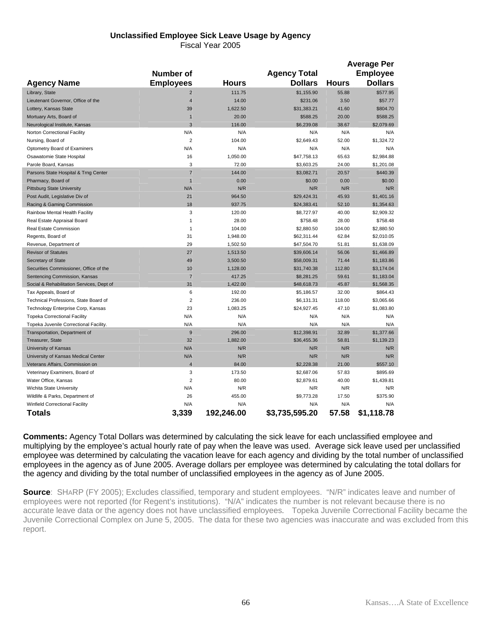# **Unclassified Employee Sick Leave Usage by Agency**

Fiscal Year 2005

|                                           |                         |              |                     |              | <b>Average Per</b> |
|-------------------------------------------|-------------------------|--------------|---------------------|--------------|--------------------|
|                                           | <b>Number of</b>        |              | <b>Agency Total</b> |              | <b>Employee</b>    |
| <b>Agency Name</b>                        | <b>Employees</b>        | <b>Hours</b> | <b>Dollars</b>      | <b>Hours</b> | <b>Dollars</b>     |
| Library, State                            | $\overline{2}$          | 111.75       | \$1,155.90          | 55.88        | \$577.95           |
| Lieutenant Governor, Office of the        | $\overline{4}$          | 14.00        | \$231.06            | 3.50         | \$57.77            |
| Lottery, Kansas State                     | 39                      | 1,622.50     | \$31,383.21         | 41.60        | \$804.70           |
| Mortuary Arts, Board of                   | $\mathbf{1}$            | 20.00        | \$588.25            | 20.00        | \$588.25           |
| Neurological Institute, Kansas            | 3                       | 116.00       | \$6,239.08          | 38.67        | \$2,079.69         |
| Norton Correctional Facility              | N/A                     | N/A          | N/A                 | N/A          | N/A                |
| Nursing, Board of                         | $\overline{2}$          | 104.00       | \$2,649.43          | 52.00        | \$1,324.72         |
| Optometry Board of Examiners              | N/A                     | N/A          | N/A                 | N/A          | N/A                |
| Osawatomie State Hospital                 | 16                      | 1,050.00     | \$47,758.13         | 65.63        | \$2,984.88         |
| Parole Board, Kansas                      | 3                       | 72.00        | \$3,603.25          | 24.00        | \$1,201.08         |
| Parsons State Hospital & Trng Center      | $\overline{7}$          | 144.00       | \$3,082.71          | 20.57        | \$440.39           |
| Pharmacy, Board of                        | $\mathbf{1}$            | 0.00         | \$0.00              | 0.00         | \$0.00             |
| <b>Pittsburg State University</b>         | N/A                     | N/R          | N/R                 | N/R          | N/R                |
| Post Audit, Legislative Div of            | 21                      | 964.50       | \$29,424.31         | 45.93        | \$1,401.16         |
| Racing & Gaming Commission                | 18                      | 937.75       | \$24,383.41         | 52.10        | \$1,354.63         |
| Rainbow Mental Health Facility            | 3                       | 120.00       | \$8,727.97          | 40.00        | \$2,909.32         |
| Real Estate Appraisal Board               | 1                       | 28.00        | \$758.48            | 28.00        | \$758.48           |
| Real Estate Commission                    | $\mathbf{1}$            | 104.00       | \$2,880.50          | 104.00       | \$2,880.50         |
| Regents, Board of                         | 31                      | 1,948.00     | \$62,311.44         | 62.84        | \$2,010.05         |
| Revenue, Department of                    | 29                      | 1,502.50     | \$47,504.70         | 51.81        | \$1,638.09         |
| <b>Revisor of Statutes</b>                | 27                      | 1,513.50     | \$39,606.14         | 56.06        | \$1,466.89         |
| Secretary of State                        | 49                      | 3,500.50     | \$58,009.31         | 71.44        | \$1,183.86         |
| Securities Commissioner, Office of the    | 10                      | 1,128.00     | \$31,740.38         | 112.80       | \$3,174.04         |
| Sentencing Commission, Kansas             | $\overline{7}$          | 417.25       | \$8,281.25          | 59.61        | \$1,183.04         |
| Social & Rehabilitation Services, Dept of | 31                      | 1,422.00     | \$48,618.73         | 45.87        | \$1,568.35         |
| Tax Appeals, Board of                     | 6                       | 192.00       | \$5,186.57          | 32.00        | \$864.43           |
| Technical Professions, State Board of     | $\overline{2}$          | 236.00       | \$6,131.31          | 118.00       | \$3,065.66         |
| Technology Enterprise Corp, Kansas        | 23                      | 1,083.25     | \$24,927.45         | 47.10        | \$1,083.80         |
| <b>Topeka Correctional Facility</b>       | N/A                     | N/A          | N/A                 | N/A          | N/A                |
| Topeka Juvenile Correctional Facility.    | N/A                     | N/A          | N/A                 | N/A          | N/A                |
| Transportation, Department of             | $9$                     | 296.00       | \$12,398.91         | 32.89        | \$1,377.66         |
| Treasurer, State                          | 32                      | 1,882.00     | \$36,455.36         | 58.81        | \$1,139.23         |
| University of Kansas                      | N/A                     | N/R          | N/R                 | N/R          | N/R                |
| University of Kansas Medical Center       | N/A                     | N/R          | N/R                 | N/R          | N/R                |
| Veterans Affairs, Commission on           | $\overline{4}$          | 84.00        | \$2,228.38          | 21.00        | \$557.10           |
| Veterinary Examiners, Board of            | 3                       | 173.50       | \$2,687.06          | 57.83        | \$895.69           |
| Water Office, Kansas                      | $\overline{\mathbf{c}}$ | 80.00        | \$2,879.61          | 40.00        | \$1,439.81         |
| Wichita State University                  | N/A                     | N/R          | N/R                 | N/R          | N/R                |
| Wildlife & Parks, Department of           | 26                      | 455.00       | \$9,773.28          | 17.50        | \$375.90           |
| Winfield Correctional Facility            | N/A                     | N/A          | N/A                 | N/A          | N/A                |
| Totals                                    | 3,339                   | 192,246.00   | \$3,735,595.20      | 57.58        | \$1,118.78         |

**Comments:** Agency Total Dollars was determined by calculating the sick leave for each unclassified employee and multiplying by the employee's actual hourly rate of pay when the leave was used. Average sick leave used per unclassified employee was determined by calculating the vacation leave for each agency and dividing by the total number of unclassified employees in the agency as of June 2005. Average dollars per employee was determined by calculating the total dollars for the agency and dividing by the total number of unclassified employees in the agency as of June 2005.

**Source**: SHARP (FY 2005); Excludes classified, temporary and student employees. "N/R" indicates leave and number of employees were not reported (for Regent's institutions). "N/A" indicates the number is not relevant because there is no accurate leave data or the agency does not have unclassified employees. Topeka Juvenile Correctional Facility became the Juvenile Correctional Complex on June 5, 2005. The data for these two agencies was inaccurate and was excluded from this report.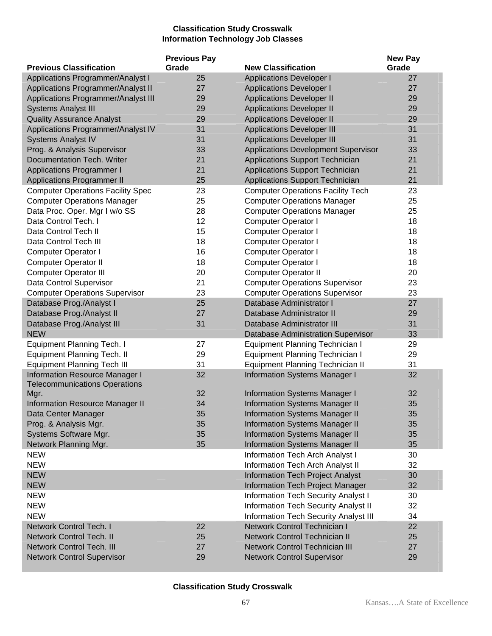## **Classification Study Crosswalk Information Technology Job Classes**

|                                              | <b>Previous Pay</b> |                                            | <b>New Pay</b> |
|----------------------------------------------|---------------------|--------------------------------------------|----------------|
| <b>Previous Classification</b>               | Grade               | <b>New Classification</b>                  | Grade          |
| Applications Programmer/Analyst I            | 25                  | <b>Applications Developer I</b>            | 27             |
| Applications Programmer/Analyst II           | 27                  | <b>Applications Developer I</b>            | 27             |
| Applications Programmer/Analyst III          | 29                  | <b>Applications Developer II</b>           | 29             |
| <b>Systems Analyst III</b>                   | 29                  | <b>Applications Developer II</b>           | 29             |
| <b>Quality Assurance Analyst</b>             | 29                  | <b>Applications Developer II</b>           | 29             |
| Applications Programmer/Analyst IV           | 31                  | <b>Applications Developer III</b>          | 31             |
| <b>Systems Analyst IV</b>                    | 31                  | <b>Applications Developer III</b>          | 31             |
| Prog. & Analysis Supervisor                  | 33                  | <b>Applications Development Supervisor</b> | 33             |
| Documentation Tech. Writer                   | 21                  | Applications Support Technician            | 21             |
| <b>Applications Programmer I</b>             | 21                  | Applications Support Technician            | 21             |
| <b>Applications Programmer II</b>            | 25                  | <b>Applications Support Technician</b>     | 21             |
| <b>Computer Operations Facility Spec</b>     | 23                  | <b>Computer Operations Facility Tech</b>   | 23             |
| <b>Computer Operations Manager</b>           | 25                  | <b>Computer Operations Manager</b>         | 25             |
| Data Proc. Oper. Mgr I w/o SS                | 28                  | <b>Computer Operations Manager</b>         | 25             |
| Data Control Tech. I                         | 12                  | <b>Computer Operator I</b>                 | 18             |
| Data Control Tech II                         | 15                  | <b>Computer Operator I</b>                 | 18             |
| Data Control Tech III                        | 18                  | <b>Computer Operator I</b>                 | 18             |
| <b>Computer Operator I</b>                   | 16                  | <b>Computer Operator I</b>                 | 18             |
| <b>Computer Operator II</b>                  | 18                  | Computer Operator I                        | 18             |
| <b>Computer Operator III</b>                 | 20                  | <b>Computer Operator II</b>                | 20             |
| Data Control Supervisor                      | 21                  | <b>Computer Operations Supervisor</b>      | 23             |
| <b>Computer Operations Supervisor</b>        | 23                  | <b>Computer Operations Supervisor</b>      | 23             |
| Database Prog./Analyst I                     | 25                  | Database Administrator I                   | 27             |
| Database Prog./Analyst II                    | 27                  | Database Administrator II                  | 29             |
| Database Prog./Analyst III                   | 31                  | Database Administrator III                 | 31             |
| <b>NEW</b>                                   |                     | Database Administration Supervisor         | 33             |
| <b>Equipment Planning Tech. I</b>            | 27                  | <b>Equipment Planning Technician I</b>     | 29             |
| <b>Equipment Planning Tech. II</b>           | 29                  | <b>Equipment Planning Technician I</b>     | 29             |
| <b>Equipment Planning Tech III</b>           | 31                  | <b>Equipment Planning Technician II</b>    | 31             |
| <b>Information Resource Manager I</b>        | 32                  | <b>Information Systems Manager I</b>       | 32             |
| <b>Telecommunications Operations</b><br>Mgr. | 32                  | <b>Information Systems Manager I</b>       | 32             |
| <b>Information Resource Manager II</b>       | 34                  | <b>Information Systems Manager II</b>      | 35             |
| Data Center Manager                          | 35                  | <b>Information Systems Manager II</b>      | 35             |
| Prog. & Analysis Mgr.                        | 35                  | <b>Information Systems Manager II</b>      | 35             |
| Systems Software Mgr.                        | 35                  | <b>Information Systems Manager II</b>      | 35             |
| Network Planning Mgr.                        | 35                  | <b>Information Systems Manager II</b>      | 35             |
| <b>NEW</b>                                   |                     | Information Tech Arch Analyst I            | 30             |
| <b>NEW</b>                                   |                     | Information Tech Arch Analyst II           | 32             |
| <b>NEW</b>                                   |                     | Information Tech Project Analyst           | 30             |
| <b>NEW</b>                                   |                     | Information Tech Project Manager           | 32             |
| <b>NEW</b>                                   |                     | <b>Information Tech Security Analyst I</b> | 30             |
| <b>NEW</b>                                   |                     | Information Tech Security Analyst II       | 32             |
| <b>NEW</b>                                   |                     | Information Tech Security Analyst III      | 34             |
| Network Control Tech. I                      | 22                  | Network Control Technician I               | 22             |
| <b>Network Control Tech. II</b>              | 25                  | Network Control Technician II              | 25             |
| <b>Network Control Tech. III</b>             | 27                  | <b>Network Control Technician III</b>      | 27             |
| <b>Network Control Supervisor</b>            | 29                  | <b>Network Control Supervisor</b>          | 29             |
|                                              |                     |                                            |                |

### **Classification Study Crosswalk**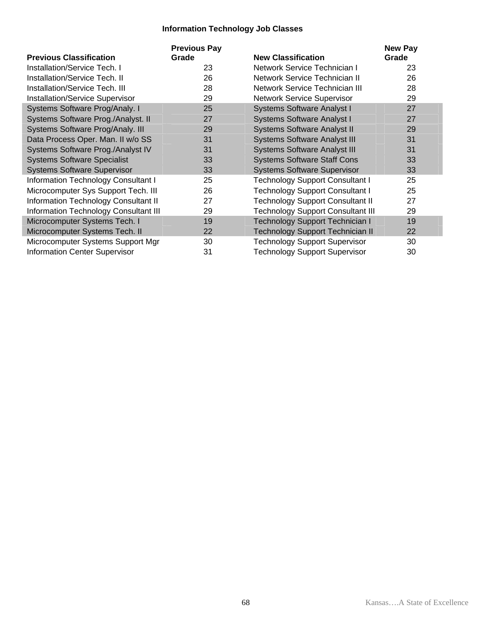### **Information Technology Job Classes**

| <b>Previous Classification</b>               | <b>Previous Pay</b><br>Grade | <b>New Classification</b>                | New Pay<br>Grade |
|----------------------------------------------|------------------------------|------------------------------------------|------------------|
| <b>Installation/Service Tech. I</b>          | 23                           | Network Service Technician I             | 23               |
| <b>Installation/Service Tech. II</b>         | 26                           | Network Service Technician II            | 26               |
| <b>Installation/Service Tech. III</b>        | 28                           | Network Service Technician III           | 28               |
| <b>Installation/Service Supervisor</b>       | 29                           | <b>Network Service Supervisor</b>        | 29               |
| Systems Software Prog/Analy. I               | 25                           | <b>Systems Software Analyst I</b>        | 27               |
| Systems Software Prog./Analyst. II           | 27                           | <b>Systems Software Analyst I</b>        | 27               |
| Systems Software Prog/Analy. III             | 29                           | <b>Systems Software Analyst II</b>       | 29               |
| Data Process Oper. Man. II w/o SS            | 31                           | <b>Systems Software Analyst III</b>      | 31               |
| Systems Software Prog./Analyst IV            | 31                           | <b>Systems Software Analyst III</b>      | 31               |
| <b>Systems Software Specialist</b>           | 33                           | <b>Systems Software Staff Cons</b>       | 33               |
| <b>Systems Software Supervisor</b>           | 33                           | <b>Systems Software Supervisor</b>       | 33               |
| <b>Information Technology Consultant I</b>   | 25                           | <b>Technology Support Consultant I</b>   | 25               |
| Microcomputer Sys Support Tech. III          | 26                           | <b>Technology Support Consultant I</b>   | 25               |
| Information Technology Consultant II         | 27                           | <b>Technology Support Consultant II</b>  | 27               |
| <b>Information Technology Consultant III</b> | 29                           | <b>Technology Support Consultant III</b> | 29               |
| Microcomputer Systems Tech. I                | 19                           | <b>Technology Support Technician I</b>   | 19               |
| Microcomputer Systems Tech. II               | 22                           | <b>Technology Support Technician II</b>  | 22               |
| Microcomputer Systems Support Mgr            | 30                           | <b>Technology Support Supervisor</b>     | 30               |
| <b>Information Center Supervisor</b>         | 31                           | <b>Technology Support Supervisor</b>     | 30               |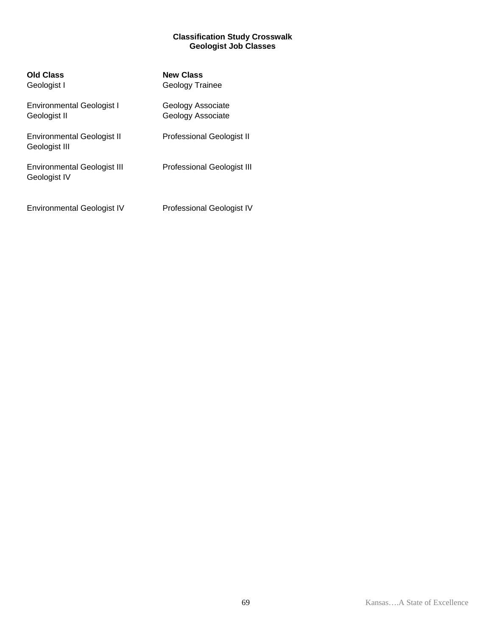#### **Classification Study Crosswalk Geologist Job Classes**

| <b>Old Class</b><br>Geologist I                    | <b>New Class</b><br>Geology Trainee    |
|----------------------------------------------------|----------------------------------------|
| Environmental Geologist I<br>Geologist II          | Geology Associate<br>Geology Associate |
| <b>Environmental Geologist II</b><br>Geologist III | <b>Professional Geologist II</b>       |
| <b>Environmental Geologist III</b><br>Geologist IV | <b>Professional Geologist III</b>      |
| <b>Environmental Geologist IV</b>                  | Professional Geologist IV              |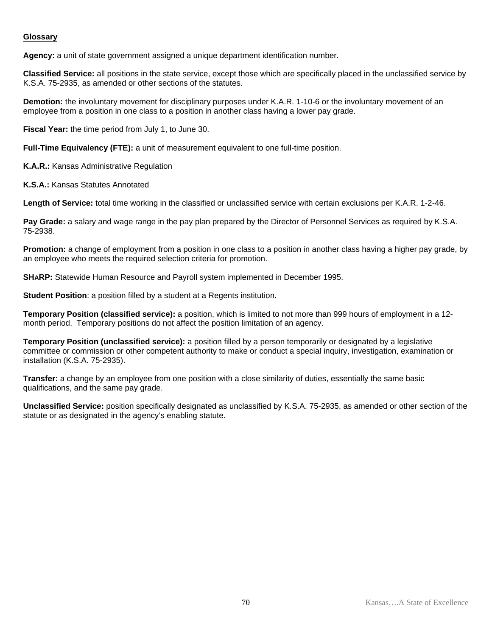#### **Glossary**

**Agency:** a unit of state government assigned a unique department identification number.

**Classified Service:** all positions in the state service, except those which are specifically placed in the unclassified service by K.S.A. 75-2935, as amended or other sections of the statutes.

**Demotion:** the involuntary movement for disciplinary purposes under K.A.R. 1-10-6 or the involuntary movement of an employee from a position in one class to a position in another class having a lower pay grade.

**Fiscal Year:** the time period from July 1, to June 30.

**Full-Time Equivalency (FTE):** a unit of measurement equivalent to one full-time position.

**K.A.R.:** Kansas Administrative Regulation

**K.S.A.:** Kansas Statutes Annotated

**Length of Service:** total time working in the classified or unclassified service with certain exclusions per K.A.R. 1-2-46.

**Pay Grade:** a salary and wage range in the pay plan prepared by the Director of Personnel Services as required by K.S.A. 75-2938.

**Promotion:** a change of employment from a position in one class to a position in another class having a higher pay grade, by an employee who meets the required selection criteria for promotion.

**SHARP:** Statewide Human Resource and Payroll system implemented in December 1995.

**Student Position**: a position filled by a student at a Regents institution.

**Temporary Position (classified service):** a position, which is limited to not more than 999 hours of employment in a 12 month period. Temporary positions do not affect the position limitation of an agency.

**Temporary Position (unclassified service):** a position filled by a person temporarily or designated by a legislative committee or commission or other competent authority to make or conduct a special inquiry, investigation, examination or installation (K.S.A. 75-2935).

**Transfer:** a change by an employee from one position with a close similarity of duties, essentially the same basic qualifications, and the same pay grade.

**Unclassified Service:** position specifically designated as unclassified by K.S.A. 75-2935, as amended or other section of the statute or as designated in the agency's enabling statute.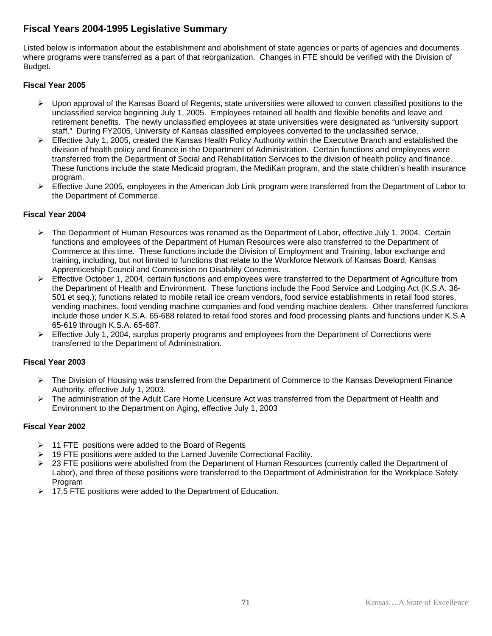## **Fiscal Years 2004-1995 Legislative Summary**

Listed below is information about the establishment and abolishment of state agencies or parts of agencies and documents where programs were transferred as a part of that reorganization. Changes in FTE should be verified with the Division of Budget.

### **Fiscal Year 2005**

- $\triangleright$  Upon approval of the Kansas Board of Regents, state universities were allowed to convert classified positions to the unclassified service beginning July 1, 2005. Employees retained all health and flexible benefits and leave and retirement benefits. The newly unclassified employees at state universities were designated as "university support staff." During FY2005, University of Kansas classified employees converted to the unclassified service.
- $\triangleright$  Effective July 1, 2005, created the Kansas Health Policy Authority within the Executive Branch and established the division of health policy and finance in the Department of Administration. Certain functions and employees were transferred from the Department of Social and Rehabilitation Services to the division of health policy and finance. These functions include the state Medicaid program, the MediKan program, and the state children's health insurance program.
- ¾ Effective June 2005, employees in the American Job Link program were transferred from the Department of Labor to the Department of Commerce.

### **Fiscal Year 2004**

- ¾ The Department of Human Resources was renamed as the Department of Labor, effective July 1, 2004. Certain functions and employees of the Department of Human Resources were also transferred to the Department of Commerce at this time. These functions include the Division of Employment and Training, labor exchange and training, including, but not limited to functions that relate to the Workforce Network of Kansas Board, Kansas Apprenticeship Council and Commission on Disability Concerns.
- ¾ Effective October 1, 2004, certain functions and employees were transferred to the Department of Agriculture from the Department of Health and Environment. These functions include the Food Service and Lodging Act (K.S.A. 36- 501 et seq.); functions related to mobile retail ice cream vendors, food service establishments in retail food stores, vending machines, food vending machine companies and food vending machine dealers. Other transferred functions include those under K.S.A. 65-688 related to retail food stores and food processing plants and functions under K.S.A 65-619 through K.S.A. 65-687.
- $\triangleright$  Effective July 1, 2004, surplus property programs and employees from the Department of Corrections were transferred to the Department of Administration.

### **Fiscal Year 2003**

- ¾ The Division of Housing was transferred from the Department of Commerce to the Kansas Development Finance Authority, effective July 1, 2003.
- ¾ The administration of the Adult Care Home Licensure Act was transferred from the Department of Health and Environment to the Department on Aging, effective July 1, 2003

- $\geq$  11 FTE positions were added to the Board of Regents
- 19 FTE positions were added to the Larned Juvenile Correctional Facility.
- ¾ 23 FTE positions were abolished from the Department of Human Resources (currently called the Department of Labor), and three of these positions were transferred to the Department of Administration for the Workplace Safety Program
- $\geq$  17.5 FTE positions were added to the Department of Education.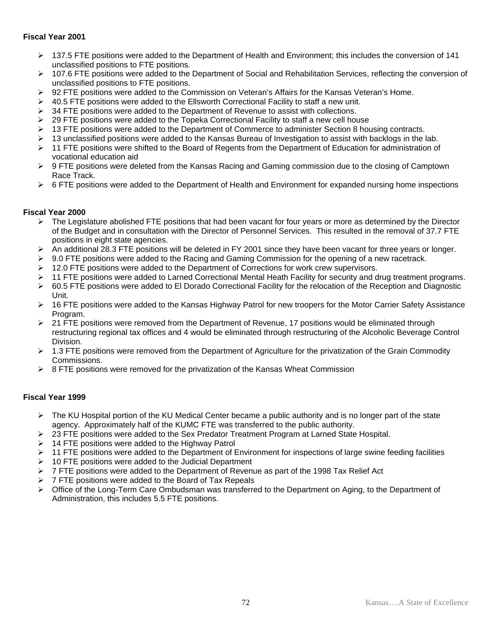### **Fiscal Year 2001**

- ¾ 137.5 FTE positions were added to the Department of Health and Environment; this includes the conversion of 141 unclassified positions to FTE positions.
- ¾ 107.6 FTE positions were added to the Department of Social and Rehabilitation Services, reflecting the conversion of unclassified positions to FTE positions.
- ¾ 92 FTE positions were added to the Commission on Veteran's Affairs for the Kansas Veteran's Home.
- $\geq$  40.5 FTE positions were added to the Ellsworth Correctional Facility to staff a new unit.
- $\triangleright$  34 FTE positions were added to the Department of Revenue to assist with collections.
- $\geq$  29 FTE positions were added to the Topeka Correctional Facility to staff a new cell house
- $\geq 13$  FTE positions were added to the Department of Commerce to administer Section 8 housing contracts.
- $\triangleright$  13 unclassified positions were added to the Kansas Bureau of Investigation to assist with backlogs in the lab.
- $\triangleright$  11 FTE positions were shifted to the Board of Regents from the Department of Education for administration of vocational education aid
- ¾ 9 FTE positions were deleted from the Kansas Racing and Gaming commission due to the closing of Camptown Race Track.
- $\triangleright$  6 FTE positions were added to the Department of Health and Environment for expanded nursing home inspections

#### **Fiscal Year 2000**

- $\triangleright$  The Legislature abolished FTE positions that had been vacant for four years or more as determined by the Director of the Budget and in consultation with the Director of Personnel Services. This resulted in the removal of 37.7 FTE positions in eight state agencies.
- ¾ An additional 28.3 FTE positions will be deleted in FY 2001 since they have been vacant for three years or longer.
- $\triangleright$  9.0 FTE positions were added to the Racing and Gaming Commission for the opening of a new racetrack.
- $\geq 12.0$  FTE positions were added to the Department of Corrections for work crew supervisors.
- ¾ 11 FTE positions were added to Larned Correctional Mental Heath Facility for security and drug treatment programs.
- $\triangleright$  60.5 FTE positions were added to El Dorado Correctional Facility for the relocation of the Reception and Diagnostic Unit.
- ¾ 16 FTE positions were added to the Kansas Highway Patrol for new troopers for the Motor Carrier Safety Assistance Program.
- $\geq$  21 FTE positions were removed from the Department of Revenue, 17 positions would be eliminated through restructuring regional tax offices and 4 would be eliminated through restructuring of the Alcoholic Beverage Control Division.
- $\geq 1.3$  FTE positions were removed from the Department of Agriculture for the privatization of the Grain Commodity Commissions.
- $\triangleright$  8 FTE positions were removed for the privatization of the Kansas Wheat Commission

- $\triangleright$  The KU Hospital portion of the KU Medical Center became a public authority and is no longer part of the state agency. Approximately half of the KUMC FTE was transferred to the public authority.
- $\geq$  23 FTE positions were added to the Sex Predator Treatment Program at Larned State Hospital.
- $\geq$  14 FTE positions were added to the Highway Patrol
- $\triangleright$  11 FTE positions were added to the Department of Environment for inspections of large swine feeding facilities
- $\geq$  10 FTE positions were added to the Judicial Department
- $\triangleright$  7 FTE positions were added to the Department of Revenue as part of the 1998 Tax Relief Act
- $\triangleright$  7 FTE positions were added to the Board of Tax Repeals
- ¾ Office of the Long-Term Care Ombudsman was transferred to the Department on Aging, to the Department of Administration, this includes 5.5 FTE positions.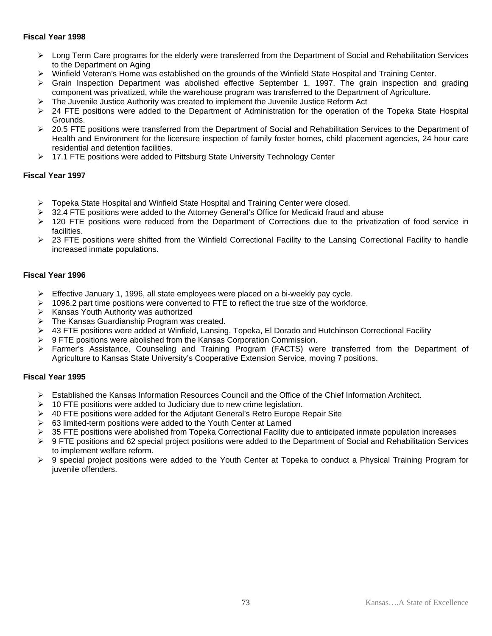### **Fiscal Year 1998**

- ¾ Long Term Care programs for the elderly were transferred from the Department of Social and Rehabilitation Services to the Department on Aging
- ¾ Winfield Veteran's Home was established on the grounds of the Winfield State Hospital and Training Center.
- $\triangleright$  Grain Inspection Department was abolished effective September 1, 1997. The grain inspection and grading component was privatized, while the warehouse program was transferred to the Department of Agriculture.
- $\triangleright$  The Juvenile Justice Authority was created to implement the Juvenile Justice Reform Act
- $\geq$  24 FTE positions were added to the Department of Administration for the operation of the Topeka State Hospital Grounds.
- $\geq$  20.5 FTE positions were transferred from the Department of Social and Rehabilitation Services to the Department of Health and Environment for the licensure inspection of family foster homes, child placement agencies, 24 hour care residential and detention facilities.
- ¾ 17.1 FTE positions were added to Pittsburg State University Technology Center

### **Fiscal Year 1997**

- ¾ Topeka State Hospital and Winfield State Hospital and Training Center were closed.
- $\triangleright$  32.4 FTE positions were added to the Attorney General's Office for Medicaid fraud and abuse
- ¾ 120 FTE positions were reduced from the Department of Corrections due to the privatization of food service in facilities.
- $\geq$  23 FTE positions were shifted from the Winfield Correctional Facility to the Lansing Correctional Facility to handle increased inmate populations.

#### **Fiscal Year 1996**

- $\triangleright$  Effective January 1, 1996, all state employees were placed on a bi-weekly pay cycle.
- $\geq 1096.2$  part time positions were converted to FTE to reflect the true size of the workforce.
- $\triangleright$  Kansas Youth Authority was authorized
- $\triangleright$  The Kansas Guardianship Program was created.
- ¾ 43 FTE positions were added at Winfield, Lansing, Topeka, El Dorado and Hutchinson Correctional Facility
- ¾ 9 FTE positions were abolished from the Kansas Corporation Commission.
- ¾ Farmer's Assistance, Counseling and Training Program (FACTS) were transferred from the Department of Agriculture to Kansas State University's Cooperative Extension Service, moving 7 positions.

## **Fiscal Year 1995**

- ¾ Established the Kansas Information Resources Council and the Office of the Chief Information Architect.
- $\geq$  10 FTE positions were added to Judiciary due to new crime legislation.
- $\triangleright$  40 FTE positions were added for the Adjutant General's Retro Europe Repair Site
- $\geq$  63 limited-term positions were added to the Youth Center at Larned
- $\triangleright$  35 FTE positions were abolished from Topeka Correctional Facility due to anticipated inmate population increases
- ¾ 9 FTE positions and 62 special project positions were added to the Department of Social and Rehabilitation Services to implement welfare reform.
- $\triangleright$  9 special project positions were added to the Youth Center at Topeka to conduct a Physical Training Program for juvenile offenders.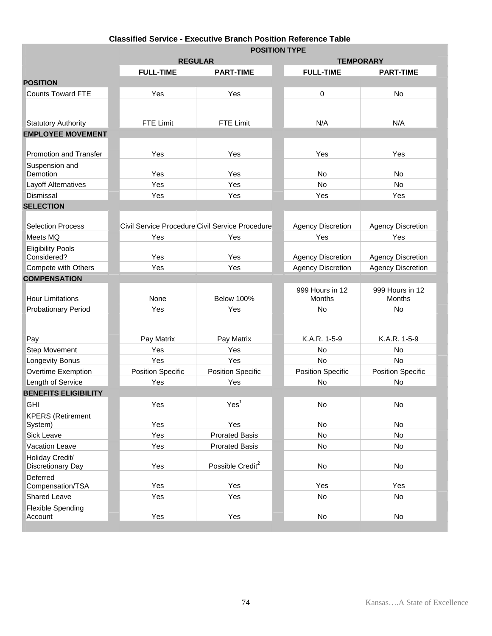# **Classified Service - Executive Branch Position Reference Table**

|                                     |                          |                                                 | <b>POSITION TYPE</b>      |                           |  |  |  |  |
|-------------------------------------|--------------------------|-------------------------------------------------|---------------------------|---------------------------|--|--|--|--|
|                                     | <b>REGULAR</b>           |                                                 | <b>TEMPORARY</b>          |                           |  |  |  |  |
|                                     | <b>FULL-TIME</b>         | <b>PART-TIME</b>                                | <b>FULL-TIME</b>          | <b>PART-TIME</b>          |  |  |  |  |
| <b>POSITION</b>                     |                          |                                                 |                           |                           |  |  |  |  |
| <b>Counts Toward FTE</b>            | Yes                      | Yes                                             | 0                         | <b>No</b>                 |  |  |  |  |
|                                     |                          |                                                 |                           |                           |  |  |  |  |
| <b>Statutory Authority</b>          | FTE Limit                | <b>FTE Limit</b>                                | N/A                       | N/A                       |  |  |  |  |
| <b>EMPLOYEE MOVEMENT</b>            |                          |                                                 |                           |                           |  |  |  |  |
|                                     |                          |                                                 |                           |                           |  |  |  |  |
| Promotion and Transfer              | Yes                      | Yes                                             | Yes                       | Yes                       |  |  |  |  |
| Suspension and<br>Demotion          | Yes                      | Yes                                             | <b>No</b>                 | <b>No</b>                 |  |  |  |  |
| Layoff Alternatives                 | Yes                      | Yes                                             | No                        | No                        |  |  |  |  |
| Dismissal                           | Yes                      | Yes                                             | Yes                       | Yes                       |  |  |  |  |
| <b>SELECTION</b>                    |                          |                                                 |                           |                           |  |  |  |  |
|                                     |                          |                                                 |                           |                           |  |  |  |  |
| <b>Selection Process</b>            |                          | Civil Service Procedure Civil Service Procedure | <b>Agency Discretion</b>  | <b>Agency Discretion</b>  |  |  |  |  |
| Meets MQ                            | Yes                      | Yes                                             | Yes                       | Yes                       |  |  |  |  |
| <b>Eligibility Pools</b>            |                          |                                                 |                           |                           |  |  |  |  |
| Considered?                         | Yes                      | Yes                                             | <b>Agency Discretion</b>  | <b>Agency Discretion</b>  |  |  |  |  |
| Compete with Others                 | Yes                      | Yes                                             | <b>Agency Discretion</b>  | <b>Agency Discretion</b>  |  |  |  |  |
| <b>COMPENSATION</b>                 |                          |                                                 |                           |                           |  |  |  |  |
| <b>Hour Limitations</b>             | None                     | <b>Below 100%</b>                               | 999 Hours in 12<br>Months | 999 Hours in 12<br>Months |  |  |  |  |
| <b>Probationary Period</b>          | Yes                      | Yes                                             | No                        | No                        |  |  |  |  |
|                                     |                          |                                                 |                           |                           |  |  |  |  |
|                                     |                          |                                                 |                           |                           |  |  |  |  |
| Pay                                 | Pay Matrix               | Pay Matrix                                      | K.A.R. 1-5-9              | K.A.R. 1-5-9              |  |  |  |  |
| <b>Step Movement</b>                | Yes                      | Yes                                             | <b>No</b>                 | No                        |  |  |  |  |
| Longevity Bonus                     | Yes                      | Yes                                             | No                        | No                        |  |  |  |  |
| Overtime Exemption                  | <b>Position Specific</b> | <b>Position Specific</b>                        | <b>Position Specific</b>  | <b>Position Specific</b>  |  |  |  |  |
| Length of Service                   | Yes                      | Yes                                             | <b>No</b>                 | <b>No</b>                 |  |  |  |  |
| <b>BENEFITS ELIGIBILITY</b>         |                          |                                                 |                           |                           |  |  |  |  |
| <b>GHI</b>                          | Yes                      | Yes <sup>1</sup>                                | No                        | No.                       |  |  |  |  |
| <b>KPERS</b> (Retirement<br>System) | Yes                      | Yes                                             | No                        | No                        |  |  |  |  |
| Sick Leave                          | Yes                      | <b>Prorated Basis</b>                           | No                        | No                        |  |  |  |  |
| Vacation Leave                      | Yes                      | <b>Prorated Basis</b>                           | No                        | No                        |  |  |  |  |
| Holiday Credit/                     |                          |                                                 |                           |                           |  |  |  |  |
| Discretionary Day                   | Yes                      | Possible Credit <sup>2</sup>                    | No                        | No                        |  |  |  |  |
| Deferred<br>Compensation/TSA        | Yes                      | Yes                                             | Yes                       | Yes                       |  |  |  |  |
| Shared Leave                        | Yes                      | Yes                                             | No                        | No                        |  |  |  |  |
| Flexible Spending<br>Account        | Yes                      | Yes                                             | No                        | No                        |  |  |  |  |
|                                     |                          |                                                 |                           |                           |  |  |  |  |